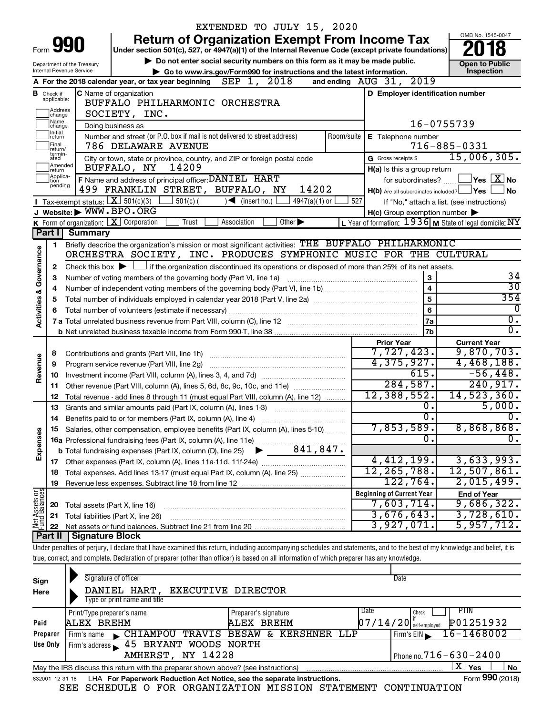|                         |                                                                 |                            |                                                                                                                                                                            |       | EXTENDED TO JULY 15, 2020                                                   |                             |            |                     |                                  |                                                                                                                  |                                                                    |
|-------------------------|-----------------------------------------------------------------|----------------------------|----------------------------------------------------------------------------------------------------------------------------------------------------------------------------|-------|-----------------------------------------------------------------------------|-----------------------------|------------|---------------------|----------------------------------|------------------------------------------------------------------------------------------------------------------|--------------------------------------------------------------------|
|                         |                                                                 |                            |                                                                                                                                                                            |       | <b>Return of Organization Exempt From Income Tax</b>                        |                             |            |                     |                                  |                                                                                                                  | OMB No. 1545-0047                                                  |
| Form                    | <b>YY</b>                                                       |                            | Under section 501(c), 527, or 4947(a)(1) of the Internal Revenue Code (except private foundations)                                                                         |       |                                                                             |                             |            |                     |                                  |                                                                                                                  |                                                                    |
|                         |                                                                 | Department of the Treasury |                                                                                                                                                                            |       | Do not enter social security numbers on this form as it may be made public. |                             |            |                     |                                  |                                                                                                                  | <b>Open to Public</b>                                              |
|                         | Internal Revenue Service                                        |                            |                                                                                                                                                                            |       | Go to www.irs.gov/Form990 for instructions and the latest information.      |                             |            |                     |                                  |                                                                                                                  | Inspection                                                         |
|                         |                                                                 |                            | A For the 2018 calendar year, or tax year beginning                                                                                                                        |       | SEP 1, 2018                                                                 |                             |            |                     | and ending AUG 31, 2019          |                                                                                                                  |                                                                    |
|                         | <b>B</b> Check if applicable:                                   |                            | C Name of organization<br>BUFFALO PHILHARMONIC ORCHESTRA                                                                                                                   |       |                                                                             |                             |            |                     |                                  | D Employer identification number                                                                                 |                                                                    |
|                         | Address                                                         |                            |                                                                                                                                                                            |       |                                                                             |                             |            |                     |                                  |                                                                                                                  |                                                                    |
|                         | SOCIETY, INC.<br>change<br>Name<br>Doing business as<br>change] |                            |                                                                                                                                                                            |       |                                                                             |                             |            |                     |                                  |                                                                                                                  |                                                                    |
|                         | Initial<br> return                                              |                            | Number and street (or P.O. box if mail is not delivered to street address)                                                                                                 |       |                                                                             |                             | Room/suite |                     | E Telephone number               | 16-0755739                                                                                                       |                                                                    |
|                         | Final<br>return/                                                |                            | 786 DELAWARE AVENUE                                                                                                                                                        |       |                                                                             |                             |            |                     |                                  | $716 - 885 - 0331$                                                                                               |                                                                    |
|                         | termin-<br>ated                                                 |                            | City or town, state or province, country, and ZIP or foreign postal code                                                                                                   |       |                                                                             |                             |            | G Gross receipts \$ |                                  |                                                                                                                  | 15,006,305.                                                        |
|                         | Amended<br>Ireturn                                              |                            | 14209<br>BUFFALO, NY                                                                                                                                                       |       |                                                                             |                             |            |                     | H(a) Is this a group return      |                                                                                                                  |                                                                    |
|                         | Applica-<br>tion<br>pending                                     |                            | F Name and address of principal officer: DANIEL HART                                                                                                                       |       |                                                                             |                             |            |                     | for subordinates?                |                                                                                                                  | $\sqrt{\mathsf{Yes}\mathord{\;\mathbb{X}}\mathord{\;\mathsf{No}}}$ |
|                         |                                                                 |                            | 499 FRANKLIN STREET, BUFFALO, NY                                                                                                                                           |       |                                                                             | 14202                       |            |                     |                                  | $H(b)$ Are all subordinates included? $\Box$ Yes                                                                 | l No                                                               |
|                         |                                                                 |                            | Tax-exempt status: $X \overline{301(c)(3)}$<br>$\frac{1}{2}$ 501(c) (                                                                                                      |       | $\sqrt{\bullet}$ (insert no.)                                               | $4947(a)(1)$ or             | 527        |                     |                                  | If "No," attach a list. (see instructions)                                                                       |                                                                    |
|                         |                                                                 |                            | J Website: WWW.BPO.ORG<br>K Form of organization: $X$ Corporation                                                                                                          | Trust | Association                                                                 | Other $\blacktriangleright$ |            |                     |                                  | $H(c)$ Group exemption number $\blacktriangleright$<br>L Year of formation: $1936$ M State of legal domicile: NY |                                                                    |
|                         | Part I                                                          | Summary                    |                                                                                                                                                                            |       |                                                                             |                             |            |                     |                                  |                                                                                                                  |                                                                    |
|                         | 1                                                               |                            | Briefly describe the organization's mission or most significant activities: THE BUFFALO PHILHARMONIC                                                                       |       |                                                                             |                             |            |                     |                                  |                                                                                                                  |                                                                    |
| Activities & Governance |                                                                 |                            | ORCHESTRA SOCIETY, INC. PRODUCES SYMPHONIC MUSIC FOR THE CULTURAL                                                                                                          |       |                                                                             |                             |            |                     |                                  |                                                                                                                  |                                                                    |
|                         | 2                                                               |                            | Check this box $\blacktriangleright$ $\Box$ if the organization discontinued its operations or disposed of more than 25% of its net assets.                                |       |                                                                             |                             |            |                     |                                  |                                                                                                                  |                                                                    |
|                         | З                                                               |                            | Number of voting members of the governing body (Part VI, line 1a)                                                                                                          |       |                                                                             |                             |            |                     | 3                                |                                                                                                                  | 34                                                                 |
|                         |                                                                 |                            |                                                                                                                                                                            |       |                                                                             |                             |            |                     | $\overline{\mathbf{4}}$          |                                                                                                                  | $\overline{30}$                                                    |
|                         | 5                                                               |                            |                                                                                                                                                                            |       |                                                                             |                             |            |                     | $\overline{5}$                   |                                                                                                                  | 354                                                                |
|                         |                                                                 |                            |                                                                                                                                                                            |       |                                                                             |                             |            |                     | 6                                |                                                                                                                  | 0                                                                  |
|                         |                                                                 |                            |                                                                                                                                                                            |       |                                                                             |                             |            |                     | 7a                               |                                                                                                                  | $\overline{0}$ .                                                   |
|                         |                                                                 |                            |                                                                                                                                                                            |       |                                                                             |                             |            |                     | 7b                               |                                                                                                                  | σ.                                                                 |
|                         |                                                                 |                            |                                                                                                                                                                            |       |                                                                             |                             |            | <b>Prior Year</b>   | 7,727,423.                       | <b>Current Year</b>                                                                                              | 9,870,703.                                                         |
|                         | 8<br>9                                                          |                            | Contributions and grants (Part VIII, line 1h)<br>Program service revenue (Part VIII, line 2g)                                                                              |       |                                                                             |                             |            |                     | 4,375,927.                       |                                                                                                                  | 4,468,188.                                                         |
| Revenue                 | 10                                                              |                            |                                                                                                                                                                            |       |                                                                             |                             |            |                     | 615.                             |                                                                                                                  | $-56,448.$                                                         |
|                         | 11                                                              |                            |                                                                                                                                                                            |       |                                                                             |                             |            |                     | 284,587.                         |                                                                                                                  | 240, 917.                                                          |
|                         | 12                                                              |                            | Total revenue - add lines 8 through 11 (must equal Part VIII, column (A), line 12)                                                                                         |       |                                                                             |                             |            |                     | 12,388,552.                      |                                                                                                                  | 14, 523, 360.                                                      |
|                         | 13                                                              |                            | Grants and similar amounts paid (Part IX, column (A), lines 1-3) <i></i>                                                                                                   |       |                                                                             |                             |            |                     | 0.                               |                                                                                                                  | 5,000.                                                             |
|                         | 14                                                              |                            | Benefits paid to or for members (Part IX, column (A), line 4)                                                                                                              |       |                                                                             |                             |            |                     | 0.                               |                                                                                                                  | 0.                                                                 |
|                         |                                                                 |                            | 15 Salaries, other compensation, employee benefits (Part IX, column (A), lines 5-10)                                                                                       |       |                                                                             |                             |            |                     | 7,853,589 <b>.</b>               |                                                                                                                  | 8,868,868.                                                         |
| Expenses                |                                                                 |                            |                                                                                                                                                                            |       |                                                                             |                             |            |                     | 0                                |                                                                                                                  | Ο.                                                                 |
|                         |                                                                 |                            |                                                                                                                                                                            |       |                                                                             |                             |            |                     |                                  |                                                                                                                  |                                                                    |
|                         |                                                                 |                            |                                                                                                                                                                            |       |                                                                             |                             |            |                     | 4,412,199.<br>12, 265, 788.      |                                                                                                                  | 3,633,993.<br>12,507,861.                                          |
|                         | 18<br>19                                                        |                            | Total expenses. Add lines 13-17 (must equal Part IX, column (A), line 25)                                                                                                  |       |                                                                             |                             |            |                     | 122,764.                         |                                                                                                                  | 2,015,499.                                                         |
|                         |                                                                 |                            |                                                                                                                                                                            |       |                                                                             |                             |            |                     | <b>Beginning of Current Year</b> | <b>End of Year</b>                                                                                               |                                                                    |
|                         | 20                                                              |                            | Total assets (Part X, line 16)                                                                                                                                             |       |                                                                             |                             |            |                     | 7,603,714.                       |                                                                                                                  | 9,686,322.                                                         |
| Net Assets or           | 21                                                              |                            | Total liabilities (Part X, line 26)                                                                                                                                        |       |                                                                             |                             |            |                     | 3,676,643.                       |                                                                                                                  | 3,728,610.                                                         |
|                         | 22                                                              |                            |                                                                                                                                                                            |       |                                                                             |                             |            |                     | 3,927,071.                       |                                                                                                                  | 5,957,712.                                                         |
|                         | Part II                                                         | Signature Block            |                                                                                                                                                                            |       |                                                                             |                             |            |                     |                                  |                                                                                                                  |                                                                    |
|                         |                                                                 |                            | Under penalties of perjury, I declare that I have examined this return, including accompanying schedules and statements, and to the best of my knowledge and belief, it is |       |                                                                             |                             |            |                     |                                  |                                                                                                                  |                                                                    |
|                         |                                                                 |                            | true, correct, and complete. Declaration of preparer (other than officer) is based on all information of which preparer has any knowledge.                                 |       |                                                                             |                             |            |                     |                                  |                                                                                                                  |                                                                    |
|                         |                                                                 |                            | Signature of officer                                                                                                                                                       |       |                                                                             |                             |            |                     | Date                             |                                                                                                                  |                                                                    |
| Sign                    |                                                                 |                            | DANIEL HART, EXECUTIVE DIRECTOR                                                                                                                                            |       |                                                                             |                             |            |                     |                                  |                                                                                                                  |                                                                    |
| Here                    |                                                                 |                            | Type or print name and title                                                                                                                                               |       |                                                                             |                             |            |                     |                                  |                                                                                                                  |                                                                    |
|                         |                                                                 | Print/Type preparer's name |                                                                                                                                                                            |       | Preparer's signature                                                        |                             |            | Date                | Check                            | <b>PTIN</b>                                                                                                      |                                                                    |
| Paid                    |                                                                 | ALEX BREHM                 |                                                                                                                                                                            |       | ALEX BREHM                                                                  |                             |            |                     | $07/14/20$ self-employed         | P01251932                                                                                                        |                                                                    |
|                         | Preparer                                                        |                            | Firm's name CHIAMPOU TRAVIS BESAW & KERSHNER LLP                                                                                                                           |       |                                                                             |                             |            |                     | Firm's EIN                       | 16-1468002                                                                                                       |                                                                    |
|                         | Use Only                                                        |                            | Firm's address 45 BRYANT WOODS NORTH                                                                                                                                       |       |                                                                             |                             |            |                     |                                  |                                                                                                                  |                                                                    |

| May the IRS discuss this return with the preparer shown above? (see instructions)      | <b>Yes</b> | <b>No</b>       |  |
|----------------------------------------------------------------------------------------|------------|-----------------|--|
| 832001 12-31-18 LHA For Paperwork Reduction Act Notice, see the separate instructions. |            | Form 990 (2018) |  |

AMHERST, NY 14228

Firm's address

Phone no.  $716 - 630 - 2400$ 

SEE SCHEDULE O FOR ORGANIZATION MISSION STATEMENT CONTINUATION

 $\boxed{\text{X}}$   $\text{Yes}$   $\boxed{\phantom{1}}$  No Form 990 (2018)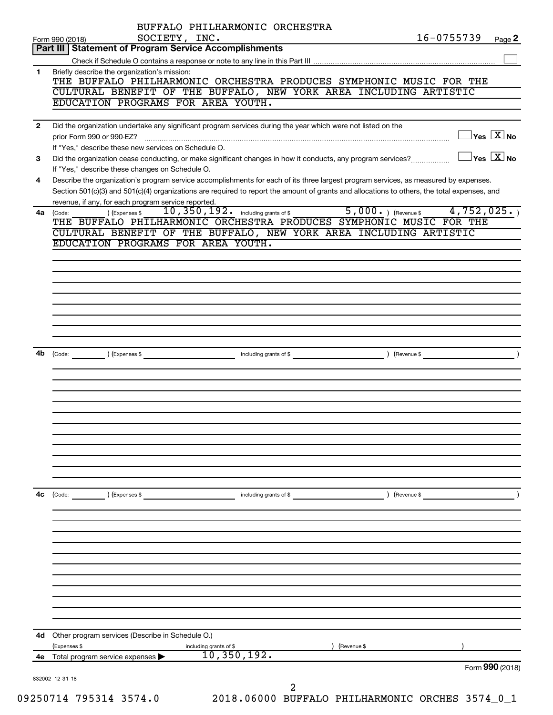|              | SOCIETY, INC.<br>Form 990 (2018)                                                                                                                                                | $16 - 0755739$ | Page 2                                  |
|--------------|---------------------------------------------------------------------------------------------------------------------------------------------------------------------------------|----------------|-----------------------------------------|
|              | Part III   Statement of Program Service Accomplishments                                                                                                                         |                |                                         |
|              |                                                                                                                                                                                 |                |                                         |
| 1            | Briefly describe the organization's mission:<br>THE BUFFALO PHILHARMONIC ORCHESTRA PRODUCES SYMPHONIC MUSIC FOR THE                                                             |                |                                         |
|              | CULTURAL BENEFIT OF THE BUFFALO, NEW YORK AREA INCLUDING ARTISTIC                                                                                                               |                |                                         |
|              | EDUCATION PROGRAMS FOR AREA YOUTH.                                                                                                                                              |                |                                         |
|              |                                                                                                                                                                                 |                |                                         |
| $\mathbf{2}$ | Did the organization undertake any significant program services during the year which were not listed on the                                                                    |                | $\Box$ Yes $\boxed{\text{X}}$ No        |
|              | If "Yes," describe these new services on Schedule O.                                                                                                                            |                |                                         |
| 3            | Did the organization cease conducting, or make significant changes in how it conducts, any program services?<br>If "Yes," describe these changes on Schedule O.                 |                | $\Box$ Yes $[\overline{\mathrm{X}}]$ No |
| 4            | Describe the organization's program service accomplishments for each of its three largest program services, as measured by expenses.                                            |                |                                         |
|              | Section 501(c)(3) and 501(c)(4) organizations are required to report the amount of grants and allocations to others, the total expenses, and                                    |                |                                         |
|              | revenue, if any, for each program service reported.                                                                                                                             |                |                                         |
| 4a           | 10, 350, 192. including grants of \$ 5, 000. $($ Revenue \$ 4, 752, 025. $)$<br>) (Expenses \$<br>(Code:<br>THE BUFFALO PHILHARMONIC ORCHESTRA PRODUCES SYMPHONIC MUSIC FOR THE |                |                                         |
|              | CULTURAL BENEFIT OF THE BUFFALO, NEW YORK AREA INCLUDING ARTISTIC                                                                                                               |                |                                         |
|              | EDUCATION PROGRAMS FOR AREA YOUTH.                                                                                                                                              |                |                                         |
|              |                                                                                                                                                                                 |                |                                         |
|              |                                                                                                                                                                                 |                |                                         |
|              |                                                                                                                                                                                 |                |                                         |
|              |                                                                                                                                                                                 |                |                                         |
|              |                                                                                                                                                                                 |                |                                         |
|              |                                                                                                                                                                                 |                |                                         |
|              |                                                                                                                                                                                 |                |                                         |
|              |                                                                                                                                                                                 |                |                                         |
| 4b           | (Code: <u>Conternal</u> ) (Expenses \$                                                                                                                                          |                |                                         |
|              |                                                                                                                                                                                 |                |                                         |
|              |                                                                                                                                                                                 |                |                                         |
|              |                                                                                                                                                                                 |                |                                         |
|              |                                                                                                                                                                                 |                |                                         |
|              |                                                                                                                                                                                 |                |                                         |
|              |                                                                                                                                                                                 |                |                                         |
|              |                                                                                                                                                                                 |                |                                         |
|              |                                                                                                                                                                                 |                |                                         |
|              |                                                                                                                                                                                 |                |                                         |
|              |                                                                                                                                                                                 |                |                                         |
| 4c           |                                                                                                                                                                                 | Revenue \$     |                                         |
|              | (Expenses \$<br>(Code:<br>including grants of \$                                                                                                                                |                |                                         |
|              |                                                                                                                                                                                 |                |                                         |
|              |                                                                                                                                                                                 |                |                                         |
|              |                                                                                                                                                                                 |                |                                         |
|              |                                                                                                                                                                                 |                |                                         |
|              |                                                                                                                                                                                 |                |                                         |
|              |                                                                                                                                                                                 |                |                                         |
|              |                                                                                                                                                                                 |                |                                         |
|              |                                                                                                                                                                                 |                |                                         |
|              |                                                                                                                                                                                 |                |                                         |
|              |                                                                                                                                                                                 |                |                                         |
| 4d           | Other program services (Describe in Schedule O.)<br>(Revenue \$<br>(Expenses \$                                                                                                 |                |                                         |
| 4е           | including grants of \$<br>10, 350, 192.<br>Total program service expenses                                                                                                       |                |                                         |
|              |                                                                                                                                                                                 |                | Form 990 (2018)                         |
|              |                                                                                                                                                                                 |                |                                         |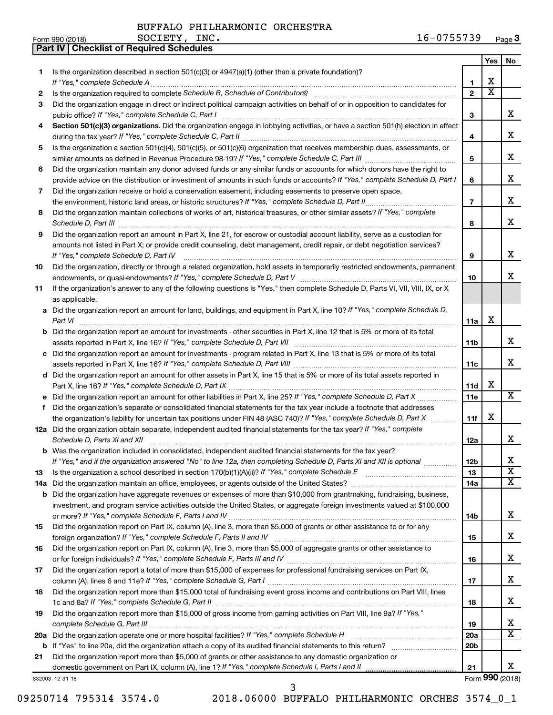BUFFALO PHILHARMONIC ORCHESTRA SOCIETY, INC.

**Part IV Checklist of Required Schedules**

|     |                                                                                                                                      |                 | Yes                     | No.                     |
|-----|--------------------------------------------------------------------------------------------------------------------------------------|-----------------|-------------------------|-------------------------|
| 1.  | Is the organization described in section 501(c)(3) or 4947(a)(1) (other than a private foundation)?                                  |                 |                         |                         |
|     |                                                                                                                                      | 1               | х                       |                         |
| 2   |                                                                                                                                      | $\mathbf{2}$    | $\overline{\textbf{x}}$ |                         |
| 3   | Did the organization engage in direct or indirect political campaign activities on behalf of or in opposition to candidates for      |                 |                         |                         |
|     | public office? If "Yes," complete Schedule C, Part I                                                                                 | 3               |                         | x                       |
| 4   | Section 501(c)(3) organizations. Did the organization engage in lobbying activities, or have a section 501(h) election in effect     |                 |                         |                         |
|     |                                                                                                                                      | 4               |                         | х                       |
| 5   | Is the organization a section 501(c)(4), 501(c)(5), or 501(c)(6) organization that receives membership dues, assessments, or         |                 |                         | х                       |
|     |                                                                                                                                      | 5               |                         |                         |
| 6   | Did the organization maintain any donor advised funds or any similar funds or accounts for which donors have the right to            |                 |                         | х                       |
|     | provide advice on the distribution or investment of amounts in such funds or accounts? If "Yes," complete Schedule D, Part I         | 6               |                         |                         |
| 7   | Did the organization receive or hold a conservation easement, including easements to preserve open space,                            | $\overline{7}$  |                         | х                       |
| 8   | Did the organization maintain collections of works of art, historical treasures, or other similar assets? If "Yes," complete         |                 |                         |                         |
|     |                                                                                                                                      | 8               |                         | х                       |
| 9   | Did the organization report an amount in Part X, line 21, for escrow or custodial account liability, serve as a custodian for        |                 |                         |                         |
|     | amounts not listed in Part X; or provide credit counseling, debt management, credit repair, or debt negotiation services?            |                 |                         |                         |
|     | If "Yes," complete Schedule D, Part IV                                                                                               | 9               |                         | x                       |
| 10  | Did the organization, directly or through a related organization, hold assets in temporarily restricted endowments, permanent        |                 |                         |                         |
|     |                                                                                                                                      | 10              |                         | x                       |
| 11  | If the organization's answer to any of the following questions is "Yes," then complete Schedule D, Parts VI, VII, VIII, IX, or X     |                 |                         |                         |
|     | as applicable.                                                                                                                       |                 |                         |                         |
|     | a Did the organization report an amount for land, buildings, and equipment in Part X, line 10? If "Yes," complete Schedule D,        |                 |                         |                         |
|     |                                                                                                                                      | 11a             | х                       |                         |
|     | <b>b</b> Did the organization report an amount for investments - other securities in Part X, line 12 that is 5% or more of its total |                 |                         |                         |
|     |                                                                                                                                      | 11 <sub>b</sub> |                         | x                       |
|     | c Did the organization report an amount for investments - program related in Part X, line 13 that is 5% or more of its total         |                 |                         |                         |
|     |                                                                                                                                      | 11с             |                         | x                       |
|     | d Did the organization report an amount for other assets in Part X, line 15 that is 5% or more of its total assets reported in       |                 |                         |                         |
|     |                                                                                                                                      | 11d             | х                       |                         |
|     |                                                                                                                                      | 11e             |                         | x                       |
| f.  | Did the organization's separate or consolidated financial statements for the tax year include a footnote that addresses              |                 |                         |                         |
|     | the organization's liability for uncertain tax positions under FIN 48 (ASC 740)? If "Yes," complete Schedule D, Part X               | 11f             | х                       |                         |
|     | 12a Did the organization obtain separate, independent audited financial statements for the tax year? If "Yes," complete              |                 |                         |                         |
|     | Schedule D, Parts XI and XII                                                                                                         | 12a             |                         | x                       |
|     | <b>b</b> Was the organization included in consolidated, independent audited financial statements for the tax year?                   |                 |                         |                         |
|     | If "Yes," and if the organization answered "No" to line 12a, then completing Schedule D, Parts XI and XII is optional                | 12 <sub>b</sub> |                         | Χ                       |
| 13  |                                                                                                                                      | 13              |                         | $\overline{\mathbf{X}}$ |
| 14a |                                                                                                                                      | 14a             |                         | X.                      |
|     | <b>b</b> Did the organization have aggregate revenues or expenses of more than \$10,000 from grantmaking, fundraising, business,     |                 |                         |                         |
|     | investment, and program service activities outside the United States, or aggregate foreign investments valued at \$100,000           |                 |                         |                         |
|     |                                                                                                                                      | 14b             |                         | x                       |
| 15  | Did the organization report on Part IX, column (A), line 3, more than \$5,000 of grants or other assistance to or for any            |                 |                         | x                       |
|     |                                                                                                                                      | 15              |                         |                         |
| 16  | Did the organization report on Part IX, column (A), line 3, more than \$5,000 of aggregate grants or other assistance to             |                 |                         | х                       |
|     | Did the organization report a total of more than \$15,000 of expenses for professional fundraising services on Part IX,              | 16              |                         |                         |
| 17  |                                                                                                                                      | 17              |                         | х                       |
| 18  | Did the organization report more than \$15,000 total of fundraising event gross income and contributions on Part VIII, lines         |                 |                         |                         |
|     |                                                                                                                                      | 18              |                         | х                       |
| 19  | Did the organization report more than \$15,000 of gross income from gaming activities on Part VIII, line 9a? If "Yes,"               |                 |                         |                         |
|     |                                                                                                                                      | 19              |                         | х                       |
|     | 20a Did the organization operate one or more hospital facilities? If "Yes," complete Schedule H                                      | 20a             |                         | $\overline{\mathtt{x}}$ |
| b   |                                                                                                                                      | 20 <sub>b</sub> |                         |                         |
| 21  | Did the organization report more than \$5,000 of grants or other assistance to any domestic organization or                          |                 |                         |                         |
|     |                                                                                                                                      | 21              |                         | x.                      |
|     | 832003 12-31-18                                                                                                                      |                 |                         | Form 990 (2018)         |

09250714 795314 3574.0 2018.06000 BUFFALO PHILHARMONIC ORCHES 3574\_0\_1 3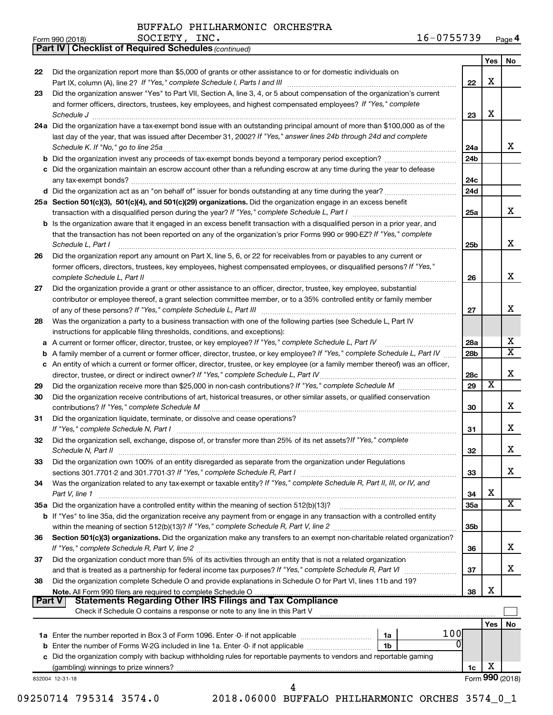*(continued)*

**Part IV Checklist of Required Schedules**

| Form 990 (2018) | INC.<br>SOCIETY, | 16-0755739 | Page 4 |
|-----------------|------------------|------------|--------|
|-----------------|------------------|------------|--------|

|               |                                                                                                                                                        |                 | Yes                     | No              |
|---------------|--------------------------------------------------------------------------------------------------------------------------------------------------------|-----------------|-------------------------|-----------------|
| 22            | Did the organization report more than \$5,000 of grants or other assistance to or for domestic individuals on                                          |                 |                         |                 |
|               |                                                                                                                                                        | 22              | х                       |                 |
| 23            | Did the organization answer "Yes" to Part VII, Section A, line 3, 4, or 5 about compensation of the organization's current                             |                 |                         |                 |
|               | and former officers, directors, trustees, key employees, and highest compensated employees? If "Yes," complete                                         |                 |                         |                 |
|               | Schedule J <b>Execute Schedule J Execute Schedule J</b>                                                                                                | 23              | х                       |                 |
|               | 24a Did the organization have a tax-exempt bond issue with an outstanding principal amount of more than \$100,000 as of the                            |                 |                         |                 |
|               | last day of the year, that was issued after December 31, 2002? If "Yes," answer lines 24b through 24d and complete                                     |                 |                         |                 |
|               | Schedule K. If "No," go to line 25a                                                                                                                    | 24a             |                         | x               |
|               | b Did the organization invest any proceeds of tax-exempt bonds beyond a temporary period exception?                                                    | 24 <sub>b</sub> |                         |                 |
|               | c Did the organization maintain an escrow account other than a refunding escrow at any time during the year to defease                                 |                 |                         |                 |
|               |                                                                                                                                                        | 24c             |                         |                 |
|               |                                                                                                                                                        | 24d             |                         |                 |
|               | 25a Section 501(c)(3), 501(c)(4), and 501(c)(29) organizations. Did the organization engage in an excess benefit                                       |                 |                         |                 |
|               |                                                                                                                                                        | 25a             |                         | x               |
|               | <b>b</b> Is the organization aware that it engaged in an excess benefit transaction with a disqualified person in a prior year, and                    |                 |                         |                 |
|               | that the transaction has not been reported on any of the organization's prior Forms 990 or 990-EZ? If "Yes," complete                                  |                 |                         | х               |
|               | Schedule L, Part I                                                                                                                                     | 25 <sub>b</sub> |                         |                 |
| 26            | Did the organization report any amount on Part X, line 5, 6, or 22 for receivables from or payables to any current or                                  |                 |                         |                 |
|               | former officers, directors, trustees, key employees, highest compensated employees, or disqualified persons? If "Yes,"<br>complete Schedule L, Part II |                 |                         | x               |
|               | Did the organization provide a grant or other assistance to an officer, director, trustee, key employee, substantial                                   | 26              |                         |                 |
| 27            | contributor or employee thereof, a grant selection committee member, or to a 35% controlled entity or family member                                    |                 |                         |                 |
|               |                                                                                                                                                        | 27              |                         | х               |
| 28            | Was the organization a party to a business transaction with one of the following parties (see Schedule L, Part IV                                      |                 |                         |                 |
|               | instructions for applicable filing thresholds, conditions, and exceptions):                                                                            |                 |                         |                 |
| а             | A current or former officer, director, trustee, or key employee? If "Yes," complete Schedule L, Part IV                                                | 28a             |                         | x               |
| b             | A family member of a current or former officer, director, trustee, or key employee? If "Yes," complete Schedule L, Part IV                             | 28 <sub>b</sub> |                         | X               |
|               | c An entity of which a current or former officer, director, trustee, or key employee (or a family member thereof) was an officer,                      |                 |                         |                 |
|               |                                                                                                                                                        | 28c             |                         | х               |
| 29            |                                                                                                                                                        | 29              | $\overline{\textbf{x}}$ |                 |
| 30            | Did the organization receive contributions of art, historical treasures, or other similar assets, or qualified conservation                            |                 |                         |                 |
|               |                                                                                                                                                        | 30              |                         | х               |
| 31            | Did the organization liquidate, terminate, or dissolve and cease operations?                                                                           |                 |                         |                 |
|               | If "Yes," complete Schedule N, Part I                                                                                                                  | 31              |                         | х               |
| 32            | Did the organization sell, exchange, dispose of, or transfer more than 25% of its net assets? If "Yes," complete                                       |                 |                         |                 |
|               |                                                                                                                                                        | 32              |                         | х               |
| 33            | Did the organization own 100% of an entity disregarded as separate from the organization under Regulations                                             |                 |                         |                 |
|               | sections 301.7701-2 and 301.7701-3? If "Yes," complete Schedule R, Part I                                                                              | 33              |                         | x               |
| 34            | Was the organization related to any tax-exempt or taxable entity? If "Yes," complete Schedule R, Part II, III, or IV, and                              |                 |                         |                 |
|               | Part V, line 1<br>35a Did the organization have a controlled entity within the meaning of section 512(b)(13)?                                          | 34              | х                       | х               |
|               |                                                                                                                                                        | <b>35a</b>      |                         |                 |
|               | b If "Yes" to line 35a, did the organization receive any payment from or engage in any transaction with a controlled entity                            | 35b             |                         |                 |
| 36            | Section 501(c)(3) organizations. Did the organization make any transfers to an exempt non-charitable related organization?                             |                 |                         |                 |
|               |                                                                                                                                                        | 36              |                         | x               |
| 37            | Did the organization conduct more than 5% of its activities through an entity that is not a related organization                                       |                 |                         |                 |
|               | and that is treated as a partnership for federal income tax purposes? If "Yes," complete Schedule R, Part VI                                           | 37              |                         | x               |
| 38            | Did the organization complete Schedule O and provide explanations in Schedule O for Part VI, lines 11b and 19?                                         |                 |                         |                 |
|               |                                                                                                                                                        | 38              | x                       |                 |
| <b>Part V</b> | <b>Statements Regarding Other IRS Filings and Tax Compliance</b>                                                                                       |                 |                         |                 |
|               | Check if Schedule O contains a response or note to any line in this Part V                                                                             |                 |                         |                 |
|               |                                                                                                                                                        |                 | Yes                     | No              |
|               | 100<br>1a Enter the number reported in Box 3 of Form 1096. Enter -0- if not applicable <i>manumeraness</i><br>1a                                       |                 |                         |                 |
|               | 0<br><b>b</b> Enter the number of Forms W-2G included in line 1a. Enter -0- if not applicable<br>1b                                                    |                 |                         |                 |
|               | c Did the organization comply with backup withholding rules for reportable payments to vendors and reportable gaming                                   |                 |                         |                 |
|               |                                                                                                                                                        | 1c              | х                       | Form 990 (2018) |
|               | 832004 12-31-18<br>4                                                                                                                                   |                 |                         |                 |

09250714 795314 3574.0 2018.06000 BUFFALO PHILHARMONIC ORCHES 3574\_0\_1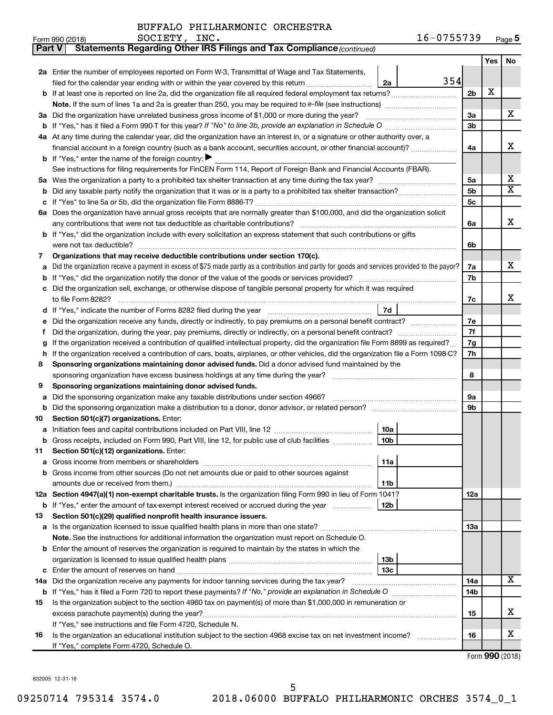| Part V | Statements Regarding Other IRS Filings and Tax Compliance (continued)                                                                           |     |     |                         |  |  |  |  |  |  |  |
|--------|-------------------------------------------------------------------------------------------------------------------------------------------------|-----|-----|-------------------------|--|--|--|--|--|--|--|
|        |                                                                                                                                                 |     | Yes | No                      |  |  |  |  |  |  |  |
|        | 2a Enter the number of employees reported on Form W-3, Transmittal of Wage and Tax Statements,                                                  |     |     |                         |  |  |  |  |  |  |  |
|        | 354<br>filed for the calendar year ending with or within the year covered by this return<br>2a                                                  |     |     |                         |  |  |  |  |  |  |  |
|        | b If at least one is reported on line 2a, did the organization file all required federal employment tax returns?                                | 2b  | X   |                         |  |  |  |  |  |  |  |
|        |                                                                                                                                                 |     |     |                         |  |  |  |  |  |  |  |
|        | 3a Did the organization have unrelated business gross income of \$1,000 or more during the year?                                                | За  |     | х                       |  |  |  |  |  |  |  |
|        |                                                                                                                                                 | 3b  |     |                         |  |  |  |  |  |  |  |
|        | 4a At any time during the calendar year, did the organization have an interest in, or a signature or other authority over, a                    |     |     |                         |  |  |  |  |  |  |  |
|        | financial account in a foreign country (such as a bank account, securities account, or other financial account)?                                |     |     |                         |  |  |  |  |  |  |  |
|        | <b>b</b> If "Yes," enter the name of the foreign country: $\blacktriangleright$                                                                 |     |     |                         |  |  |  |  |  |  |  |
|        | See instructions for filing requirements for FinCEN Form 114, Report of Foreign Bank and Financial Accounts (FBAR).                             |     |     |                         |  |  |  |  |  |  |  |
| 5a     |                                                                                                                                                 |     |     |                         |  |  |  |  |  |  |  |
| b      |                                                                                                                                                 | 5b  |     | $\overline{\textbf{x}}$ |  |  |  |  |  |  |  |
| с      |                                                                                                                                                 | 5с  |     |                         |  |  |  |  |  |  |  |
|        | 6a Does the organization have annual gross receipts that are normally greater than \$100,000, and did the organization solicit                  |     |     |                         |  |  |  |  |  |  |  |
|        |                                                                                                                                                 | 6a  |     | х                       |  |  |  |  |  |  |  |
|        | b If "Yes," did the organization include with every solicitation an express statement that such contributions or gifts                          |     |     |                         |  |  |  |  |  |  |  |
|        | were not tax deductible?                                                                                                                        | 6b  |     |                         |  |  |  |  |  |  |  |
| 7      | Organizations that may receive deductible contributions under section 170(c).                                                                   |     |     |                         |  |  |  |  |  |  |  |
| a      | Did the organization receive a payment in excess of \$75 made partly as a contribution and partly for goods and services provided to the payor? | 7a  |     | х                       |  |  |  |  |  |  |  |
| b      |                                                                                                                                                 | 7b  |     |                         |  |  |  |  |  |  |  |
| c      | Did the organization sell, exchange, or otherwise dispose of tangible personal property for which it was required                               |     |     |                         |  |  |  |  |  |  |  |
|        |                                                                                                                                                 | 7c  |     | х                       |  |  |  |  |  |  |  |
| d      | 7d                                                                                                                                              |     |     |                         |  |  |  |  |  |  |  |
|        | Did the organization receive any funds, directly or indirectly, to pay premiums on a personal benefit contract?                                 | 7e  |     |                         |  |  |  |  |  |  |  |
| f      |                                                                                                                                                 | 7f  |     |                         |  |  |  |  |  |  |  |
| g      | If the organization received a contribution of qualified intellectual property, did the organization file Form 8899 as required?                | 7g  |     |                         |  |  |  |  |  |  |  |
| h      | If the organization received a contribution of cars, boats, airplanes, or other vehicles, did the organization file a Form 1098-C?              | 7h  |     |                         |  |  |  |  |  |  |  |
| 8      | Sponsoring organizations maintaining donor advised funds. Did a donor advised fund maintained by the                                            |     |     |                         |  |  |  |  |  |  |  |
|        |                                                                                                                                                 | 8   |     |                         |  |  |  |  |  |  |  |
| 9      | Sponsoring organizations maintaining donor advised funds.                                                                                       |     |     |                         |  |  |  |  |  |  |  |
| а      | Did the sponsoring organization make any taxable distributions under section 4966?                                                              | 9а  |     |                         |  |  |  |  |  |  |  |
| b      | Did the sponsoring organization make a distribution to a donor, donor advisor, or related person?                                               | 9b  |     |                         |  |  |  |  |  |  |  |
| 10     | Section 501(c)(7) organizations. Enter:                                                                                                         |     |     |                         |  |  |  |  |  |  |  |
| а      | 10a                                                                                                                                             |     |     |                         |  |  |  |  |  |  |  |
|        | b Gross receipts, included on Form 990, Part VIII, line 12, for public use of club facilities<br>10b                                            |     |     |                         |  |  |  |  |  |  |  |
| 11     | Section 501(c)(12) organizations. Enter:                                                                                                        |     |     |                         |  |  |  |  |  |  |  |
| а      | 11a                                                                                                                                             |     |     |                         |  |  |  |  |  |  |  |
| b      | Gross income from other sources (Do not net amounts due or paid to other sources against                                                        |     |     |                         |  |  |  |  |  |  |  |
|        | amounts due or received from them.)<br>11b                                                                                                      |     |     |                         |  |  |  |  |  |  |  |
|        | 12a Section 4947(a)(1) non-exempt charitable trusts. Is the organization filing Form 990 in lieu of Form 1041?                                  | 12a |     |                         |  |  |  |  |  |  |  |
|        | 12b<br><b>b</b> If "Yes," enter the amount of tax-exempt interest received or accrued during the year                                           |     |     |                         |  |  |  |  |  |  |  |
| 13     | Section 501(c)(29) qualified nonprofit health insurance issuers.                                                                                |     |     |                         |  |  |  |  |  |  |  |
|        | a Is the organization licensed to issue qualified health plans in more than one state?                                                          | 13a |     |                         |  |  |  |  |  |  |  |
|        | Note. See the instructions for additional information the organization must report on Schedule O.                                               |     |     |                         |  |  |  |  |  |  |  |
|        | <b>b</b> Enter the amount of reserves the organization is required to maintain by the states in which the                                       |     |     |                         |  |  |  |  |  |  |  |
|        | 13b                                                                                                                                             |     |     |                         |  |  |  |  |  |  |  |
| c      | 13c                                                                                                                                             |     |     |                         |  |  |  |  |  |  |  |
|        | 14a Did the organization receive any payments for indoor tanning services during the tax year?                                                  | 14a |     | x                       |  |  |  |  |  |  |  |
|        |                                                                                                                                                 | 14b |     |                         |  |  |  |  |  |  |  |
| 15     | Is the organization subject to the section 4960 tax on payment(s) of more than \$1,000,000 in remuneration or                                   |     |     |                         |  |  |  |  |  |  |  |
|        | excess parachute payment(s) during the year?                                                                                                    | 15  |     | х                       |  |  |  |  |  |  |  |
|        | If "Yes," see instructions and file Form 4720, Schedule N.                                                                                      |     |     |                         |  |  |  |  |  |  |  |
| 16     | Is the organization an educational institution subject to the section 4968 excise tax on net investment income?                                 | 16  |     | x                       |  |  |  |  |  |  |  |
|        | If "Yes," complete Form 4720, Schedule O.                                                                                                       |     |     |                         |  |  |  |  |  |  |  |

Form (2018) **990**

832005 12-31-18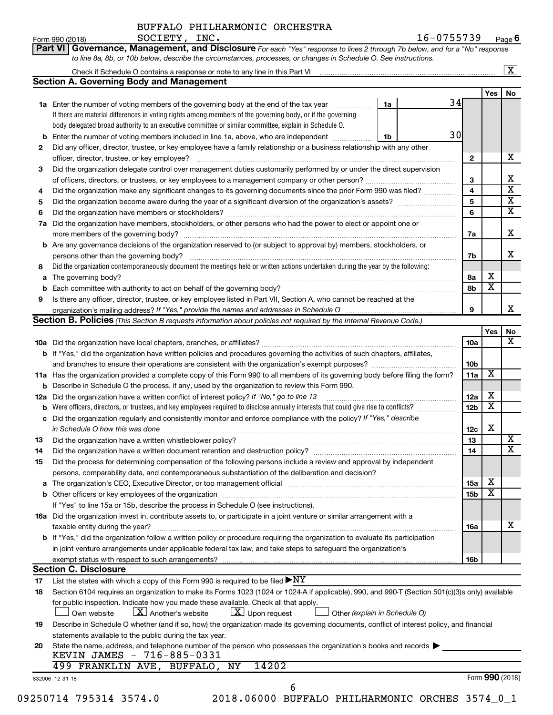Form  $990 (2018)$  SOCIETY, INC.

**Part VI** Governance, Management, and Disclosure For each "Yes" response to lines 2 through 7b below, and for a "No" response *to line 8a, 8b, or 10b below, describe the circumstances, processes, or changes in Schedule O. See instructions.*

|     | <b>Section A. Governing Body and Management</b>                                                                                                                               |                               |                 |                         |    |
|-----|-------------------------------------------------------------------------------------------------------------------------------------------------------------------------------|-------------------------------|-----------------|-------------------------|----|
|     |                                                                                                                                                                               |                               |                 | Yes                     | No |
|     | 1a Enter the number of voting members of the governing body at the end of the tax year                                                                                        | 34<br>1a                      |                 |                         |    |
|     | If there are material differences in voting rights among members of the governing body, or if the governing                                                                   |                               |                 |                         |    |
|     | body delegated broad authority to an executive committee or similar committee, explain in Schedule O.                                                                         |                               |                 |                         |    |
|     |                                                                                                                                                                               | 30                            |                 |                         |    |
|     | <b>b</b> Enter the number of voting members included in line 1a, above, who are independent <i>manumum</i>                                                                    | 1b                            |                 |                         |    |
| 2   | Did any officer, director, trustee, or key employee have a family relationship or a business relationship with any other                                                      |                               |                 |                         |    |
|     | officer, director, trustee, or key employee?                                                                                                                                  |                               | 2               |                         |    |
| 3   | Did the organization delegate control over management duties customarily performed by or under the direct supervision                                                         |                               |                 |                         |    |
|     |                                                                                                                                                                               |                               | 3               |                         |    |
| 4   | Did the organization make any significant changes to its governing documents since the prior Form 990 was filed?                                                              |                               | 4               |                         |    |
| 5   |                                                                                                                                                                               |                               | 5               |                         |    |
| 6   |                                                                                                                                                                               |                               | 6               |                         |    |
| 7a  | Did the organization have members, stockholders, or other persons who had the power to elect or appoint one or                                                                |                               |                 |                         |    |
|     |                                                                                                                                                                               |                               | 7а              |                         |    |
|     | <b>b</b> Are any governance decisions of the organization reserved to (or subject to approval by) members, stockholders, or                                                   |                               |                 |                         |    |
|     |                                                                                                                                                                               |                               | 7b              |                         |    |
| 8   | Did the organization contemporaneously document the meetings held or written actions undertaken during the year by the following:                                             |                               |                 |                         |    |
|     |                                                                                                                                                                               |                               | 8а              | х                       |    |
| b   |                                                                                                                                                                               |                               | 8b              | $\overline{\textbf{x}}$ |    |
| 9   | Is there any officer, director, trustee, or key employee listed in Part VII, Section A, who cannot be reached at the                                                          |                               |                 |                         |    |
|     |                                                                                                                                                                               |                               | 9               |                         |    |
|     |                                                                                                                                                                               |                               |                 |                         |    |
|     | <b>Section B. Policies</b> (This Section B requests information about policies not required by the Internal Revenue Code.)                                                    |                               |                 |                         |    |
|     |                                                                                                                                                                               |                               |                 | Yes                     |    |
|     |                                                                                                                                                                               |                               | 10a             |                         |    |
|     | b If "Yes," did the organization have written policies and procedures governing the activities of such chapters, affiliates,                                                  |                               |                 |                         |    |
|     |                                                                                                                                                                               |                               | 10 <sub>b</sub> |                         |    |
|     | 11a Has the organization provided a complete copy of this Form 990 to all members of its governing body before filing the form?                                               |                               | 11a             | х                       |    |
|     | <b>b</b> Describe in Schedule O the process, if any, used by the organization to review this Form 990.                                                                        |                               |                 |                         |    |
| 12a | Did the organization have a written conflict of interest policy? If "No," go to line 13                                                                                       |                               | 12a             | х                       |    |
| b   | Were officers, directors, or trustees, and key employees required to disclose annually interests that could give rise to conflicts?                                           |                               | 12 <sub>b</sub> | $\overline{\textbf{x}}$ |    |
|     | c Did the organization regularly and consistently monitor and enforce compliance with the policy? If "Yes," describe                                                          |                               |                 |                         |    |
|     | in Schedule O how this was done <i>manufacture content of the set of the set of the set of the set of the set of th</i>                                                       |                               | 12c             | X                       |    |
| 13  |                                                                                                                                                                               |                               | 13              |                         |    |
| 14  | Did the organization have a written document retention and destruction policy? [11] manufaction in the organization have a written document retention and destruction policy? |                               | 14              |                         |    |
| 15  | Did the process for determining compensation of the following persons include a review and approval by independent                                                            |                               |                 |                         |    |
|     | persons, comparability data, and contemporaneous substantiation of the deliberation and decision?                                                                             |                               |                 |                         |    |
|     |                                                                                                                                                                               |                               | <b>15a</b>      | х                       |    |
|     |                                                                                                                                                                               |                               | 15 <sub>b</sub> | $\overline{\textbf{x}}$ |    |
|     | If "Yes" to line 15a or 15b, describe the process in Schedule O (see instructions).                                                                                           |                               |                 |                         |    |
|     |                                                                                                                                                                               |                               |                 |                         |    |
|     | 16a Did the organization invest in, contribute assets to, or participate in a joint venture or similar arrangement with a                                                     |                               |                 |                         |    |
|     | taxable entity during the year?                                                                                                                                               |                               | 16a             |                         |    |
|     | b If "Yes," did the organization follow a written policy or procedure requiring the organization to evaluate its participation                                                |                               |                 |                         |    |
|     | in joint venture arrangements under applicable federal tax law, and take steps to safeguard the organization's                                                                |                               |                 |                         |    |
|     | exempt status with respect to such arrangements?                                                                                                                              |                               | 16 <sub>b</sub> |                         |    |
|     | <b>Section C. Disclosure</b>                                                                                                                                                  |                               |                 |                         |    |
| 17  | List the states with which a copy of this Form 990 is required to be filed $\blacktriangleright\text{NY}$                                                                     |                               |                 |                         |    |
| 18  | Section 6104 requires an organization to make its Forms 1023 (1024 or 1024 A if applicable), 990, and 990-T (Section 501(c)(3)s only) available                               |                               |                 |                         |    |
|     | for public inspection. Indicate how you made these available. Check all that apply.                                                                                           |                               |                 |                         |    |
|     | $\lfloor x \rfloor$ Upon request<br>$\lfloor X \rfloor$ Another's website<br>Own website                                                                                      | Other (explain in Schedule O) |                 |                         |    |
| 19  | Describe in Schedule O whether (and if so, how) the organization made its governing documents, conflict of interest policy, and financial                                     |                               |                 |                         |    |
|     | statements available to the public during the tax year.                                                                                                                       |                               |                 |                         |    |
| 20  | State the name, address, and telephone number of the person who possesses the organization's books and records                                                                |                               |                 |                         |    |
|     | KEVIN JAMES - 716-885-0331                                                                                                                                                    |                               |                 |                         |    |
|     | 14202<br>499 FRANKLIN AVE, BUFFALO, NY                                                                                                                                        |                               |                 |                         |    |
|     | 832006 12-31-18                                                                                                                                                               |                               |                 | Form 990 (2018)         |    |
|     | 6                                                                                                                                                                             |                               |                 |                         |    |
|     |                                                                                                                                                                               |                               |                 |                         |    |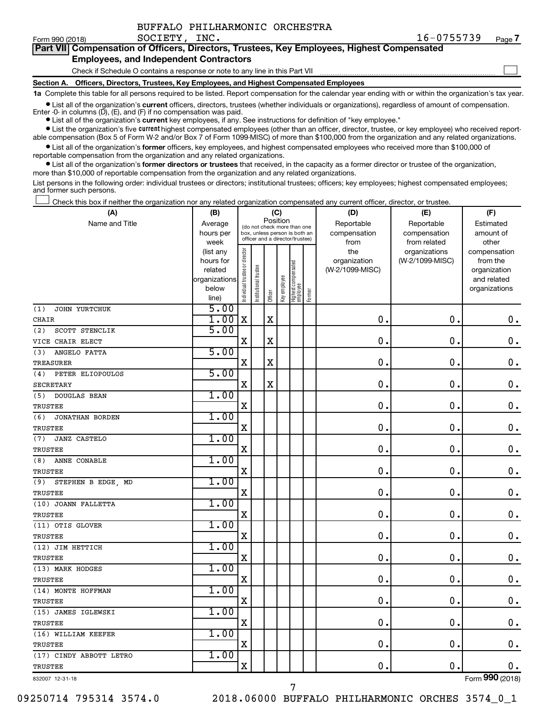| BUFFALO PHILHARMONIC ORCHESTRA |
|--------------------------------|
|--------------------------------|

 $\Box$ 

| Part VII Compensation of Officers, Directors, Trustees, Key Employees, Highest Compensated |
|--------------------------------------------------------------------------------------------|
| <b>Employees, and Independent Contractors</b>                                              |

Check if Schedule O contains a response or note to any line in this Part VII

**Section A. Officers, Directors, Trustees, Key Employees, and Highest Compensated Employees**

**1a**  Complete this table for all persons required to be listed. Report compensation for the calendar year ending with or within the organization's tax year.

**•** List all of the organization's current officers, directors, trustees (whether individuals or organizations), regardless of amount of compensation. Enter -0- in columns  $(D)$ ,  $(E)$ , and  $(F)$  if no compensation was paid.

**•** List all of the organization's **current** key employees, if any. See instructions for definition of "key employee."

**•** List the organization's five current highest compensated employees (other than an officer, director, trustee, or key employee) who received reportable compensation (Box 5 of Form W-2 and/or Box 7 of Form 1099-MISC) of more than \$100,000 from the organization and any related organizations.

**•** List all of the organization's former officers, key employees, and highest compensated employees who received more than \$100,000 of reportable compensation from the organization and any related organizations.

**•** List all of the organization's former directors or trustees that received, in the capacity as a former director or trustee of the organization, more than \$10,000 of reportable compensation from the organization and any related organizations.

List persons in the following order: individual trustees or directors; institutional trustees; officers; key employees; highest compensated employees; and former such persons.

Check this box if neither the organization nor any related organization compensated any current officer, director, or trustee.  $\Box$ 

| (A)                           | (B)                  |                                |                                                                  | (C)         |              |                                 |        | (D)                             | (E)             | (F)                      |
|-------------------------------|----------------------|--------------------------------|------------------------------------------------------------------|-------------|--------------|---------------------------------|--------|---------------------------------|-----------------|--------------------------|
| Name and Title                | Average              |                                | (do not check more than one                                      | Position    |              |                                 |        | Reportable                      | Reportable      | Estimated                |
|                               | hours per            |                                | box, unless person is both an<br>officer and a director/trustee) |             |              |                                 |        | compensation                    | compensation    | amount of                |
|                               | week                 |                                |                                                                  |             |              |                                 |        | from                            | from related    | other                    |
|                               | (list any            |                                |                                                                  |             |              |                                 |        | the                             | organizations   | compensation             |
|                               | hours for<br>related |                                |                                                                  |             |              |                                 |        | organization<br>(W-2/1099-MISC) | (W-2/1099-MISC) | from the<br>organization |
|                               | organizations        |                                |                                                                  |             |              |                                 |        |                                 |                 | and related              |
|                               | below                |                                |                                                                  |             |              |                                 |        |                                 |                 | organizations            |
|                               | line)                | Individual trustee or director | Institutional trustee                                            | Officer     | Key employee | Highest compensated<br>employee | Former |                                 |                 |                          |
| JOHN YURTCHUK<br>(1)          | 5.00                 |                                |                                                                  |             |              |                                 |        |                                 |                 |                          |
| CHAIR                         | 1.00                 | $\mathbf X$                    |                                                                  | X           |              |                                 |        | $\mathbf 0$ .                   | $\mathbf 0$ .   | 0.                       |
| SCOTT STENCLIK<br>(2)         | 5.00                 |                                |                                                                  |             |              |                                 |        |                                 |                 |                          |
| VICE CHAIR ELECT              |                      | X                              |                                                                  | $\mathbf X$ |              |                                 |        | $\mathbf 0$ .                   | $\mathbf 0$ .   | $\mathbf 0$ .            |
| (3)<br>ANGELO FATTA           | 5.00                 |                                |                                                                  |             |              |                                 |        |                                 |                 |                          |
| TREASURER                     |                      | $\mathbf X$                    |                                                                  | X           |              |                                 |        | $\mathbf 0$ .                   | 0.              | 0.                       |
| PETER ELIOPOULOS<br>(4)       | 5.00                 |                                |                                                                  |             |              |                                 |        |                                 |                 |                          |
| <b>SECRETARY</b>              |                      | $\mathbf X$                    |                                                                  | $\mathbf X$ |              |                                 |        | 0.                              | $\mathbf 0$ .   | $\mathbf 0$ .            |
| (5)<br><b>DOUGLAS BEAN</b>    | 1.00                 |                                |                                                                  |             |              |                                 |        |                                 |                 |                          |
| TRUSTEE                       |                      | X                              |                                                                  |             |              |                                 |        | 0                               | 0.              | $\mathbf 0$ .            |
| <b>JONATHAN BORDEN</b><br>(6) | 1.00                 |                                |                                                                  |             |              |                                 |        |                                 |                 |                          |
| <b>TRUSTEE</b>                |                      | X                              |                                                                  |             |              |                                 |        | 0                               | 0.              | $\mathbf 0$ .            |
| <b>JANZ CASTELO</b><br>(7)    | 1.00                 |                                |                                                                  |             |              |                                 |        |                                 |                 |                          |
| TRUSTEE                       |                      | X                              |                                                                  |             |              |                                 |        | $\mathbf 0$ .                   | $\mathbf 0$     | $\mathbf 0$ .            |
| (8)<br>ANNE CONABLE           | 1.00                 |                                |                                                                  |             |              |                                 |        |                                 |                 |                          |
| TRUSTEE                       |                      | X                              |                                                                  |             |              |                                 |        | $\mathbf 0$                     | 0.              | $\mathbf 0$ .            |
| STEPHEN B EDGE, MD<br>(9)     | 1.00                 |                                |                                                                  |             |              |                                 |        |                                 |                 |                          |
| <b>TRUSTEE</b>                |                      | $\mathbf X$                    |                                                                  |             |              |                                 |        | $\mathbf 0$ .                   | $\mathbf 0$ .   | $\mathbf 0$ .            |
| (10) JOANN FALLETTA           | 1.00                 |                                |                                                                  |             |              |                                 |        |                                 |                 |                          |
| <b>TRUSTEE</b>                |                      | X                              |                                                                  |             |              |                                 |        | 0.                              | $\mathbf 0$ .   | $\mathbf 0$ .            |
| (11) OTIS GLOVER              | 1.00                 |                                |                                                                  |             |              |                                 |        |                                 |                 |                          |
| <b>TRUSTEE</b>                |                      | $\mathbf X$                    |                                                                  |             |              |                                 |        | $\mathbf 0$                     | $\mathbf 0$ .   | $\mathbf 0$ .            |
| (12) JIM HETTICH              | 1.00                 |                                |                                                                  |             |              |                                 |        |                                 |                 |                          |
| <b>TRUSTEE</b>                |                      | X                              |                                                                  |             |              |                                 |        | 0                               | $\mathbf 0$ .   | $\mathbf 0$ .            |
| (13) MARK HODGES              | 1.00                 |                                |                                                                  |             |              |                                 |        |                                 |                 |                          |
| TRUSTEE                       |                      | X                              |                                                                  |             |              |                                 |        | 0                               | $\mathbf 0$     | $\mathbf 0$ .            |
| (14) MONTE HOFFMAN            | 1.00                 |                                |                                                                  |             |              |                                 |        |                                 |                 |                          |
| TRUSTEE                       |                      | $\mathbf X$                    |                                                                  |             |              |                                 |        | $\mathbf 0$ .                   | $\mathbf 0$ .   | $\mathbf 0$ .            |
| (15) JAMES IGLEWSKI           | 1.00                 |                                |                                                                  |             |              |                                 |        |                                 |                 |                          |
| TRUSTEE                       |                      | $\mathbf X$                    |                                                                  |             |              |                                 |        | 0                               | $\mathbf 0$     | $\mathbf 0$ .            |
| (16) WILLIAM KEEFER           | 1.00                 |                                |                                                                  |             |              |                                 |        |                                 |                 |                          |
| TRUSTEE                       |                      | X                              |                                                                  |             |              |                                 |        | $\mathbf 0$                     | $\mathbf 0$ .   | 0.                       |
| (17) CINDY ABBOTT LETRO       | 1.00                 |                                |                                                                  |             |              |                                 |        |                                 |                 |                          |
| TRUSTEE                       |                      | $\mathbf X$                    |                                                                  |             |              |                                 |        | 0.                              | $\mathbf 0$     | $0$ .                    |
| 832007 12-31-18               |                      |                                |                                                                  |             |              |                                 |        |                                 |                 | Form 990 (2018)          |

7

09250714 795314 3574.0 2018.06000 BUFFALO PHILHARMONIC ORCHES 3574\_0\_1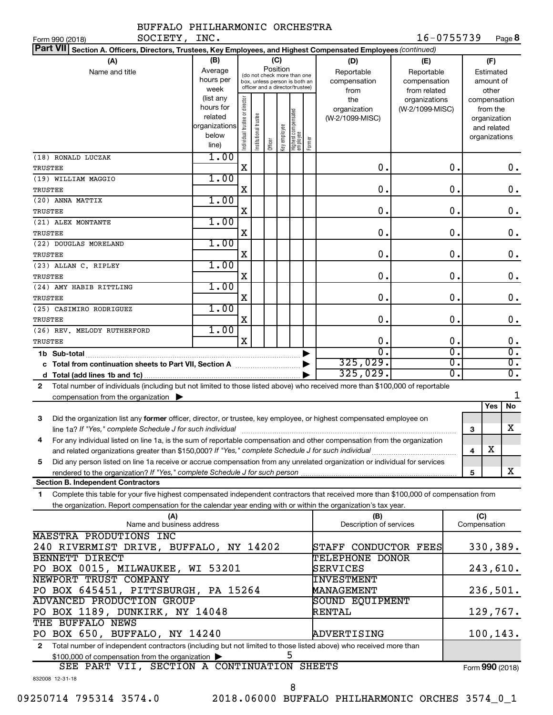| SOCIETY, INC.<br>Form 990 (2018)                                                                                                                                                                                                                                                                                                  |                                                                                                                                                           |                                |                      |         |              |                                 |        |                                           | 16-0755739                                        |                        |                     |                                                                          | Page 8                               |
|-----------------------------------------------------------------------------------------------------------------------------------------------------------------------------------------------------------------------------------------------------------------------------------------------------------------------------------|-----------------------------------------------------------------------------------------------------------------------------------------------------------|--------------------------------|----------------------|---------|--------------|---------------------------------|--------|-------------------------------------------|---------------------------------------------------|------------------------|---------------------|--------------------------------------------------------------------------|--------------------------------------|
| Part VII Section A. Officers, Directors, Trustees, Key Employees, and Highest Compensated Employees (continued)                                                                                                                                                                                                                   |                                                                                                                                                           |                                |                      |         |              |                                 |        |                                           |                                                   |                        |                     |                                                                          |                                      |
| (A)<br>Name and title                                                                                                                                                                                                                                                                                                             | (B)<br>(C)<br>Position<br>Average<br>(do not check more than one<br>hours per<br>box, unless person is both an<br>officer and a director/trustee)<br>week |                                |                      |         |              |                                 |        | (D)<br>Reportable<br>compensation<br>from | (E)<br>Reportable<br>compensation<br>from related |                        |                     | (F)<br>Estimated<br>amount of<br>other                                   |                                      |
|                                                                                                                                                                                                                                                                                                                                   | (list any<br>hours for<br>related<br>organizations<br>below<br>line)                                                                                      | Individual trustee or director | nstitutional trustee | Officer | key employee | Highest compensated<br>employee | Former | the<br>organization<br>(W-2/1099-MISC)    | organizations<br>(W-2/1099-MISC)                  |                        |                     | compensation<br>from the<br>organization<br>and related<br>organizations |                                      |
| (18) RONALD LUCZAK<br>TRUSTEE                                                                                                                                                                                                                                                                                                     | 1.00                                                                                                                                                      | X                              |                      |         |              |                                 |        | 0.                                        |                                                   | 0.                     |                     |                                                                          | 0.                                   |
| (19) WILLIAM MAGGIO<br>TRUSTEE                                                                                                                                                                                                                                                                                                    | 1.00                                                                                                                                                      | Χ                              |                      |         |              |                                 |        | 0.                                        |                                                   | О.                     |                     |                                                                          | $\mathbf 0$ .                        |
| (20) ANNA MATTIX<br>TRUSTEE                                                                                                                                                                                                                                                                                                       | 1.00                                                                                                                                                      | Χ                              |                      |         |              |                                 |        | 0.                                        |                                                   | О.                     |                     |                                                                          | $\mathbf 0$ .                        |
| (21) ALEX MONTANTE<br>TRUSTEE                                                                                                                                                                                                                                                                                                     | 1.00                                                                                                                                                      | Χ                              |                      |         |              |                                 |        | 0.                                        |                                                   | О.                     |                     |                                                                          | $\mathbf 0$ .                        |
| (22) DOUGLAS MORELAND<br>TRUSTEE                                                                                                                                                                                                                                                                                                  | 1.00                                                                                                                                                      | Χ                              |                      |         |              |                                 |        | 0.                                        |                                                   | О.                     |                     |                                                                          | $\mathbf 0$ .                        |
| (23) ALLAN C. RIPLEY<br>TRUSTEE                                                                                                                                                                                                                                                                                                   | 1.00                                                                                                                                                      | Χ                              |                      |         |              |                                 |        | 0.                                        |                                                   | О.                     |                     |                                                                          | $\mathbf 0$ .                        |
| (24) AMY HABIB RITTLING<br>TRUSTEE                                                                                                                                                                                                                                                                                                | 1.00                                                                                                                                                      | Χ                              |                      |         |              |                                 |        | 0.                                        |                                                   | О.                     |                     |                                                                          | $\mathbf 0$ .                        |
| (25) CASIMIRO RODRIGUEZ                                                                                                                                                                                                                                                                                                           | 1.00                                                                                                                                                      |                                |                      |         |              |                                 |        | $0$ .                                     |                                                   | О.                     |                     |                                                                          |                                      |
| TRUSTEE<br>(26) REV. MELODY RUTHERFORD                                                                                                                                                                                                                                                                                            | 1.00                                                                                                                                                      | Χ                              |                      |         |              |                                 |        |                                           |                                                   |                        |                     |                                                                          | $\mathbf 0$ .                        |
| TRUSTEE                                                                                                                                                                                                                                                                                                                           |                                                                                                                                                           | X                              |                      |         |              |                                 |        | 0.<br>О.                                  |                                                   | О.<br>σ.               |                     |                                                                          | $\mathbf 0$ .<br>$\overline{0}$ .    |
| 1b Sub-total                                                                                                                                                                                                                                                                                                                      |                                                                                                                                                           |                                |                      |         |              |                                 |        | 325,029.<br>325,029.                      |                                                   | σ.<br>$\overline{0}$ . |                     |                                                                          | $\overline{0}$ .<br>$\overline{0}$ . |
| Total number of individuals (including but not limited to those listed above) who received more than \$100,000 of reportable<br>$\mathbf{2}$<br>compensation from the organization $\blacktriangleright$                                                                                                                          |                                                                                                                                                           |                                |                      |         |              |                                 |        |                                           |                                                   |                        |                     |                                                                          |                                      |
|                                                                                                                                                                                                                                                                                                                                   |                                                                                                                                                           |                                |                      |         |              |                                 |        |                                           |                                                   |                        |                     | Yes                                                                      | No                                   |
| Did the organization list any former officer, director, or trustee, key employee, or highest compensated employee on<br>3                                                                                                                                                                                                         |                                                                                                                                                           |                                |                      |         |              |                                 |        |                                           |                                                   |                        | 3                   |                                                                          | х                                    |
| 4<br>For any individual listed on line 1a, is the sum of reportable compensation and other compensation from the organization<br>and related organizations greater than \$150,000? If "Yes," complete Schedule J for such individual                                                                                              |                                                                                                                                                           |                                |                      |         |              |                                 |        |                                           |                                                   |                        | 4                   | х                                                                        |                                      |
| Did any person listed on line 1a receive or accrue compensation from any unrelated organization or individual for services<br>5<br>rendered to the organization? If "Yes," complete Schedule J for such person manufactured to the organization? If "Yes," complete Schedule J for such person manufactured and the organization? |                                                                                                                                                           |                                |                      |         |              |                                 |        |                                           |                                                   |                        | 5                   |                                                                          | X                                    |
| <b>Section B. Independent Contractors</b>                                                                                                                                                                                                                                                                                         |                                                                                                                                                           |                                |                      |         |              |                                 |        |                                           |                                                   |                        |                     |                                                                          |                                      |
| Complete this table for your five highest compensated independent contractors that received more than \$100,000 of compensation from<br>1<br>the organization. Report compensation for the calendar year ending with or within the organization's tax year.                                                                       |                                                                                                                                                           |                                |                      |         |              |                                 |        |                                           |                                                   |                        |                     |                                                                          |                                      |
| (A)<br>Name and business address                                                                                                                                                                                                                                                                                                  |                                                                                                                                                           |                                |                      |         |              |                                 |        | (B)<br>Description of services            |                                                   |                        | (C)<br>Compensation |                                                                          |                                      |
| MAESTRA PRODUTIONS INC<br>240 RIVERMIST DRIVE, BUFFALO, NY 14202                                                                                                                                                                                                                                                                  |                                                                                                                                                           |                                |                      |         |              |                                 |        | STAFF CONDUCTOR FEES                      |                                                   |                        |                     |                                                                          | 330,389.                             |
| BENNETT DIRECT<br>PO BOX 0015, MILWAUKEE, WI 53201                                                                                                                                                                                                                                                                                |                                                                                                                                                           |                                |                      |         |              |                                 |        | <b>TELEPHONE DONOR</b><br>SERVICES        |                                                   |                        |                     |                                                                          | 243,610.                             |
| NEWPORT TRUST COMPANY<br>INVESTMENT<br>PO BOX 645451, PITTSBURGH, PA 15264<br><b>MANAGEMENT</b>                                                                                                                                                                                                                                   |                                                                                                                                                           |                                |                      |         |              |                                 |        |                                           |                                                   | 236,501.               |                     |                                                                          |                                      |

Total number of independent contractors (including but not limited to those listed above) who received more than \$100,000 of compensation from the organization 5 SEE PART VII, SECTION A CONTINUATION SHEETS

PO BOX 650, BUFFALO, NY 14240 ADVERTISING 100,143.

Form (2018) **990**

832008 12-31-18

**2**

THE BUFFALO NEWS

ADVANCED PRODUCTION GROUP

PO BOX 1189, DUNKIRK, NY 14048

09250714 795314 3574.0 2018.06000 BUFFALO PHILHARMONIC ORCHES 3574\_0\_1

SOUND EQUIPMENT

RENTAL 129,767**.**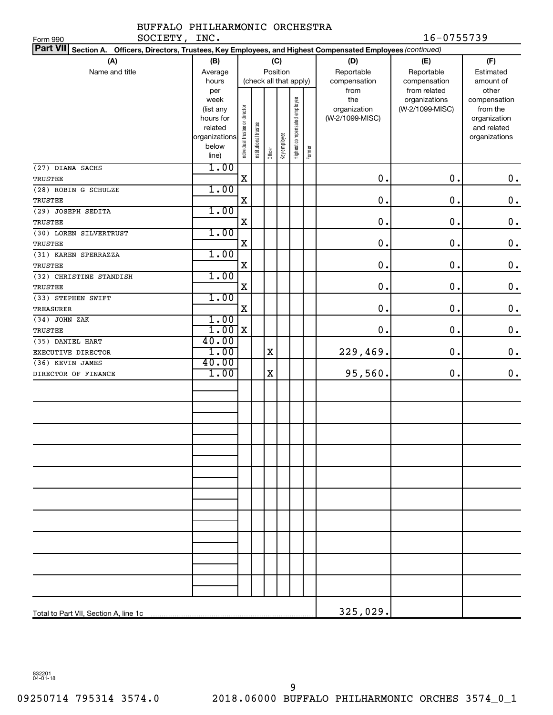#### BUFFALO PHILHARMONIC ORCHESTRA SOCIETY, INC. 16-0755739

| SOCIETY,<br>Form 990                                                                                            | INC.              |                                |                      |         |              |                              |        |                     | 16-0755739                       |                          |
|-----------------------------------------------------------------------------------------------------------------|-------------------|--------------------------------|----------------------|---------|--------------|------------------------------|--------|---------------------|----------------------------------|--------------------------|
| Part VII Section A. Officers, Directors, Trustees, Key Employees, and Highest Compensated Employees (continued) |                   |                                |                      |         |              |                              |        |                     |                                  |                          |
| (A)                                                                                                             | (B)               |                                |                      |         | (C)          |                              |        | (D)                 | (E)                              | (F)                      |
| Name and title                                                                                                  | Average           | Position                       |                      |         |              |                              |        | Reportable          | Reportable                       | Estimated                |
|                                                                                                                 | hours             |                                |                      |         |              | (check all that apply)       |        | compensation        | compensation                     | amount of                |
|                                                                                                                 | per               |                                |                      |         |              |                              |        | from                | from related                     | other                    |
|                                                                                                                 | week<br>(list any |                                |                      |         |              |                              |        | the<br>organization | organizations<br>(W-2/1099-MISC) | compensation<br>from the |
|                                                                                                                 | hours for         |                                |                      |         |              |                              |        | (W-2/1099-MISC)     |                                  | organization             |
|                                                                                                                 | related           |                                |                      |         |              |                              |        |                     |                                  | and related              |
|                                                                                                                 | organizations     |                                |                      |         |              |                              |        |                     |                                  | organizations            |
|                                                                                                                 | below<br>line)    | Individual trustee or director | nstitutional trustee | Officer | Key employee | Highest compensated employee | Former |                     |                                  |                          |
| (27) DIANA SACHS                                                                                                | 1.00              |                                |                      |         |              |                              |        |                     |                                  |                          |
| <b>TRUSTEE</b>                                                                                                  |                   | $\mathbf x$                    |                      |         |              |                              |        | 0.                  | $\mathbf 0$ .                    | $\mathbf 0$ .            |
| (28) ROBIN G SCHULZE                                                                                            | 1.00              |                                |                      |         |              |                              |        |                     |                                  |                          |
| <b>TRUSTEE</b>                                                                                                  |                   | $\mathbf X$                    |                      |         |              |                              |        | 0.                  | $\mathbf 0$ .                    | $\mathbf 0$ .            |
| (29) JOSEPH SEDITA                                                                                              | 1.00              |                                |                      |         |              |                              |        |                     |                                  |                          |
| <b>TRUSTEE</b>                                                                                                  |                   | $\mathbf X$                    |                      |         |              |                              |        | 0.                  | $\mathbf 0$ .                    | $\mathbf 0$ .            |
| (30) LOREN SILVERTRUST                                                                                          | 1.00              |                                |                      |         |              |                              |        |                     |                                  |                          |
| <b>TRUSTEE</b>                                                                                                  |                   | $\mathbf X$                    |                      |         |              |                              |        | 0.                  | $\mathbf 0$ .                    | $\mathbf 0$ .            |
| (31) KAREN SPERRAZZA                                                                                            | 1.00              |                                |                      |         |              |                              |        |                     |                                  |                          |
| <b>TRUSTEE</b>                                                                                                  |                   | $\mathbf X$                    |                      |         |              |                              |        | 0.                  | $\mathbf 0$ .                    | $\mathbf 0$ .            |
| (32) CHRISTINE STANDISH                                                                                         | 1.00              |                                |                      |         |              |                              |        |                     |                                  |                          |
| <b>TRUSTEE</b>                                                                                                  |                   | $\mathbf X$                    |                      |         |              |                              |        | 0.                  | $\mathbf 0$ .                    | $\mathbf 0$ .            |
| (33) STEPHEN SWIFT                                                                                              | 1.00              |                                |                      |         |              |                              |        |                     |                                  |                          |
| <b>TREASURER</b>                                                                                                |                   | $\mathbf x$                    |                      |         |              |                              |        | 0.                  | $\mathbf 0$ .                    | $\mathbf 0$ .            |
| (34) JOHN ZAK                                                                                                   | 1.00              |                                |                      |         |              |                              |        |                     |                                  |                          |
| <b>TRUSTEE</b>                                                                                                  | $1.00$ X          |                                |                      |         |              |                              |        | 0.                  | $\mathbf 0$ .                    | $\mathbf 0$ .            |
| (35) DANIEL HART                                                                                                | 40.00             |                                |                      |         |              |                              |        |                     |                                  |                          |
| EXECUTIVE DIRECTOR                                                                                              | 1.00              |                                |                      | X       |              |                              |        | 229,469.            | $\mathbf 0$ .                    | $\mathbf 0$ .            |
| (36) KEVIN JAMES                                                                                                | 40.00             |                                |                      |         |              |                              |        |                     |                                  |                          |
| DIRECTOR OF FINANCE                                                                                             | 1.00              |                                |                      | X       |              |                              |        | 95,560.             | $\mathbf 0$ .                    | $\mathbf 0$ .            |
|                                                                                                                 |                   |                                |                      |         |              |                              |        |                     |                                  |                          |
|                                                                                                                 |                   |                                |                      |         |              |                              |        |                     |                                  |                          |
|                                                                                                                 |                   |                                |                      |         |              |                              |        |                     |                                  |                          |
|                                                                                                                 |                   |                                |                      |         |              |                              |        |                     |                                  |                          |
|                                                                                                                 |                   |                                |                      |         |              |                              |        |                     |                                  |                          |
|                                                                                                                 |                   |                                |                      |         |              |                              |        |                     |                                  |                          |
|                                                                                                                 |                   |                                |                      |         |              |                              |        |                     |                                  |                          |
|                                                                                                                 |                   |                                |                      |         |              |                              |        |                     |                                  |                          |
|                                                                                                                 |                   |                                |                      |         |              |                              |        |                     |                                  |                          |
|                                                                                                                 |                   |                                |                      |         |              |                              |        |                     |                                  |                          |
|                                                                                                                 |                   |                                |                      |         |              |                              |        |                     |                                  |                          |
|                                                                                                                 |                   |                                |                      |         |              |                              |        |                     |                                  |                          |
|                                                                                                                 |                   |                                |                      |         |              |                              |        |                     |                                  |                          |
|                                                                                                                 |                   |                                |                      |         |              |                              |        |                     |                                  |                          |
|                                                                                                                 |                   |                                |                      |         |              |                              |        |                     |                                  |                          |
|                                                                                                                 |                   |                                |                      |         |              |                              |        |                     |                                  |                          |
|                                                                                                                 |                   |                                |                      |         |              |                              |        |                     |                                  |                          |
|                                                                                                                 |                   |                                |                      |         |              |                              |        |                     |                                  |                          |
|                                                                                                                 |                   |                                |                      |         |              |                              |        |                     |                                  |                          |
|                                                                                                                 |                   |                                |                      |         |              |                              |        | 325,029.            |                                  |                          |

832201 04-01-18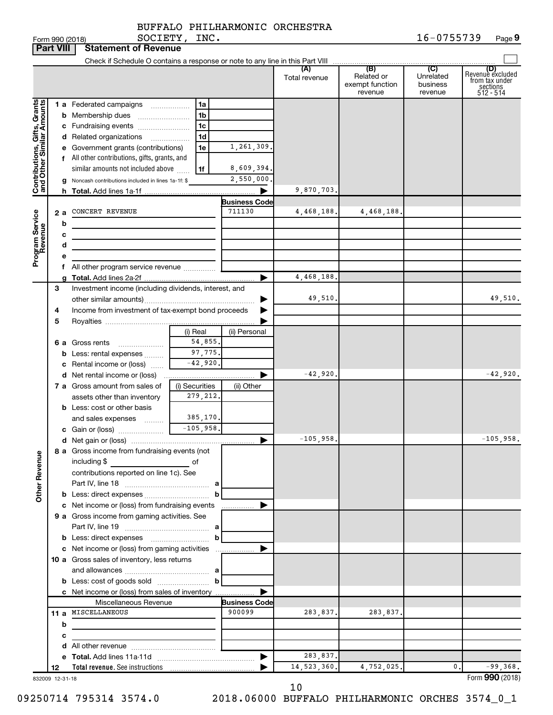|                                                           | <b>Part VIII</b> | <b>Statement of Revenue</b>                                             |                |                                |                      |                                                 |                                         |                                                                    |
|-----------------------------------------------------------|------------------|-------------------------------------------------------------------------|----------------|--------------------------------|----------------------|-------------------------------------------------|-----------------------------------------|--------------------------------------------------------------------|
|                                                           |                  |                                                                         |                |                                |                      |                                                 |                                         |                                                                    |
|                                                           |                  |                                                                         |                |                                | (A)<br>Total revenue | (B)<br>Related or<br>exempt function<br>revenue | (C)<br>Unrelated<br>business<br>revenue | (D)<br>Revenue excluded<br>from tax under<br>sections<br>512 - 514 |
|                                                           |                  | 1 a Federated campaigns                                                 | 1a             |                                |                      |                                                 |                                         |                                                                    |
|                                                           |                  | <b>b</b> Membership dues                                                | 1b             |                                |                      |                                                 |                                         |                                                                    |
|                                                           |                  | c Fundraising events                                                    | 1c             |                                |                      |                                                 |                                         |                                                                    |
|                                                           |                  | d Related organizations<br>$\overline{\phantom{a}}$                     | 1d             |                                |                      |                                                 |                                         |                                                                    |
| Contributions, Gifts, Grants<br>and Other Similar Amounts |                  | e Government grants (contributions)                                     | 1e             | 1,261,309.                     |                      |                                                 |                                         |                                                                    |
|                                                           |                  | f All other contributions, gifts, grants, and                           |                |                                |                      |                                                 |                                         |                                                                    |
|                                                           |                  | similar amounts not included above                                      | 1f             | 8,609,394.                     |                      |                                                 |                                         |                                                                    |
|                                                           |                  | g Noncash contributions included in lines 1a-1f: \$                     |                | 2,550,000.                     |                      |                                                 |                                         |                                                                    |
|                                                           |                  |                                                                         |                |                                | 9,870,703.           |                                                 |                                         |                                                                    |
|                                                           |                  |                                                                         |                | <b>Business Code</b>           |                      |                                                 |                                         |                                                                    |
|                                                           | 2a               | CONCERT REVENUE                                                         |                | 711130                         | 4,468,188.           | 4,468,188                                       |                                         |                                                                    |
| Program Service<br>Revenue                                | b                |                                                                         |                |                                |                      |                                                 |                                         |                                                                    |
|                                                           | с                |                                                                         |                |                                |                      |                                                 |                                         |                                                                    |
|                                                           | d                |                                                                         |                |                                |                      |                                                 |                                         |                                                                    |
|                                                           |                  | All other program service revenue                                       |                |                                |                      |                                                 |                                         |                                                                    |
|                                                           |                  |                                                                         |                |                                | 4,468,188            |                                                 |                                         |                                                                    |
|                                                           | 3                | Investment income (including dividends, interest, and                   |                |                                |                      |                                                 |                                         |                                                                    |
|                                                           |                  |                                                                         |                |                                | 49,510.              |                                                 |                                         | 49,510.                                                            |
|                                                           | 4                | Income from investment of tax-exempt bond proceeds                      |                |                                |                      |                                                 |                                         |                                                                    |
|                                                           | 5                |                                                                         |                |                                |                      |                                                 |                                         |                                                                    |
|                                                           |                  |                                                                         | (i) Real       | (ii) Personal                  |                      |                                                 |                                         |                                                                    |
|                                                           |                  | 6 a Gross rents                                                         | 54,855.        |                                |                      |                                                 |                                         |                                                                    |
|                                                           |                  | <b>b</b> Less: rental expenses                                          | 97,775.        |                                |                      |                                                 |                                         |                                                                    |
|                                                           |                  | Rental income or (loss)                                                 | $-42,920.$     |                                |                      |                                                 |                                         |                                                                    |
|                                                           |                  | <b>d</b> Net rental income or (loss)                                    |                |                                | $-42,920.$           |                                                 |                                         | $-42,920.$                                                         |
|                                                           |                  | 7 a Gross amount from sales of                                          | (i) Securities | (ii) Other                     |                      |                                                 |                                         |                                                                    |
|                                                           |                  | assets other than inventory                                             | 279, 212.      |                                |                      |                                                 |                                         |                                                                    |
|                                                           |                  | <b>b</b> Less: cost or other basis                                      | 385,170.       |                                |                      |                                                 |                                         |                                                                    |
|                                                           |                  | and sales expenses                                                      | $-105,958.$    |                                |                      |                                                 |                                         |                                                                    |
|                                                           |                  |                                                                         |                | ▶                              | $-105,958.$          |                                                 |                                         | $-105,958.$                                                        |
|                                                           |                  | 8 a Gross income from fundraising events (not                           |                |                                |                      |                                                 |                                         |                                                                    |
| <b>Other Revenue</b>                                      |                  | including \$                                                            | of             |                                |                      |                                                 |                                         |                                                                    |
|                                                           |                  | contributions reported on line 1c). See                                 |                |                                |                      |                                                 |                                         |                                                                    |
|                                                           |                  |                                                                         |                |                                |                      |                                                 |                                         |                                                                    |
|                                                           |                  | <b>b</b> Less: direct expenses <i></i>                                  | $\mathbf b$    |                                |                      |                                                 |                                         |                                                                    |
|                                                           |                  | c Net income or (loss) from fundraising events                          |                | .                              |                      |                                                 |                                         |                                                                    |
|                                                           |                  | 9 a Gross income from gaming activities. See                            |                |                                |                      |                                                 |                                         |                                                                    |
|                                                           |                  |                                                                         |                |                                |                      |                                                 |                                         |                                                                    |
|                                                           |                  |                                                                         | b              |                                |                      |                                                 |                                         |                                                                    |
|                                                           |                  | c Net income or (loss) from gaming activities                           |                |                                |                      |                                                 |                                         |                                                                    |
|                                                           |                  | 10 a Gross sales of inventory, less returns                             |                |                                |                      |                                                 |                                         |                                                                    |
|                                                           |                  |                                                                         |                |                                |                      |                                                 |                                         |                                                                    |
|                                                           |                  |                                                                         | $\mathbf{b}$   |                                |                      |                                                 |                                         |                                                                    |
|                                                           |                  | c Net income or (loss) from sales of inventory<br>Miscellaneous Revenue |                |                                |                      |                                                 |                                         |                                                                    |
|                                                           |                  | 11 a MISCELLANEOUS                                                      |                | <b>Business Code</b><br>900099 | 283,837.             | 283,837.                                        |                                         |                                                                    |
|                                                           | b                |                                                                         |                |                                |                      |                                                 |                                         |                                                                    |
|                                                           | с                | the control of the control of the control of                            |                |                                |                      |                                                 |                                         |                                                                    |
|                                                           |                  |                                                                         |                |                                |                      |                                                 |                                         |                                                                    |
|                                                           |                  |                                                                         |                |                                | 283,837.             |                                                 |                                         |                                                                    |
|                                                           | 12               |                                                                         |                |                                | 14, 523, 360.        | 4,752,025.                                      | 0.                                      | $-99,368.$                                                         |
|                                                           | 832009 12-31-18  |                                                                         |                |                                |                      |                                                 |                                         | Form 990 (2018)                                                    |

832009 12-31-18

10

09250714 795314 3574.0 2018.06000 BUFFALO PHILHARMONIC ORCHES 3574\_0\_1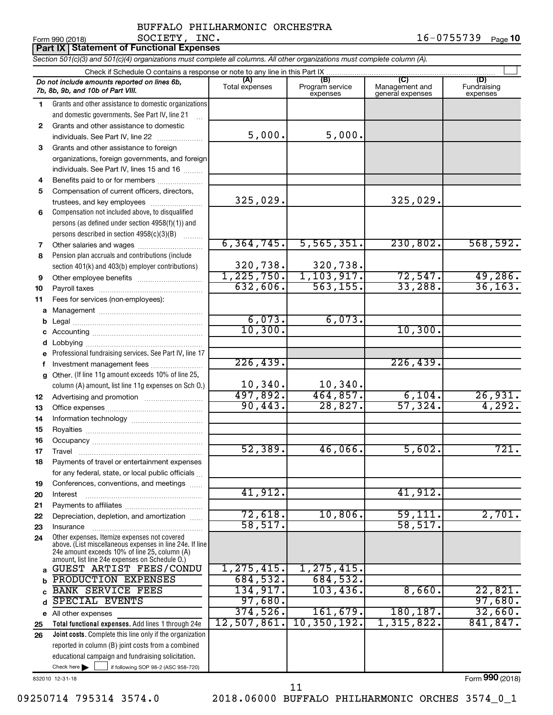|          | <b>Part IX   Statement of Functional Expenses</b>                                                                                                                                                           |                       |                                    |                                           |                                |  |  |  |
|----------|-------------------------------------------------------------------------------------------------------------------------------------------------------------------------------------------------------------|-----------------------|------------------------------------|-------------------------------------------|--------------------------------|--|--|--|
|          | Section 501(c)(3) and 501(c)(4) organizations must complete all columns. All other organizations must complete column (A).                                                                                  |                       |                                    |                                           |                                |  |  |  |
|          | Check if Schedule O contains a response or note to any line in this Part IX                                                                                                                                 |                       |                                    |                                           |                                |  |  |  |
|          | Do not include amounts reported on lines 6b,<br>7b, 8b, 9b, and 10b of Part VIII.                                                                                                                           | (A)<br>Total expenses | (B)<br>Program service<br>expenses | (C)<br>Management and<br>general expenses | (D)<br>Fundraising<br>expenses |  |  |  |
| 1        | Grants and other assistance to domestic organizations                                                                                                                                                       |                       |                                    |                                           |                                |  |  |  |
|          | and domestic governments. See Part IV, line 21                                                                                                                                                              |                       |                                    |                                           |                                |  |  |  |
| 2        | Grants and other assistance to domestic                                                                                                                                                                     |                       |                                    |                                           |                                |  |  |  |
|          | individuals. See Part IV, line 22                                                                                                                                                                           | 5,000.                | 5,000.                             |                                           |                                |  |  |  |
| 3        | Grants and other assistance to foreign                                                                                                                                                                      |                       |                                    |                                           |                                |  |  |  |
|          | organizations, foreign governments, and foreign                                                                                                                                                             |                       |                                    |                                           |                                |  |  |  |
|          | individuals. See Part IV, lines 15 and 16                                                                                                                                                                   |                       |                                    |                                           |                                |  |  |  |
| 4        | Benefits paid to or for members                                                                                                                                                                             |                       |                                    |                                           |                                |  |  |  |
| 5        | Compensation of current officers, directors,<br>trustees, and key employees                                                                                                                                 | 325,029.              |                                    | 325,029.                                  |                                |  |  |  |
| 6        | Compensation not included above, to disqualified                                                                                                                                                            |                       |                                    |                                           |                                |  |  |  |
|          | persons (as defined under section 4958(f)(1)) and                                                                                                                                                           |                       |                                    |                                           |                                |  |  |  |
|          | persons described in section 4958(c)(3)(B)                                                                                                                                                                  |                       |                                    |                                           |                                |  |  |  |
| 7        |                                                                                                                                                                                                             | 6, 364, 745.          | 5,565,351.                         | 230,802.                                  | 568,592.                       |  |  |  |
| 8        | Pension plan accruals and contributions (include                                                                                                                                                            |                       |                                    |                                           |                                |  |  |  |
|          | section 401(k) and 403(b) employer contributions)                                                                                                                                                           | 320,738.              | 320,738.                           |                                           |                                |  |  |  |
| 9        |                                                                                                                                                                                                             | 1, 225, 750.          | 1, 103, 917.                       | 72,547.                                   | 49,286.                        |  |  |  |
| 10       |                                                                                                                                                                                                             | 632,606.              | 563, 155.                          | 33,288.                                   | 36, 163.                       |  |  |  |
| 11       | Fees for services (non-employees):                                                                                                                                                                          |                       |                                    |                                           |                                |  |  |  |
| а        |                                                                                                                                                                                                             |                       |                                    |                                           |                                |  |  |  |
| b        |                                                                                                                                                                                                             | 6,073.                | 6,073.                             |                                           |                                |  |  |  |
| С        |                                                                                                                                                                                                             | 10, 300.              |                                    | 10,300.                                   |                                |  |  |  |
| d        | Lobbying                                                                                                                                                                                                    |                       |                                    |                                           |                                |  |  |  |
|          | Professional fundraising services. See Part IV, line 17                                                                                                                                                     |                       |                                    |                                           |                                |  |  |  |
| f        | Investment management fees                                                                                                                                                                                  | 226, 439.             |                                    | 226, 439.                                 |                                |  |  |  |
| g        | Other. (If line 11g amount exceeds 10% of line 25,                                                                                                                                                          |                       |                                    |                                           |                                |  |  |  |
|          | column (A) amount, list line 11g expenses on Sch O.)                                                                                                                                                        | 10,340.<br>497,892.   | 10,340.<br>464,857.                | 6,104.                                    | 26,931.                        |  |  |  |
| 12       |                                                                                                                                                                                                             | 90,443.               | 28,827.                            | 57,324.                                   | 4,292.                         |  |  |  |
| 13       |                                                                                                                                                                                                             |                       |                                    |                                           |                                |  |  |  |
| 14<br>15 |                                                                                                                                                                                                             |                       |                                    |                                           |                                |  |  |  |
| 16       |                                                                                                                                                                                                             |                       |                                    |                                           |                                |  |  |  |
| 17       | Travel                                                                                                                                                                                                      | 52,389.               | 46,066.                            | 5,602.                                    | 721.                           |  |  |  |
| 18       | Payments of travel or entertainment expenses                                                                                                                                                                |                       |                                    |                                           |                                |  |  |  |
|          | for any federal, state, or local public officials                                                                                                                                                           |                       |                                    |                                           |                                |  |  |  |
| 19       | Conferences, conventions, and meetings                                                                                                                                                                      |                       |                                    |                                           |                                |  |  |  |
| 20       | Interest                                                                                                                                                                                                    | 41,912.               |                                    | 41,912.                                   |                                |  |  |  |
| 21       |                                                                                                                                                                                                             |                       |                                    |                                           |                                |  |  |  |
| 22       | Depreciation, depletion, and amortization                                                                                                                                                                   | 72,618.               | 10,806.                            | 59,111.                                   | 2,701.                         |  |  |  |
| 23       | Insurance                                                                                                                                                                                                   | 58, 517.              |                                    | 58, 517.                                  |                                |  |  |  |
| 24       | Other expenses. Itemize expenses not covered<br>above. (List miscellaneous expenses in line 24e. If line<br>24e amount exceeds 10% of line 25, column (A)<br>amount, list line 24e expenses on Schedule O.) |                       |                                    |                                           |                                |  |  |  |
| a        | GUEST ARTIST FEES/CONDU                                                                                                                                                                                     | 1, 275, 415.          | 1, 275, 415.                       |                                           |                                |  |  |  |
|          | PRODUCTION EXPENSES                                                                                                                                                                                         | 684,532.              | 684,532.                           |                                           |                                |  |  |  |
|          | <b>BANK SERVICE FEES</b>                                                                                                                                                                                    | 134,917.              | 103,436.                           | 8,660.                                    | 22,821.                        |  |  |  |
| d        | SPECIAL EVENTS                                                                                                                                                                                              | 97,680.               |                                    |                                           | 97,680.                        |  |  |  |
|          | e All other expenses                                                                                                                                                                                        | 374,526.              | 161,679.                           | 180, 187.                                 | 32,660.                        |  |  |  |
| 25       | Total functional expenses. Add lines 1 through 24e                                                                                                                                                          | 12,507,861.           | 10, 350, 192.                      | 1,315,822.                                | 841, 847.                      |  |  |  |
| 26       | <b>Joint costs.</b> Complete this line only if the organization                                                                                                                                             |                       |                                    |                                           |                                |  |  |  |
|          | reported in column (B) joint costs from a combined                                                                                                                                                          |                       |                                    |                                           |                                |  |  |  |
|          | educational campaign and fundraising solicitation.                                                                                                                                                          |                       |                                    |                                           |                                |  |  |  |
|          | Check here<br>if following SOP 98-2 (ASC 958-720)                                                                                                                                                           |                       |                                    |                                           |                                |  |  |  |

832010 12-31-18

Form (2018) **990**

09250714 795314 3574.0 2018.06000 BUFFALO PHILHARMONIC ORCHES 3574\_0\_1 11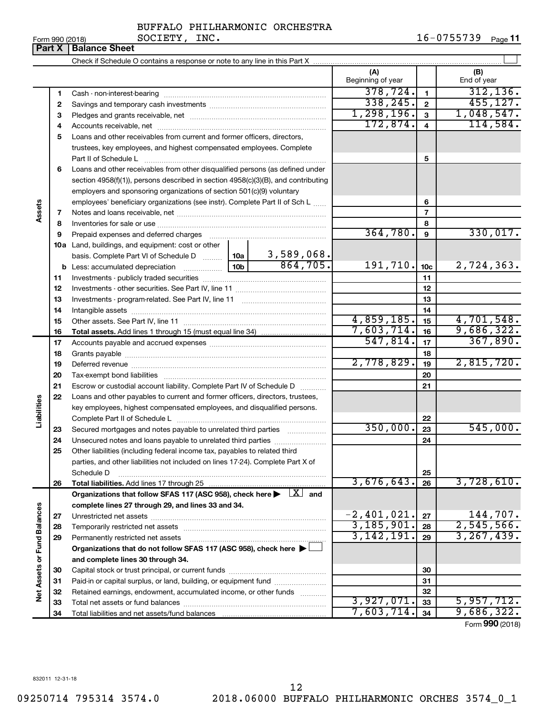$3,927,071.$   $33$  5,957,712. 7,603,714. <sub>34</sub> 9,686,322.

Form (2018) **990**

|                             |              |                                                                                                                                                                                                                               |            |                         | (A)<br>Beginning of year |                 | (B)<br>End of year |
|-----------------------------|--------------|-------------------------------------------------------------------------------------------------------------------------------------------------------------------------------------------------------------------------------|------------|-------------------------|--------------------------|-----------------|--------------------|
|                             | 1            |                                                                                                                                                                                                                               |            |                         | 378,724.                 | 1               | 312, 136.          |
|                             | $\mathbf{2}$ |                                                                                                                                                                                                                               |            |                         | 338, 245.                | $\overline{2}$  | 455, 127.          |
|                             | 3            |                                                                                                                                                                                                                               |            |                         | 1,298,196.               | 3               | 1,048,547.         |
|                             | 4            |                                                                                                                                                                                                                               | 172,874.   | $\overline{\mathbf{4}}$ | 114,584.                 |                 |                    |
|                             | 5            | Loans and other receivables from current and former officers, directors,                                                                                                                                                      |            |                         |                          |                 |                    |
|                             |              | trustees, key employees, and highest compensated employees. Complete                                                                                                                                                          |            |                         |                          |                 |                    |
|                             |              |                                                                                                                                                                                                                               |            | 5                       |                          |                 |                    |
|                             | 6            | Loans and other receivables from other disqualified persons (as defined under                                                                                                                                                 |            |                         |                          |                 |                    |
|                             |              | section $4958(f)(1)$ , persons described in section $4958(c)(3)(B)$ , and contributing                                                                                                                                        |            |                         |                          |                 |                    |
|                             |              | employers and sponsoring organizations of section 501(c)(9) voluntary                                                                                                                                                         |            |                         |                          |                 |                    |
|                             |              | employees' beneficiary organizations (see instr). Complete Part II of Sch L                                                                                                                                                   |            |                         |                          | 6               |                    |
| Assets                      | 7            |                                                                                                                                                                                                                               |            |                         |                          | 7               |                    |
|                             | 8            |                                                                                                                                                                                                                               |            |                         |                          | 8               |                    |
|                             | 9            | Prepaid expenses and deferred charges [11] [11] Prepaid expenses and deferred charges [11] [11] Martin Marian Marian Marian Marian Marian Marian Marian Marian Marian Marian Marian Marian Marian Marian Marian Marian Marian |            |                         | 364,780.                 | 9               | 330,017.           |
|                             |              | 10a Land, buildings, and equipment: cost or other                                                                                                                                                                             |            |                         |                          |                 |                    |
|                             |              | basis. Complete Part VI of Schedule D    10a                                                                                                                                                                                  |            | $3,589,068$ .           |                          |                 |                    |
|                             |              |                                                                                                                                                                                                                               |            | 864,705.                | 191,710.                 | 10 <sub>c</sub> | 2,724,363.         |
|                             | 11           |                                                                                                                                                                                                                               |            | 11                      |                          |                 |                    |
|                             | 12           |                                                                                                                                                                                                                               |            |                         | 12                       |                 |                    |
|                             | 13           |                                                                                                                                                                                                                               |            | 13                      |                          |                 |                    |
|                             | 14           |                                                                                                                                                                                                                               | 4,859,185. | 14                      | 4,701,548.               |                 |                    |
|                             | 15           |                                                                                                                                                                                                                               |            |                         | 7,603,714.               | 15              | 9,686,322.         |
|                             | 16<br>17     |                                                                                                                                                                                                                               |            | 547,814.                | 16<br>17                 | 367,890.        |                    |
|                             | 18           |                                                                                                                                                                                                                               |            |                         |                          | 18              |                    |
|                             | 19           |                                                                                                                                                                                                                               |            |                         | 2,778,829.               | 19              | 2,815,720.         |
|                             | 20           |                                                                                                                                                                                                                               |            |                         |                          | 20              |                    |
|                             | 21           | Escrow or custodial account liability. Complete Part IV of Schedule D                                                                                                                                                         |            |                         |                          | 21              |                    |
|                             | 22           | Loans and other payables to current and former officers, directors, trustees,                                                                                                                                                 |            |                         |                          |                 |                    |
| Liabilities                 |              | key employees, highest compensated employees, and disqualified persons.                                                                                                                                                       |            |                         |                          |                 |                    |
|                             |              |                                                                                                                                                                                                                               |            |                         |                          | 22              |                    |
|                             | 23           | Secured mortgages and notes payable to unrelated third parties                                                                                                                                                                |            |                         | 350,000.                 | 23              | 545,000.           |
|                             | 24           |                                                                                                                                                                                                                               |            |                         |                          | 24              |                    |
|                             | 25           | Other liabilities (including federal income tax, payables to related third                                                                                                                                                    |            |                         |                          |                 |                    |
|                             |              | parties, and other liabilities not included on lines 17-24). Complete Part X of                                                                                                                                               |            |                         |                          |                 |                    |
|                             |              | Schedule D                                                                                                                                                                                                                    |            |                         |                          | 25              |                    |
|                             | 26           | Total liabilities. Add lines 17 through 25                                                                                                                                                                                    |            |                         | 3,676,643.               | 26              | 3,728,610.         |
|                             |              | Organizations that follow SFAS 117 (ASC 958), check here                                                                                                                                                                      |            | $\lfloor x \rfloor$ and |                          |                 |                    |
|                             |              | complete lines 27 through 29, and lines 33 and 34.                                                                                                                                                                            |            |                         |                          |                 |                    |
|                             | 27           |                                                                                                                                                                                                                               |            |                         | $-2,401,021$ .           | 27              | 144,707.           |
|                             | 28           |                                                                                                                                                                                                                               |            |                         | 3,185,901.               | 28              | 2,545,566.         |
|                             | 29           | Permanently restricted net assets                                                                                                                                                                                             |            |                         | 3, 142, 191.             | 29              | 3, 267, 439.       |
|                             |              | Organizations that do not follow SFAS 117 (ASC 958), check here ▶                                                                                                                                                             |            |                         |                          |                 |                    |
|                             |              | and complete lines 30 through 34.                                                                                                                                                                                             |            |                         |                          |                 |                    |
|                             | 30           |                                                                                                                                                                                                                               |            |                         |                          | 30              |                    |
| Net Assets or Fund Balances | 31           | Paid-in or capital surplus, or land, building, or equipment fund                                                                                                                                                              |            |                         |                          | 31              |                    |
|                             | 32           | Retained earnings, endowment, accumulated income, or other funds                                                                                                                                                              |            | ঽ<br><b>027 071</b>     | 32                       | 5 957 712       |                    |

BUFFALO PHILHARMONIC ORCHESTRA

Form 990 (2018) **SOCIETY, INC.** 16-0755739 <sub>Page</sub> 11

**Part X** | Balance Sheet

09250714 795314 3574.0 2018.06000 BUFFALO PHILHARMONIC ORCHES 3574\_0\_1

12

Total net assets or fund balances Total liabilities and net assets/fund balances

 $\overline{\phantom{a}}$ 

832011 12-31-18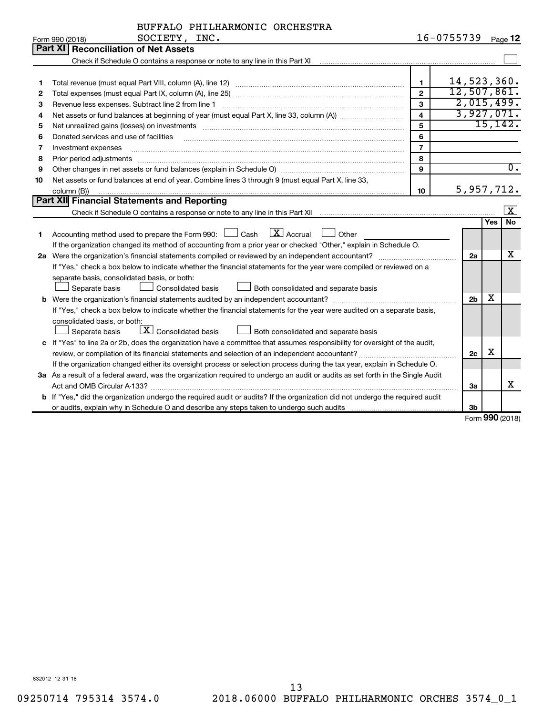| BUFFALO PHILHARMONIC ORCHESTRA |  |  |
|--------------------------------|--|--|
|--------------------------------|--|--|

|    | SOCIETY, INC.<br>Form 990 (2018)                                                                                                                                                                                               |                         | $16 - 0755739$ |            | Page 12                 |
|----|--------------------------------------------------------------------------------------------------------------------------------------------------------------------------------------------------------------------------------|-------------------------|----------------|------------|-------------------------|
|    | <b>Reconciliation of Net Assets</b><br>Part XI                                                                                                                                                                                 |                         |                |            |                         |
|    |                                                                                                                                                                                                                                |                         |                |            |                         |
|    |                                                                                                                                                                                                                                |                         |                |            |                         |
| 1  |                                                                                                                                                                                                                                | $\mathbf{1}$            | 14,523,360.    |            |                         |
| 2  |                                                                                                                                                                                                                                | $\overline{2}$          | 12,507,861.    |            |                         |
| З  | Revenue less expenses. Subtract line 2 from line 1                                                                                                                                                                             | $\overline{3}$          | 2,015,499.     |            |                         |
| 4  |                                                                                                                                                                                                                                | $\overline{\mathbf{4}}$ | 3,927,071.     |            |                         |
| 5  | Net unrealized gains (losses) on investments [11] matter contracts and the state of the state of the state of the state of the state of the state of the state of the state of the state of the state of the state of the stat | 5                       |                |            | 15, 142.                |
| 6  | Donated services and use of facilities                                                                                                                                                                                         | 6                       |                |            |                         |
| 7  | Investment expenses                                                                                                                                                                                                            | $\overline{7}$          |                |            |                         |
| 8  | Prior period adjustments                                                                                                                                                                                                       | 8                       |                |            |                         |
| 9  |                                                                                                                                                                                                                                | 9                       |                |            | $\overline{0}$ .        |
| 10 | Net assets or fund balances at end of year. Combine lines 3 through 9 (must equal Part X, line 33,                                                                                                                             |                         |                |            |                         |
|    | column (B))                                                                                                                                                                                                                    | 10                      | 5,957,712.     |            |                         |
|    | Part XII Financial Statements and Reporting                                                                                                                                                                                    |                         |                |            |                         |
|    |                                                                                                                                                                                                                                |                         |                |            | $\overline{\mathbf{x}}$ |
|    |                                                                                                                                                                                                                                |                         |                | <b>Yes</b> | <b>No</b>               |
| 1  | $\overline{X}$ Accrual<br>Accounting method used to prepare the Form 990: $\Box$ Cash<br>Other                                                                                                                                 |                         |                |            |                         |
|    | If the organization changed its method of accounting from a prior year or checked "Other," explain in Schedule O.                                                                                                              |                         |                |            |                         |
|    | 2a Were the organization's financial statements compiled or reviewed by an independent accountant?                                                                                                                             |                         | 2a             |            | x                       |
|    | If "Yes," check a box below to indicate whether the financial statements for the year were compiled or reviewed on a                                                                                                           |                         |                |            |                         |
|    | separate basis, consolidated basis, or both:                                                                                                                                                                                   |                         |                |            |                         |
|    | Separate basis<br>Consolidated basis<br>Both consolidated and separate basis                                                                                                                                                   |                         |                |            |                         |
|    |                                                                                                                                                                                                                                |                         | 2 <sub>b</sub> | X          |                         |
|    | If "Yes," check a box below to indicate whether the financial statements for the year were audited on a separate basis,                                                                                                        |                         |                |            |                         |
|    | consolidated basis, or both:                                                                                                                                                                                                   |                         |                |            |                         |
|    | $\boxed{\textbf{X}}$ Consolidated basis<br>Both consolidated and separate basis<br>Separate basis                                                                                                                              |                         |                |            |                         |
|    | c If "Yes" to line 2a or 2b, does the organization have a committee that assumes responsibility for oversight of the audit,                                                                                                    |                         |                |            |                         |
|    | review, or compilation of its financial statements and selection of an independent accountant?                                                                                                                                 |                         | 2c             | х          |                         |
|    | If the organization changed either its oversight process or selection process during the tax year, explain in Schedule O.                                                                                                      |                         |                |            |                         |
|    | 3a As a result of a federal award, was the organization required to undergo an audit or audits as set forth in the Single Audit                                                                                                |                         |                |            |                         |
|    |                                                                                                                                                                                                                                |                         | За             |            | x                       |
|    | b If "Yes," did the organization undergo the required audit or audits? If the organization did not undergo the required audit                                                                                                  |                         |                |            |                         |
|    |                                                                                                                                                                                                                                |                         | 3b             |            |                         |

Form (2018) **990**

832012 12-31-18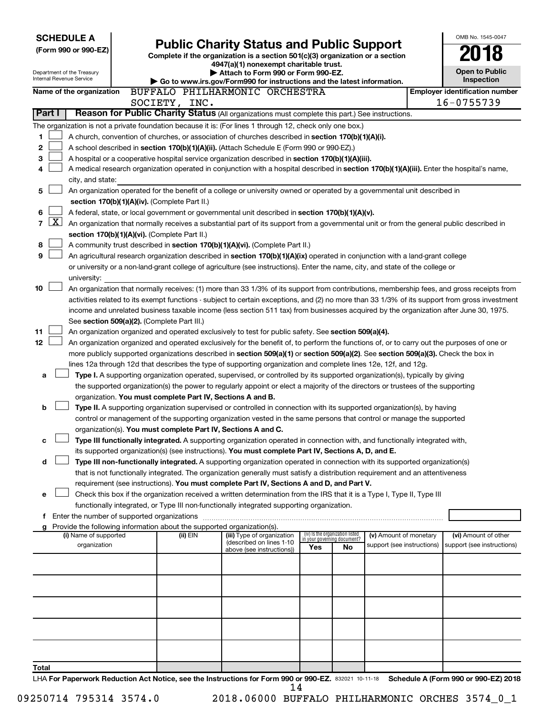| <b>SCHEDULE A</b>                                                                                                                         |  |                                                               |                                                                                                                                                                                                                                                                                        |     |                                   |                                       |  | OMB No. 1545-0047          |
|-------------------------------------------------------------------------------------------------------------------------------------------|--|---------------------------------------------------------------|----------------------------------------------------------------------------------------------------------------------------------------------------------------------------------------------------------------------------------------------------------------------------------------|-----|-----------------------------------|---------------------------------------|--|----------------------------|
| (Form 990 or 990-EZ)                                                                                                                      |  | <b>Public Charity Status and Public Support</b>               |                                                                                                                                                                                                                                                                                        |     |                                   |                                       |  |                            |
|                                                                                                                                           |  |                                                               | Complete if the organization is a section 501(c)(3) organization or a section<br>4947(a)(1) nonexempt charitable trust.                                                                                                                                                                |     |                                   |                                       |  |                            |
| Department of the Treasury                                                                                                                |  |                                                               | Attach to Form 990 or Form 990-EZ.                                                                                                                                                                                                                                                     |     |                                   |                                       |  | <b>Open to Public</b>      |
| Internal Revenue Service                                                                                                                  |  |                                                               | Go to www.irs.gov/Form990 for instructions and the latest information.                                                                                                                                                                                                                 |     |                                   | Inspection                            |  |                            |
| BUFFALO PHILHARMONIC ORCHESTRA<br>Name of the organization                                                                                |  |                                                               |                                                                                                                                                                                                                                                                                        |     |                                   | <b>Employer identification number</b> |  |                            |
|                                                                                                                                           |  | SOCIETY, INC.                                                 |                                                                                                                                                                                                                                                                                        |     |                                   |                                       |  | 16-0755739                 |
| Part I                                                                                                                                    |  |                                                               | Reason for Public Charity Status (All organizations must complete this part.) See instructions.                                                                                                                                                                                        |     |                                   |                                       |  |                            |
| The organization is not a private foundation because it is: (For lines 1 through 12, check only one box.)                                 |  |                                                               |                                                                                                                                                                                                                                                                                        |     |                                   |                                       |  |                            |
| 1                                                                                                                                         |  |                                                               | A church, convention of churches, or association of churches described in section 170(b)(1)(A)(i).                                                                                                                                                                                     |     |                                   |                                       |  |                            |
| 2                                                                                                                                         |  |                                                               | A school described in section 170(b)(1)(A)(ii). (Attach Schedule E (Form 990 or 990-EZ).)                                                                                                                                                                                              |     |                                   |                                       |  |                            |
| 3<br>4                                                                                                                                    |  |                                                               | A hospital or a cooperative hospital service organization described in section 170(b)(1)(A)(iii).<br>A medical research organization operated in conjunction with a hospital described in section 170(b)(1)(A)(iii). Enter the hospital's name,                                        |     |                                   |                                       |  |                            |
| city, and state:                                                                                                                          |  |                                                               |                                                                                                                                                                                                                                                                                        |     |                                   |                                       |  |                            |
| 5                                                                                                                                         |  |                                                               | An organization operated for the benefit of a college or university owned or operated by a governmental unit described in                                                                                                                                                              |     |                                   |                                       |  |                            |
|                                                                                                                                           |  | section 170(b)(1)(A)(iv). (Complete Part II.)                 |                                                                                                                                                                                                                                                                                        |     |                                   |                                       |  |                            |
| 6                                                                                                                                         |  |                                                               | A federal, state, or local government or governmental unit described in section 170(b)(1)(A)(v).                                                                                                                                                                                       |     |                                   |                                       |  |                            |
| $\lfloor x \rfloor$<br>7                                                                                                                  |  |                                                               | An organization that normally receives a substantial part of its support from a governmental unit or from the general public described in                                                                                                                                              |     |                                   |                                       |  |                            |
| section 170(b)(1)(A)(vi). (Complete Part II.)                                                                                             |  |                                                               |                                                                                                                                                                                                                                                                                        |     |                                   |                                       |  |                            |
| 8                                                                                                                                         |  |                                                               | A community trust described in section 170(b)(1)(A)(vi). (Complete Part II.)                                                                                                                                                                                                           |     |                                   |                                       |  |                            |
| 9                                                                                                                                         |  |                                                               | An agricultural research organization described in section 170(b)(1)(A)(ix) operated in conjunction with a land-grant college                                                                                                                                                          |     |                                   |                                       |  |                            |
|                                                                                                                                           |  |                                                               | or university or a non-land-grant college of agriculture (see instructions). Enter the name, city, and state of the college or                                                                                                                                                         |     |                                   |                                       |  |                            |
| university:                                                                                                                               |  |                                                               |                                                                                                                                                                                                                                                                                        |     |                                   |                                       |  |                            |
| 10                                                                                                                                        |  |                                                               | An organization that normally receives: (1) more than 33 1/3% of its support from contributions, membership fees, and gross receipts from                                                                                                                                              |     |                                   |                                       |  |                            |
|                                                                                                                                           |  |                                                               | activities related to its exempt functions - subject to certain exceptions, and (2) no more than 33 1/3% of its support from gross investment<br>income and unrelated business taxable income (less section 511 tax) from businesses acquired by the organization after June 30, 1975. |     |                                   |                                       |  |                            |
| See section 509(a)(2). (Complete Part III.)                                                                                               |  |                                                               |                                                                                                                                                                                                                                                                                        |     |                                   |                                       |  |                            |
| 11                                                                                                                                        |  |                                                               | An organization organized and operated exclusively to test for public safety. See section 509(a)(4).                                                                                                                                                                                   |     |                                   |                                       |  |                            |
| 12                                                                                                                                        |  |                                                               | An organization organized and operated exclusively for the benefit of, to perform the functions of, or to carry out the purposes of one or                                                                                                                                             |     |                                   |                                       |  |                            |
|                                                                                                                                           |  |                                                               | more publicly supported organizations described in section 509(a)(1) or section 509(a)(2). See section 509(a)(3). Check the box in                                                                                                                                                     |     |                                   |                                       |  |                            |
|                                                                                                                                           |  |                                                               | lines 12a through 12d that describes the type of supporting organization and complete lines 12e, 12f, and 12g.                                                                                                                                                                         |     |                                   |                                       |  |                            |
| a                                                                                                                                         |  |                                                               | Type I. A supporting organization operated, supervised, or controlled by its supported organization(s), typically by giving                                                                                                                                                            |     |                                   |                                       |  |                            |
|                                                                                                                                           |  |                                                               | the supported organization(s) the power to regularly appoint or elect a majority of the directors or trustees of the supporting                                                                                                                                                        |     |                                   |                                       |  |                            |
|                                                                                                                                           |  | organization. You must complete Part IV, Sections A and B.    |                                                                                                                                                                                                                                                                                        |     |                                   |                                       |  |                            |
| b                                                                                                                                         |  |                                                               | Type II. A supporting organization supervised or controlled in connection with its supported organization(s), by having                                                                                                                                                                |     |                                   |                                       |  |                            |
|                                                                                                                                           |  |                                                               | control or management of the supporting organization vested in the same persons that control or manage the supported                                                                                                                                                                   |     |                                   |                                       |  |                            |
| с                                                                                                                                         |  | organization(s). You must complete Part IV, Sections A and C. | Type III functionally integrated. A supporting organization operated in connection with, and functionally integrated with,                                                                                                                                                             |     |                                   |                                       |  |                            |
|                                                                                                                                           |  |                                                               | its supported organization(s) (see instructions). You must complete Part IV, Sections A, D, and E.                                                                                                                                                                                     |     |                                   |                                       |  |                            |
| d                                                                                                                                         |  |                                                               | Type III non-functionally integrated. A supporting organization operated in connection with its supported organization(s)                                                                                                                                                              |     |                                   |                                       |  |                            |
|                                                                                                                                           |  |                                                               | that is not functionally integrated. The organization generally must satisfy a distribution requirement and an attentiveness                                                                                                                                                           |     |                                   |                                       |  |                            |
|                                                                                                                                           |  |                                                               | requirement (see instructions). You must complete Part IV, Sections A and D, and Part V.                                                                                                                                                                                               |     |                                   |                                       |  |                            |
| е                                                                                                                                         |  |                                                               | Check this box if the organization received a written determination from the IRS that it is a Type I, Type II, Type III                                                                                                                                                                |     |                                   |                                       |  |                            |
|                                                                                                                                           |  |                                                               | functionally integrated, or Type III non-functionally integrated supporting organization.                                                                                                                                                                                              |     |                                   |                                       |  |                            |
| f Enter the number of supported organizations                                                                                             |  |                                                               |                                                                                                                                                                                                                                                                                        |     |                                   |                                       |  |                            |
| g Provide the following information about the supported organization(s).<br>(i) Name of supported                                         |  | (ii) EIN                                                      | (iii) Type of organization                                                                                                                                                                                                                                                             |     | (iv) Is the organization listed   | (v) Amount of monetary                |  | (vi) Amount of other       |
| organization                                                                                                                              |  |                                                               | (described on lines 1-10                                                                                                                                                                                                                                                               | Yes | in your governing document?<br>No | support (see instructions)            |  | support (see instructions) |
|                                                                                                                                           |  |                                                               | above (see instructions))                                                                                                                                                                                                                                                              |     |                                   |                                       |  |                            |
|                                                                                                                                           |  |                                                               |                                                                                                                                                                                                                                                                                        |     |                                   |                                       |  |                            |
|                                                                                                                                           |  |                                                               |                                                                                                                                                                                                                                                                                        |     |                                   |                                       |  |                            |
|                                                                                                                                           |  |                                                               |                                                                                                                                                                                                                                                                                        |     |                                   |                                       |  |                            |
|                                                                                                                                           |  |                                                               |                                                                                                                                                                                                                                                                                        |     |                                   |                                       |  |                            |
|                                                                                                                                           |  |                                                               |                                                                                                                                                                                                                                                                                        |     |                                   |                                       |  |                            |
|                                                                                                                                           |  |                                                               |                                                                                                                                                                                                                                                                                        |     |                                   |                                       |  |                            |
|                                                                                                                                           |  |                                                               |                                                                                                                                                                                                                                                                                        |     |                                   |                                       |  |                            |
|                                                                                                                                           |  |                                                               |                                                                                                                                                                                                                                                                                        |     |                                   |                                       |  |                            |
| Total                                                                                                                                     |  |                                                               |                                                                                                                                                                                                                                                                                        |     |                                   |                                       |  |                            |
| LHA For Paperwork Reduction Act Notice, see the Instructions for Form 990 or 990-EZ. 832021 10-11-18 Schedule A (Form 990 or 990-EZ) 2018 |  |                                                               |                                                                                                                                                                                                                                                                                        |     |                                   |                                       |  |                            |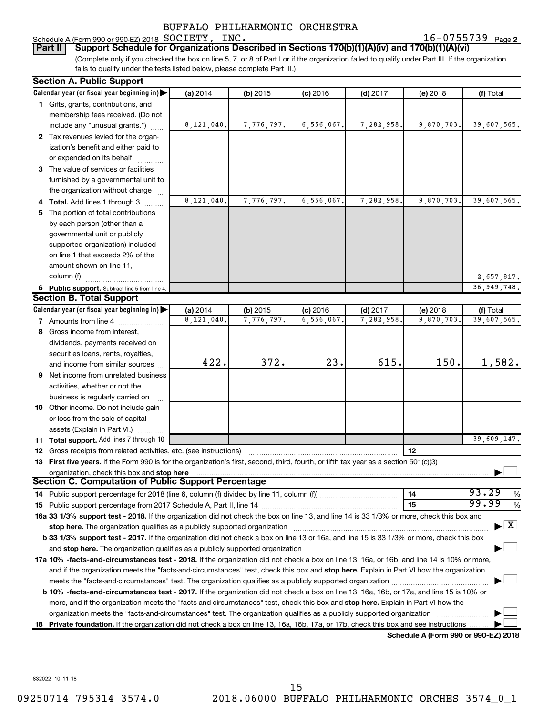## Schedule A (Form 990 or 990-EZ) 2018 SOCIETY, INC. BUFFALO PHILHARMONIC ORCHESTRA

**2** SOCIETY, INC. **16-0755739** Page 2

(Complete only if you checked the box on line 5, 7, or 8 of Part I or if the organization failed to qualify under Part III. If the organization **Part II Support Schedule for Organizations Described in Sections 170(b)(1)(A)(iv) and 170(b)(1)(A)(vi)**

fails to qualify under the tests listed below, please complete Part III.)

| Calendar year (or fiscal year beginning in)<br>(a) 2014<br>$(b)$ 2015<br>$(c)$ 2016<br>$(d)$ 2017<br>(e) 2018<br>1 Gifts, grants, contributions, and<br>membership fees received. (Do not<br>8,121,040.<br>7,776,797.<br>6, 556, 067.<br>7,282,958.<br>9,870,703.<br>include any "unusual grants.")<br>2 Tax revenues levied for the organ- | (f) Total<br>39,607,565.           |  |  |  |  |  |  |
|---------------------------------------------------------------------------------------------------------------------------------------------------------------------------------------------------------------------------------------------------------------------------------------------------------------------------------------------|------------------------------------|--|--|--|--|--|--|
|                                                                                                                                                                                                                                                                                                                                             |                                    |  |  |  |  |  |  |
|                                                                                                                                                                                                                                                                                                                                             |                                    |  |  |  |  |  |  |
|                                                                                                                                                                                                                                                                                                                                             |                                    |  |  |  |  |  |  |
|                                                                                                                                                                                                                                                                                                                                             |                                    |  |  |  |  |  |  |
|                                                                                                                                                                                                                                                                                                                                             |                                    |  |  |  |  |  |  |
| ization's benefit and either paid to                                                                                                                                                                                                                                                                                                        |                                    |  |  |  |  |  |  |
| or expended on its behalf                                                                                                                                                                                                                                                                                                                   |                                    |  |  |  |  |  |  |
| 3 The value of services or facilities                                                                                                                                                                                                                                                                                                       |                                    |  |  |  |  |  |  |
| furnished by a governmental unit to                                                                                                                                                                                                                                                                                                         |                                    |  |  |  |  |  |  |
| the organization without charge                                                                                                                                                                                                                                                                                                             |                                    |  |  |  |  |  |  |
| 8,121,040.<br>7,776,797.<br>6,556,067.<br>7,282,958.<br>9,870,703.<br>4 Total. Add lines 1 through 3                                                                                                                                                                                                                                        | 39,607,565.                        |  |  |  |  |  |  |
| The portion of total contributions<br>5.                                                                                                                                                                                                                                                                                                    |                                    |  |  |  |  |  |  |
| by each person (other than a                                                                                                                                                                                                                                                                                                                |                                    |  |  |  |  |  |  |
| governmental unit or publicly                                                                                                                                                                                                                                                                                                               |                                    |  |  |  |  |  |  |
| supported organization) included                                                                                                                                                                                                                                                                                                            |                                    |  |  |  |  |  |  |
| on line 1 that exceeds 2% of the                                                                                                                                                                                                                                                                                                            |                                    |  |  |  |  |  |  |
| amount shown on line 11,                                                                                                                                                                                                                                                                                                                    |                                    |  |  |  |  |  |  |
| column (f)                                                                                                                                                                                                                                                                                                                                  | 2,657,817.                         |  |  |  |  |  |  |
|                                                                                                                                                                                                                                                                                                                                             | 36,949,748.                        |  |  |  |  |  |  |
| 6 Public support. Subtract line 5 from line 4.<br><b>Section B. Total Support</b>                                                                                                                                                                                                                                                           |                                    |  |  |  |  |  |  |
| Calendar year (or fiscal year beginning in)<br>(a) 2014<br>(b) 2015<br>$(c)$ 2016<br>$(d)$ 2017<br>(e) 2018                                                                                                                                                                                                                                 | (f) Total                          |  |  |  |  |  |  |
| 8,121,040.<br>7,776,797.<br>6,556,067.<br>7,282,958<br>9,870,703.<br>7 Amounts from line 4                                                                                                                                                                                                                                                  | 39,607,565.                        |  |  |  |  |  |  |
| 8 Gross income from interest,                                                                                                                                                                                                                                                                                                               |                                    |  |  |  |  |  |  |
|                                                                                                                                                                                                                                                                                                                                             |                                    |  |  |  |  |  |  |
| dividends, payments received on                                                                                                                                                                                                                                                                                                             |                                    |  |  |  |  |  |  |
| securities loans, rents, royalties,<br>372.<br>23.<br>615.<br>422.<br>150.                                                                                                                                                                                                                                                                  | 1,582.                             |  |  |  |  |  |  |
| and income from similar sources                                                                                                                                                                                                                                                                                                             |                                    |  |  |  |  |  |  |
| <b>9</b> Net income from unrelated business                                                                                                                                                                                                                                                                                                 |                                    |  |  |  |  |  |  |
| activities, whether or not the                                                                                                                                                                                                                                                                                                              |                                    |  |  |  |  |  |  |
| business is regularly carried on                                                                                                                                                                                                                                                                                                            |                                    |  |  |  |  |  |  |
| 10 Other income. Do not include gain                                                                                                                                                                                                                                                                                                        |                                    |  |  |  |  |  |  |
| or loss from the sale of capital                                                                                                                                                                                                                                                                                                            |                                    |  |  |  |  |  |  |
| assets (Explain in Part VI.)                                                                                                                                                                                                                                                                                                                |                                    |  |  |  |  |  |  |
| 11 Total support. Add lines 7 through 10                                                                                                                                                                                                                                                                                                    | 39,609,147.                        |  |  |  |  |  |  |
| 12<br>12 Gross receipts from related activities, etc. (see instructions)                                                                                                                                                                                                                                                                    |                                    |  |  |  |  |  |  |
| 13 First five years. If the Form 990 is for the organization's first, second, third, fourth, or fifth tax year as a section 501(c)(3)                                                                                                                                                                                                       |                                    |  |  |  |  |  |  |
| organization, check this box and stop here<br>Section C. Computation of Public Support Percentage                                                                                                                                                                                                                                           |                                    |  |  |  |  |  |  |
|                                                                                                                                                                                                                                                                                                                                             | 93.29                              |  |  |  |  |  |  |
| 14                                                                                                                                                                                                                                                                                                                                          | %<br>99.99                         |  |  |  |  |  |  |
| 15                                                                                                                                                                                                                                                                                                                                          | %                                  |  |  |  |  |  |  |
| 16a 33 1/3% support test - 2018. If the organization did not check the box on line 13, and line 14 is 33 1/3% or more, check this box and                                                                                                                                                                                                   |                                    |  |  |  |  |  |  |
|                                                                                                                                                                                                                                                                                                                                             | $\blacktriangleright$ $\mathbf{X}$ |  |  |  |  |  |  |
| b 33 1/3% support test - 2017. If the organization did not check a box on line 13 or 16a, and line 15 is 33 1/3% or more, check this box                                                                                                                                                                                                    |                                    |  |  |  |  |  |  |
|                                                                                                                                                                                                                                                                                                                                             |                                    |  |  |  |  |  |  |
| 17a 10% -facts-and-circumstances test - 2018. If the organization did not check a box on line 13, 16a, or 16b, and line 14 is 10% or more,                                                                                                                                                                                                  |                                    |  |  |  |  |  |  |
| and if the organization meets the "facts-and-circumstances" test, check this box and stop here. Explain in Part VI how the organization                                                                                                                                                                                                     |                                    |  |  |  |  |  |  |
|                                                                                                                                                                                                                                                                                                                                             |                                    |  |  |  |  |  |  |
| <b>b 10%</b> -facts-and-circumstances test - 2017. If the organization did not check a box on line 13, 16a, 16b, or 17a, and line 15 is 10% or                                                                                                                                                                                              |                                    |  |  |  |  |  |  |
| more, and if the organization meets the "facts-and-circumstances" test, check this box and stop here. Explain in Part VI how the                                                                                                                                                                                                            |                                    |  |  |  |  |  |  |
| organization meets the "facts-and-circumstances" test. The organization qualifies as a publicly supported organization                                                                                                                                                                                                                      |                                    |  |  |  |  |  |  |
| 18 Private foundation. If the organization did not check a box on line 13, 16a, 16b, 17a, or 17b, check this box and see instructions<br>Schodule A (Form 000 or 000 F7) 2018                                                                                                                                                               |                                    |  |  |  |  |  |  |

**Schedule A (Form 990 or 990-EZ) 2018**

832022 10-11-18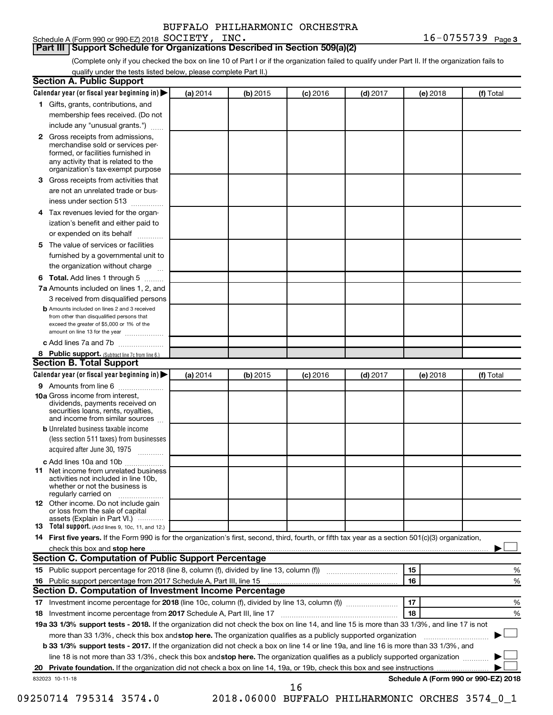### **Part III Support Schedule for Organizations Described in Section 509(a)(2)**

(Complete only if you checked the box on line 10 of Part I or if the organization failed to qualify under Part II. If the organization fails to qualify under the tests listed below, please complete Part II.)

| <b>Section A. Public Support</b>                                                                                                                                                         |          |          |                 |            |          |                                      |
|------------------------------------------------------------------------------------------------------------------------------------------------------------------------------------------|----------|----------|-----------------|------------|----------|--------------------------------------|
| Calendar year (or fiscal year beginning in) $\blacktriangleright$                                                                                                                        | (a) 2014 | (b) 2015 | (c) 2016        | $(d)$ 2017 | (e) 2018 | (f) Total                            |
| 1 Gifts, grants, contributions, and                                                                                                                                                      |          |          |                 |            |          |                                      |
| membership fees received. (Do not                                                                                                                                                        |          |          |                 |            |          |                                      |
| include any "unusual grants.")                                                                                                                                                           |          |          |                 |            |          |                                      |
| 2 Gross receipts from admissions,<br>merchandise sold or services per-<br>formed, or facilities furnished in<br>any activity that is related to the<br>organization's tax-exempt purpose |          |          |                 |            |          |                                      |
| 3 Gross receipts from activities that                                                                                                                                                    |          |          |                 |            |          |                                      |
| are not an unrelated trade or bus-                                                                                                                                                       |          |          |                 |            |          |                                      |
| iness under section 513                                                                                                                                                                  |          |          |                 |            |          |                                      |
| 4 Tax revenues levied for the organ-                                                                                                                                                     |          |          |                 |            |          |                                      |
| ization's benefit and either paid to                                                                                                                                                     |          |          |                 |            |          |                                      |
| or expended on its behalf                                                                                                                                                                |          |          |                 |            |          |                                      |
| 5 The value of services or facilities                                                                                                                                                    |          |          |                 |            |          |                                      |
| furnished by a governmental unit to                                                                                                                                                      |          |          |                 |            |          |                                      |
| the organization without charge                                                                                                                                                          |          |          |                 |            |          |                                      |
| 6 Total. Add lines 1 through 5                                                                                                                                                           |          |          |                 |            |          |                                      |
| 7a Amounts included on lines 1, 2, and                                                                                                                                                   |          |          |                 |            |          |                                      |
| 3 received from disqualified persons                                                                                                                                                     |          |          |                 |            |          |                                      |
| <b>b</b> Amounts included on lines 2 and 3 received<br>from other than disqualified persons that<br>exceed the greater of \$5,000 or 1% of the<br>amount on line 13 for the year         |          |          |                 |            |          |                                      |
| c Add lines 7a and 7b                                                                                                                                                                    |          |          |                 |            |          |                                      |
| 8 Public support. (Subtract line 7c from line 6.)                                                                                                                                        |          |          |                 |            |          |                                      |
| <b>Section B. Total Support</b>                                                                                                                                                          |          |          |                 |            |          |                                      |
| Calendar year (or fiscal year beginning in) $\blacktriangleright$                                                                                                                        | (a) 2014 | (b) 2015 | <b>(c)</b> 2016 | $(d)$ 2017 | (e) 2018 | (f) Total                            |
| 9 Amounts from line 6                                                                                                                                                                    |          |          |                 |            |          |                                      |
| <b>10a</b> Gross income from interest,<br>dividends, payments received on<br>securities loans, rents, royalties,<br>and income from similar sources                                      |          |          |                 |            |          |                                      |
| <b>b</b> Unrelated business taxable income                                                                                                                                               |          |          |                 |            |          |                                      |
| (less section 511 taxes) from businesses<br>acquired after June 30, 1975                                                                                                                 |          |          |                 |            |          |                                      |
| c Add lines 10a and 10b                                                                                                                                                                  |          |          |                 |            |          |                                      |
| <b>11</b> Net income from unrelated business<br>activities not included in line 10b.<br>whether or not the business is<br>regularly carried on                                           |          |          |                 |            |          |                                      |
| 12 Other income. Do not include gain<br>or loss from the sale of capital<br>assets (Explain in Part VI.)                                                                                 |          |          |                 |            |          |                                      |
| <b>13</b> Total support. (Add lines 9, 10c, 11, and 12.)                                                                                                                                 |          |          |                 |            |          |                                      |
| 14 First five years. If the Form 990 is for the organization's first, second, third, fourth, or fifth tax year as a section 501(c)(3) organization,                                      |          |          |                 |            |          |                                      |
|                                                                                                                                                                                          |          |          |                 |            |          |                                      |
| Section C. Computation of Public Support Percentage                                                                                                                                      |          |          |                 |            |          |                                      |
| 15 Public support percentage for 2018 (line 8, column (f), divided by line 13, column (f) <i></i>                                                                                        |          |          |                 |            | 15       | ℅                                    |
| 16 Public support percentage from 2017 Schedule A, Part III, line 15                                                                                                                     |          |          |                 |            | 16       | %                                    |
| Section D. Computation of Investment Income Percentage                                                                                                                                   |          |          |                 |            |          |                                      |
| 17 Investment income percentage for 2018 (line 10c, column (f), divided by line 13, column (f))                                                                                          |          |          |                 |            | 17       | %                                    |
| 18 Investment income percentage from 2017 Schedule A, Part III, line 17                                                                                                                  |          |          |                 |            | 18       | %                                    |
| 19a 33 1/3% support tests - 2018. If the organization did not check the box on line 14, and line 15 is more than 33 1/3%, and line 17 is not                                             |          |          |                 |            |          |                                      |
| more than 33 1/3%, check this box and stop here. The organization qualifies as a publicly supported organization                                                                         |          |          |                 |            |          |                                      |
| <b>b 33 1/3% support tests - 2017.</b> If the organization did not check a box on line 14 or line 19a, and line 16 is more than 33 1/3%, and                                             |          |          |                 |            |          |                                      |
| line 18 is not more than 33 1/3%, check this box and stop here. The organization qualifies as a publicly supported organization                                                          |          |          |                 |            |          |                                      |
|                                                                                                                                                                                          |          |          |                 |            |          |                                      |
| 832023 10-11-18                                                                                                                                                                          |          |          | 16              |            |          | Schedule A (Form 990 or 990-EZ) 2018 |

09250714 795314 3574.0 2018.06000 BUFFALO PHILHARMONIC ORCHES 3574\_0\_1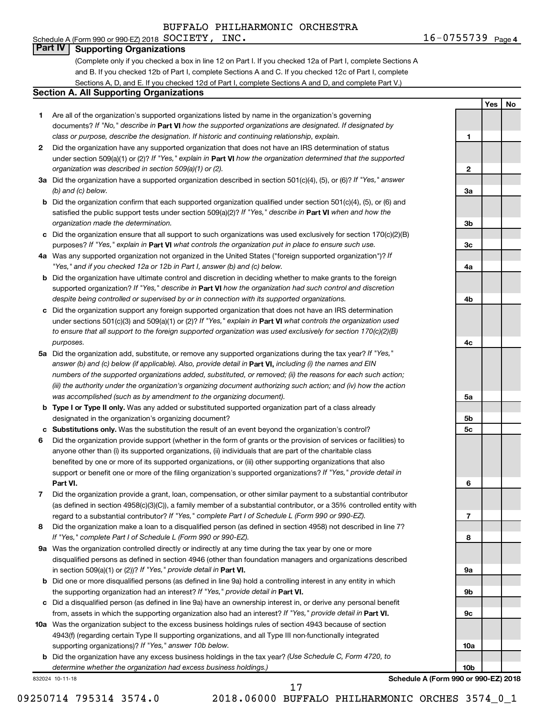#### Schedule A (Form 990 or 990-EZ) 2018  $SOCIETY$ ,  $INC$ . **Part IV Supporting Organizations**

(Complete only if you checked a box in line 12 on Part I. If you checked 12a of Part I, complete Sections A and B. If you checked 12b of Part I, complete Sections A and C. If you checked 12c of Part I, complete Sections A, D, and E. If you checked 12d of Part I, complete Sections A and D, and complete Part V.)

#### **Section A. All Supporting Organizations**

- **1** Are all of the organization's supported organizations listed by name in the organization's governing documents? If "No," describe in Part VI how the supported organizations are designated. If designated by *class or purpose, describe the designation. If historic and continuing relationship, explain.*
- **2** Did the organization have any supported organization that does not have an IRS determination of status under section 509(a)(1) or (2)? If "Yes," explain in Part **VI** how the organization determined that the supported *organization was described in section 509(a)(1) or (2).*
- **3a** Did the organization have a supported organization described in section 501(c)(4), (5), or (6)? If "Yes," answer *(b) and (c) below.*
- **b** Did the organization confirm that each supported organization qualified under section 501(c)(4), (5), or (6) and satisfied the public support tests under section 509(a)(2)? If "Yes," describe in Part VI when and how the *organization made the determination.*
- **c** Did the organization ensure that all support to such organizations was used exclusively for section 170(c)(2)(B) purposes? If "Yes," explain in Part VI what controls the organization put in place to ensure such use.
- **4 a** *If* Was any supported organization not organized in the United States ("foreign supported organization")? *"Yes," and if you checked 12a or 12b in Part I, answer (b) and (c) below.*
- **b** Did the organization have ultimate control and discretion in deciding whether to make grants to the foreign supported organization? If "Yes," describe in Part VI how the organization had such control and discretion *despite being controlled or supervised by or in connection with its supported organizations.*
- **c** Did the organization support any foreign supported organization that does not have an IRS determination under sections 501(c)(3) and 509(a)(1) or (2)? If "Yes," explain in Part VI what controls the organization used *to ensure that all support to the foreign supported organization was used exclusively for section 170(c)(2)(B) purposes.*
- **5a** Did the organization add, substitute, or remove any supported organizations during the tax year? If "Yes," answer (b) and (c) below (if applicable). Also, provide detail in **Part VI,** including (i) the names and EIN *numbers of the supported organizations added, substituted, or removed; (ii) the reasons for each such action; (iii) the authority under the organization's organizing document authorizing such action; and (iv) how the action was accomplished (such as by amendment to the organizing document).*
- **b Type I or Type II only.** Was any added or substituted supported organization part of a class already designated in the organization's organizing document?
- **c Substitutions only.**  Was the substitution the result of an event beyond the organization's control?
- **6** Did the organization provide support (whether in the form of grants or the provision of services or facilities) to **Part VI.** support or benefit one or more of the filing organization's supported organizations? If "Yes," provide detail in anyone other than (i) its supported organizations, (ii) individuals that are part of the charitable class benefited by one or more of its supported organizations, or (iii) other supporting organizations that also
- **7** Did the organization provide a grant, loan, compensation, or other similar payment to a substantial contributor regard to a substantial contributor? If "Yes," complete Part I of Schedule L (Form 990 or 990-EZ). (as defined in section 4958(c)(3)(C)), a family member of a substantial contributor, or a 35% controlled entity with
- **8** Did the organization make a loan to a disqualified person (as defined in section 4958) not described in line 7? *If "Yes," complete Part I of Schedule L (Form 990 or 990-EZ).*
- **9 a** Was the organization controlled directly or indirectly at any time during the tax year by one or more in section 509(a)(1) or (2))? If "Yes," provide detail in **Part VI.** disqualified persons as defined in section 4946 (other than foundation managers and organizations described
- **b** Did one or more disqualified persons (as defined in line 9a) hold a controlling interest in any entity in which the supporting organization had an interest? If "Yes," provide detail in Part VI.
- **c** Did a disqualified person (as defined in line 9a) have an ownership interest in, or derive any personal benefit from, assets in which the supporting organization also had an interest? If "Yes," provide detail in Part VI.
- **10 a** Was the organization subject to the excess business holdings rules of section 4943 because of section supporting organizations)? If "Yes," answer 10b below. 4943(f) (regarding certain Type II supporting organizations, and all Type III non-functionally integrated
	- **b** Did the organization have any excess business holdings in the tax year? (Use Schedule C, Form 4720, to *determine whether the organization had excess business holdings.)*

832024 10-11-18

**9b 9c 10a**

**Schedule A (Form 990 or 990-EZ) 2018**

**10b**

**1**

**2**

**3a**

**3b**

**3c**

**4a**

**4b**

**4c**

**5a**

**5b 5c**

**6**

**7**

**8**

**9a**

**Yes No**

09250714 795314 3574.0 2018.06000 BUFFALO PHILHARMONIC ORCHES 3574\_0\_1

17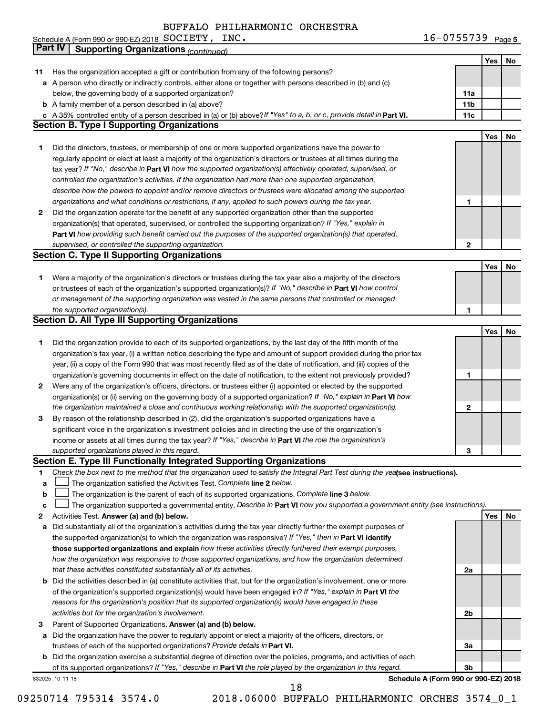| INC.<br>Schedule A (Form 990 or 990-EZ) 2018 $\, {\rm SOCI} {\rm ETY}$ , | $16 - 0755739$ Page 5 |
|--------------------------------------------------------------------------|-----------------------|
|--------------------------------------------------------------------------|-----------------------|

|    | <b>Part IV</b>  | <b>Supporting Organizations (continued)</b>                                                                                     |                 |            |    |
|----|-----------------|---------------------------------------------------------------------------------------------------------------------------------|-----------------|------------|----|
|    |                 |                                                                                                                                 |                 | Yes        | No |
| 11 |                 | Has the organization accepted a gift or contribution from any of the following persons?                                         |                 |            |    |
| а  |                 | A person who directly or indirectly controls, either alone or together with persons described in (b) and (c)                    |                 |            |    |
|    |                 | below, the governing body of a supported organization?                                                                          | 11a             |            |    |
|    |                 | <b>b</b> A family member of a person described in (a) above?                                                                    | 11 <sub>b</sub> |            |    |
|    |                 | c A 35% controlled entity of a person described in (a) or (b) above? If "Yes" to a, b, or c, provide detail in Part VI.         | 11c             |            |    |
|    |                 | <b>Section B. Type I Supporting Organizations</b>                                                                               |                 |            |    |
|    |                 |                                                                                                                                 |                 | Yes        | No |
| 1. |                 | Did the directors, trustees, or membership of one or more supported organizations have the power to                             |                 |            |    |
|    |                 | regularly appoint or elect at least a majority of the organization's directors or trustees at all times during the              |                 |            |    |
|    |                 |                                                                                                                                 |                 |            |    |
|    |                 | tax year? If "No," describe in Part VI how the supported organization(s) effectively operated, supervised, or                   |                 |            |    |
|    |                 | controlled the organization's activities. If the organization had more than one supported organization,                         |                 |            |    |
|    |                 | describe how the powers to appoint and/or remove directors or trustees were allocated among the supported                       |                 |            |    |
|    |                 | organizations and what conditions or restrictions, if any, applied to such powers during the tax year.                          | 1               |            |    |
| 2  |                 | Did the organization operate for the benefit of any supported organization other than the supported                             |                 |            |    |
|    |                 | organization(s) that operated, supervised, or controlled the supporting organization? If "Yes," explain in                      |                 |            |    |
|    |                 | Part VI how providing such benefit carried out the purposes of the supported organization(s) that operated,                     |                 |            |    |
|    |                 | supervised, or controlled the supporting organization.                                                                          | 2               |            |    |
|    |                 | <b>Section C. Type II Supporting Organizations</b>                                                                              |                 |            |    |
|    |                 |                                                                                                                                 |                 | Yes        | No |
| 1. |                 | Were a majority of the organization's directors or trustees during the tax year also a majority of the directors                |                 |            |    |
|    |                 | or trustees of each of the organization's supported organization(s)? If "No," describe in Part VI how control                   |                 |            |    |
|    |                 | or management of the supporting organization was vested in the same persons that controlled or managed                          |                 |            |    |
|    |                 | the supported organization(s).                                                                                                  | 1               |            |    |
|    |                 | <b>Section D. All Type III Supporting Organizations</b>                                                                         |                 |            |    |
|    |                 |                                                                                                                                 |                 | Yes        | No |
| 1  |                 | Did the organization provide to each of its supported organizations, by the last day of the fifth month of the                  |                 |            |    |
|    |                 | organization's tax year, (i) a written notice describing the type and amount of support provided during the prior tax           |                 |            |    |
|    |                 | year, (ii) a copy of the Form 990 that was most recently filed as of the date of notification, and (iii) copies of the          |                 |            |    |
|    |                 | organization's governing documents in effect on the date of notification, to the extent not previously provided?                | 1               |            |    |
| 2  |                 | Were any of the organization's officers, directors, or trustees either (i) appointed or elected by the supported                |                 |            |    |
|    |                 | organization(s) or (ii) serving on the governing body of a supported organization? If "No," explain in Part VI how              |                 |            |    |
|    |                 | the organization maintained a close and continuous working relationship with the supported organization(s).                     | 2               |            |    |
| 3  |                 | By reason of the relationship described in (2), did the organization's supported organizations have a                           |                 |            |    |
|    |                 | significant voice in the organization's investment policies and in directing the use of the organization's                      |                 |            |    |
|    |                 | income or assets at all times during the tax year? If "Yes," describe in Part VI the role the organization's                    |                 |            |    |
|    |                 | supported organizations played in this regard.                                                                                  | з               |            |    |
|    |                 | Section E. Type III Functionally Integrated Supporting Organizations                                                            |                 |            |    |
| 1  |                 | Check the box next to the method that the organization used to satisfy the Integral Part Test during the yealsee instructions). |                 |            |    |
| a  |                 | The organization satisfied the Activities Test. Complete line 2 below.                                                          |                 |            |    |
| b  |                 | The organization is the parent of each of its supported organizations. Complete line 3 below.                                   |                 |            |    |
| c  |                 | The organization supported a governmental entity. Describe in Part VI how you supported a government entity (see instructions). |                 |            |    |
| 2  |                 | Activities Test. Answer (a) and (b) below.                                                                                      |                 | <b>Yes</b> | No |
| а  |                 | Did substantially all of the organization's activities during the tax year directly further the exempt purposes of              |                 |            |    |
|    |                 | the supported organization(s) to which the organization was responsive? If "Yes," then in Part VI identify                      |                 |            |    |
|    |                 | those supported organizations and explain how these activities directly furthered their exempt purposes,                        |                 |            |    |
|    |                 |                                                                                                                                 |                 |            |    |
|    |                 | how the organization was responsive to those supported organizations, and how the organization determined                       |                 |            |    |
|    |                 | that these activities constituted substantially all of its activities.                                                          | 2a              |            |    |
| b  |                 | Did the activities described in (a) constitute activities that, but for the organization's involvement, one or more             |                 |            |    |
|    |                 | of the organization's supported organization(s) would have been engaged in? If "Yes," explain in Part VI the                    |                 |            |    |
|    |                 | reasons for the organization's position that its supported organization(s) would have engaged in these                          |                 |            |    |
|    |                 | activities but for the organization's involvement.                                                                              | 2b              |            |    |
| з  |                 | Parent of Supported Organizations. Answer (a) and (b) below.                                                                    |                 |            |    |
| а  |                 | Did the organization have the power to regularly appoint or elect a majority of the officers, directors, or                     |                 |            |    |
|    |                 | trustees of each of the supported organizations? Provide details in Part VI.                                                    | За              |            |    |
|    |                 | <b>b</b> Did the organization exercise a substantial degree of direction over the policies, programs, and activities of each    |                 |            |    |
|    |                 | of its supported organizations? If "Yes," describe in Part VI the role played by the organization in this regard.               | 3b              |            |    |
|    | 832025 10-11-18 | Schedule A (Form 990 or 990-EZ) 2018                                                                                            |                 |            |    |
|    |                 | 18                                                                                                                              |                 |            |    |

<sup>09250714 795314 3574.0 2018.06000</sup> BUFFALO PHILHARMONIC ORCHES 3574\_0\_1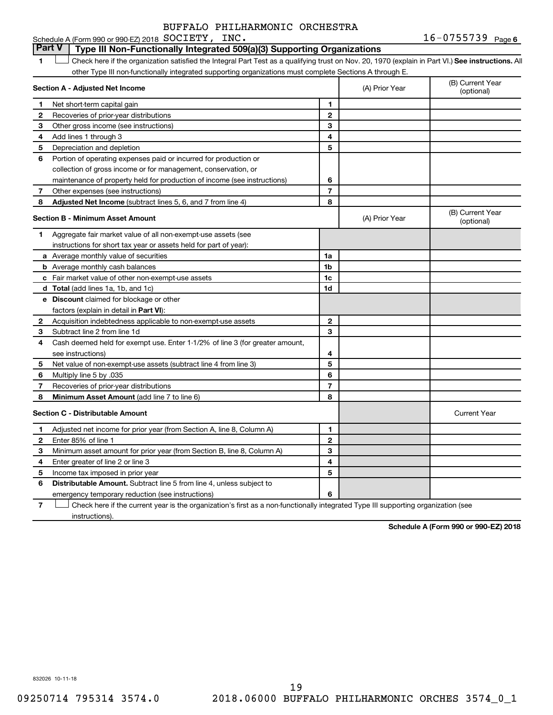## **Part V Type III Non-Functionally Integrated 509(a)(3) Supporting Organizations**

1 **Letter See instructions.** All Check here if the organization satisfied the Integral Part Test as a qualifying trust on Nov. 20, 1970 (explain in Part VI.) See instructions. All other Type III non-functionally integrated supporting organizations must complete Sections A through E.

|    | Section A - Adjusted Net Income                                              |                | (A) Prior Year | (B) Current Year<br>(optional) |
|----|------------------------------------------------------------------------------|----------------|----------------|--------------------------------|
| 1. | Net short-term capital gain                                                  | 1              |                |                                |
| 2  | Recoveries of prior-year distributions                                       | $\overline{2}$ |                |                                |
| 3  | Other gross income (see instructions)                                        | 3              |                |                                |
| 4  | Add lines 1 through 3                                                        | 4              |                |                                |
| 5  | Depreciation and depletion                                                   | 5              |                |                                |
| 6  | Portion of operating expenses paid or incurred for production or             |                |                |                                |
|    | collection of gross income or for management, conservation, or               |                |                |                                |
|    | maintenance of property held for production of income (see instructions)     | 6              |                |                                |
| 7  | Other expenses (see instructions)                                            | $\overline{7}$ |                |                                |
| 8  | Adjusted Net Income (subtract lines 5, 6, and 7 from line 4)                 | 8              |                |                                |
|    | <b>Section B - Minimum Asset Amount</b>                                      |                | (A) Prior Year | (B) Current Year<br>(optional) |
| 1  | Aggregate fair market value of all non-exempt-use assets (see                |                |                |                                |
|    | instructions for short tax year or assets held for part of year):            |                |                |                                |
|    | a Average monthly value of securities                                        | 1a             |                |                                |
|    | <b>b</b> Average monthly cash balances                                       | 1 <sub>b</sub> |                |                                |
|    | c Fair market value of other non-exempt-use assets                           | 1c             |                |                                |
|    | <b>d</b> Total (add lines 1a, 1b, and 1c)                                    | 1d             |                |                                |
|    | e Discount claimed for blockage or other                                     |                |                |                                |
|    | factors (explain in detail in <b>Part VI</b> ):                              |                |                |                                |
| 2  | Acquisition indebtedness applicable to non-exempt-use assets                 | $\mathbf{2}$   |                |                                |
| З  | Subtract line 2 from line 1d                                                 | 3              |                |                                |
| 4  | Cash deemed held for exempt use. Enter 1-1/2% of line 3 (for greater amount, |                |                |                                |
|    | see instructions)                                                            | 4              |                |                                |
| 5  | Net value of non-exempt-use assets (subtract line 4 from line 3)             | 5              |                |                                |
| 6  | Multiply line 5 by .035                                                      | 6              |                |                                |
| 7  | Recoveries of prior-year distributions                                       | $\overline{7}$ |                |                                |
| 8  | Minimum Asset Amount (add line 7 to line 6)                                  | 8              |                |                                |
|    | <b>Section C - Distributable Amount</b>                                      |                |                | <b>Current Year</b>            |
| 1  | Adjusted net income for prior year (from Section A, line 8, Column A)        | 1              |                |                                |
| 2  | Enter 85% of line 1                                                          | $\overline{2}$ |                |                                |
| 3  | Minimum asset amount for prior year (from Section B, line 8, Column A)       | 3              |                |                                |
| 4  | Enter greater of line 2 or line 3                                            | 4              |                |                                |
| 5  | Income tax imposed in prior year                                             | 5              |                |                                |
| 6  | Distributable Amount. Subtract line 5 from line 4, unless subject to         |                |                |                                |
|    | emergency temporary reduction (see instructions)                             | 6              |                |                                |
|    |                                                                              |                |                |                                |

**7** Check here if the current year is the organization's first as a non-functionally integrated Type III supporting organization (see † instructions).

**Schedule A (Form 990 or 990-EZ) 2018**

832026 10-11-18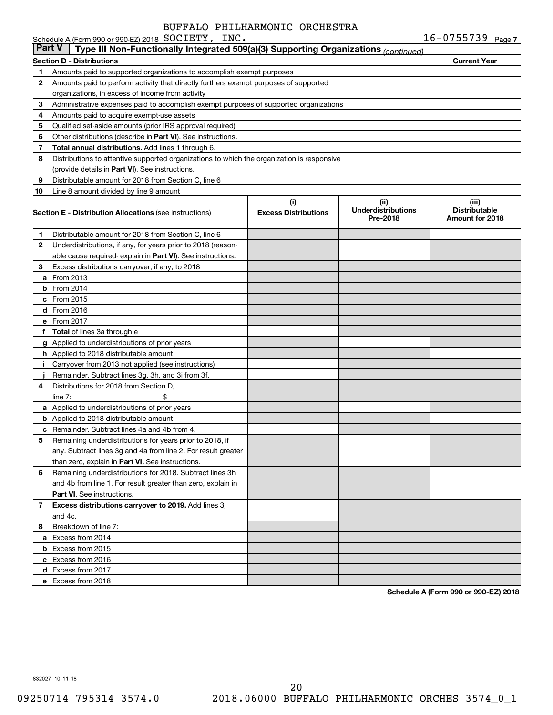|               | Schedule A (Form 990 or 990-EZ) 2018 SOCIETY, INC.                                         |                                    |                                                | $16 - 0755739$ Page 7                            |
|---------------|--------------------------------------------------------------------------------------------|------------------------------------|------------------------------------------------|--------------------------------------------------|
| <b>Part V</b> | Type III Non-Functionally Integrated 509(a)(3) Supporting Organizations (continued)        |                                    |                                                |                                                  |
|               | <b>Section D - Distributions</b>                                                           |                                    |                                                | <b>Current Year</b>                              |
| 1             | Amounts paid to supported organizations to accomplish exempt purposes                      |                                    |                                                |                                                  |
| 2             | Amounts paid to perform activity that directly furthers exempt purposes of supported       |                                    |                                                |                                                  |
|               | organizations, in excess of income from activity                                           |                                    |                                                |                                                  |
| 3             | Administrative expenses paid to accomplish exempt purposes of supported organizations      |                                    |                                                |                                                  |
| 4             | Amounts paid to acquire exempt-use assets                                                  |                                    |                                                |                                                  |
| 5             | Qualified set-aside amounts (prior IRS approval required)                                  |                                    |                                                |                                                  |
| 6             | Other distributions (describe in <b>Part VI</b> ). See instructions.                       |                                    |                                                |                                                  |
| 7             | Total annual distributions. Add lines 1 through 6.                                         |                                    |                                                |                                                  |
| 8             | Distributions to attentive supported organizations to which the organization is responsive |                                    |                                                |                                                  |
|               | (provide details in Part VI). See instructions.                                            |                                    |                                                |                                                  |
| 9             | Distributable amount for 2018 from Section C, line 6                                       |                                    |                                                |                                                  |
| 10            | Line 8 amount divided by line 9 amount                                                     |                                    |                                                |                                                  |
|               | <b>Section E - Distribution Allocations (see instructions)</b>                             | (i)<br><b>Excess Distributions</b> | (iii)<br><b>Underdistributions</b><br>Pre-2018 | (iii)<br><b>Distributable</b><br>Amount for 2018 |
| 1             | Distributable amount for 2018 from Section C, line 6                                       |                                    |                                                |                                                  |
| 2             | Underdistributions, if any, for years prior to 2018 (reason-                               |                                    |                                                |                                                  |
|               | able cause required- explain in Part VI). See instructions.                                |                                    |                                                |                                                  |
| 3             | Excess distributions carryover, if any, to 2018                                            |                                    |                                                |                                                  |
|               | <b>a</b> From 2013                                                                         |                                    |                                                |                                                  |
|               | $b$ From 2014                                                                              |                                    |                                                |                                                  |
|               | c From 2015                                                                                |                                    |                                                |                                                  |
|               | d From 2016                                                                                |                                    |                                                |                                                  |
|               | e From 2017                                                                                |                                    |                                                |                                                  |
|               | f Total of lines 3a through e                                                              |                                    |                                                |                                                  |
|               | g Applied to underdistributions of prior years                                             |                                    |                                                |                                                  |
|               | <b>h</b> Applied to 2018 distributable amount                                              |                                    |                                                |                                                  |
| Ť.            | Carryover from 2013 not applied (see instructions)                                         |                                    |                                                |                                                  |
|               | Remainder. Subtract lines 3g, 3h, and 3i from 3f.                                          |                                    |                                                |                                                  |
| 4             | Distributions for 2018 from Section D,                                                     |                                    |                                                |                                                  |
|               | line $7:$                                                                                  |                                    |                                                |                                                  |
|               | a Applied to underdistributions of prior years                                             |                                    |                                                |                                                  |
|               | <b>b</b> Applied to 2018 distributable amount                                              |                                    |                                                |                                                  |
|               | <b>c</b> Remainder. Subtract lines 4a and 4b from 4.                                       |                                    |                                                |                                                  |
|               | 5 Remaining underdistributions for years prior to 2018, if                                 |                                    |                                                |                                                  |
|               | any. Subtract lines 3g and 4a from line 2. For result greater                              |                                    |                                                |                                                  |
|               | than zero, explain in Part VI. See instructions.                                           |                                    |                                                |                                                  |
| 6             | Remaining underdistributions for 2018. Subtract lines 3h                                   |                                    |                                                |                                                  |
|               | and 4b from line 1. For result greater than zero, explain in                               |                                    |                                                |                                                  |
|               | <b>Part VI.</b> See instructions.                                                          |                                    |                                                |                                                  |
| 7             | Excess distributions carryover to 2019. Add lines 3j                                       |                                    |                                                |                                                  |
|               | and 4c.                                                                                    |                                    |                                                |                                                  |
| 8             | Breakdown of line 7:                                                                       |                                    |                                                |                                                  |
|               | a Excess from 2014                                                                         |                                    |                                                |                                                  |
|               | <b>b</b> Excess from 2015                                                                  |                                    |                                                |                                                  |
|               | c Excess from 2016                                                                         |                                    |                                                |                                                  |
|               | d Excess from 2017                                                                         |                                    |                                                |                                                  |
|               | e Excess from 2018                                                                         |                                    |                                                |                                                  |

**Schedule A (Form 990 or 990-EZ) 2018**

832027 10-11-18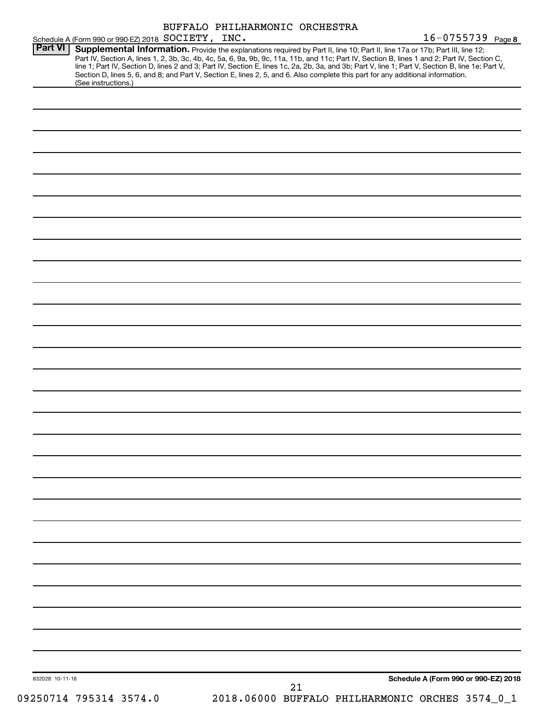| Schedule A (Form 990 or 990-EZ) 2018 SOCIETY, INC. | BUFFALO PHILHARMONIC ORCHESTRA                                                                                                                                                                                                                                                                                                                                                                                                                                                                                                                                       | $16 - 0755739$ Page 8                |
|----------------------------------------------------|----------------------------------------------------------------------------------------------------------------------------------------------------------------------------------------------------------------------------------------------------------------------------------------------------------------------------------------------------------------------------------------------------------------------------------------------------------------------------------------------------------------------------------------------------------------------|--------------------------------------|
| Part VI<br>(See instructions.)                     | Supplemental Information. Provide the explanations required by Part II, line 10; Part II, line 17a or 17b; Part III, line 12;<br>Part IV, Section A, lines 1, 2, 3b, 3c, 4b, 4c, 5a, 6, 9a, 9b, 9c, 11a, 11b, and 11c; Part IV, Section B, lines 1 and 2; Part IV, Section C,<br>line 1; Part IV, Section D, lines 2 and 3; Part IV, Section E, lines 1c, 2a, 2b, 3a, and 3b; Part V, line 1; Part V, Section B, line 1e; Part V,<br>Section D, lines 5, 6, and 8; and Part V, Section E, lines 2, 5, and 6. Also complete this part for any additional information. |                                      |
|                                                    |                                                                                                                                                                                                                                                                                                                                                                                                                                                                                                                                                                      |                                      |
|                                                    |                                                                                                                                                                                                                                                                                                                                                                                                                                                                                                                                                                      |                                      |
|                                                    |                                                                                                                                                                                                                                                                                                                                                                                                                                                                                                                                                                      |                                      |
|                                                    |                                                                                                                                                                                                                                                                                                                                                                                                                                                                                                                                                                      |                                      |
|                                                    |                                                                                                                                                                                                                                                                                                                                                                                                                                                                                                                                                                      |                                      |
|                                                    |                                                                                                                                                                                                                                                                                                                                                                                                                                                                                                                                                                      |                                      |
|                                                    |                                                                                                                                                                                                                                                                                                                                                                                                                                                                                                                                                                      |                                      |
|                                                    |                                                                                                                                                                                                                                                                                                                                                                                                                                                                                                                                                                      |                                      |
|                                                    |                                                                                                                                                                                                                                                                                                                                                                                                                                                                                                                                                                      |                                      |
|                                                    |                                                                                                                                                                                                                                                                                                                                                                                                                                                                                                                                                                      |                                      |
|                                                    |                                                                                                                                                                                                                                                                                                                                                                                                                                                                                                                                                                      |                                      |
|                                                    |                                                                                                                                                                                                                                                                                                                                                                                                                                                                                                                                                                      |                                      |
|                                                    |                                                                                                                                                                                                                                                                                                                                                                                                                                                                                                                                                                      |                                      |
|                                                    |                                                                                                                                                                                                                                                                                                                                                                                                                                                                                                                                                                      |                                      |
|                                                    |                                                                                                                                                                                                                                                                                                                                                                                                                                                                                                                                                                      |                                      |
|                                                    |                                                                                                                                                                                                                                                                                                                                                                                                                                                                                                                                                                      |                                      |
|                                                    |                                                                                                                                                                                                                                                                                                                                                                                                                                                                                                                                                                      |                                      |
|                                                    |                                                                                                                                                                                                                                                                                                                                                                                                                                                                                                                                                                      |                                      |
|                                                    |                                                                                                                                                                                                                                                                                                                                                                                                                                                                                                                                                                      |                                      |
|                                                    |                                                                                                                                                                                                                                                                                                                                                                                                                                                                                                                                                                      |                                      |
|                                                    |                                                                                                                                                                                                                                                                                                                                                                                                                                                                                                                                                                      |                                      |
|                                                    |                                                                                                                                                                                                                                                                                                                                                                                                                                                                                                                                                                      |                                      |
|                                                    |                                                                                                                                                                                                                                                                                                                                                                                                                                                                                                                                                                      |                                      |
|                                                    |                                                                                                                                                                                                                                                                                                                                                                                                                                                                                                                                                                      |                                      |
|                                                    |                                                                                                                                                                                                                                                                                                                                                                                                                                                                                                                                                                      |                                      |
|                                                    |                                                                                                                                                                                                                                                                                                                                                                                                                                                                                                                                                                      |                                      |
|                                                    |                                                                                                                                                                                                                                                                                                                                                                                                                                                                                                                                                                      |                                      |
|                                                    |                                                                                                                                                                                                                                                                                                                                                                                                                                                                                                                                                                      |                                      |
|                                                    |                                                                                                                                                                                                                                                                                                                                                                                                                                                                                                                                                                      |                                      |
|                                                    |                                                                                                                                                                                                                                                                                                                                                                                                                                                                                                                                                                      |                                      |
| 832028 10-11-18                                    |                                                                                                                                                                                                                                                                                                                                                                                                                                                                                                                                                                      | Schedule A (Form 990 or 990-EZ) 2018 |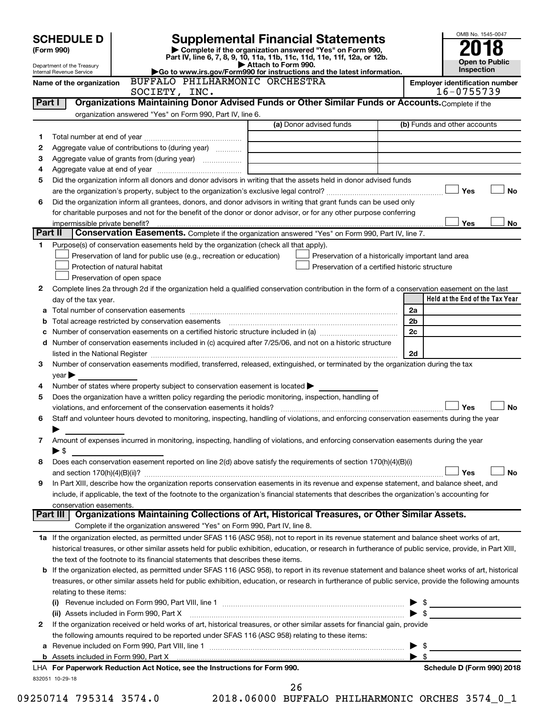|   |                                                        |                                                                                                                                                            |                                                    |                                       | OMB No. 1545-0047               |
|---|--------------------------------------------------------|------------------------------------------------------------------------------------------------------------------------------------------------------------|----------------------------------------------------|---------------------------------------|---------------------------------|
|   | <b>SCHEDULE D</b><br>(Form 990)                        | <b>Supplemental Financial Statements</b><br>Complete if the organization answered "Yes" on Form 990,                                                       |                                                    |                                       |                                 |
|   |                                                        | Part IV, line 6, 7, 8, 9, 10, 11a, 11b, 11c, 11d, 11e, 11f, 12a, or 12b.                                                                                   |                                                    |                                       | <b>Open to Public</b>           |
|   | Department of the Treasury<br>Internal Revenue Service | Attach to Form 990.<br>Go to www.irs.gov/Form990 for instructions and the latest information.                                                              |                                                    |                                       | Inspection                      |
|   | Name of the organization                               | BUFFALO PHILHARMONIC ORCHESTRA                                                                                                                             |                                                    | <b>Employer identification number</b> |                                 |
|   |                                                        | SOCIETY, INC.                                                                                                                                              |                                                    |                                       | 16-0755739                      |
|   | Part I                                                 | Organizations Maintaining Donor Advised Funds or Other Similar Funds or Accounts. Complete if the                                                          |                                                    |                                       |                                 |
|   |                                                        | organization answered "Yes" on Form 990, Part IV, line 6.                                                                                                  | (a) Donor advised funds                            |                                       | (b) Funds and other accounts    |
| 1 |                                                        |                                                                                                                                                            |                                                    |                                       |                                 |
| 2 |                                                        | Aggregate value of contributions to (during year)                                                                                                          |                                                    |                                       |                                 |
| З |                                                        |                                                                                                                                                            |                                                    |                                       |                                 |
| 4 |                                                        |                                                                                                                                                            |                                                    |                                       |                                 |
| 5 |                                                        | Did the organization inform all donors and donor advisors in writing that the assets held in donor advised funds                                           |                                                    |                                       |                                 |
|   |                                                        |                                                                                                                                                            |                                                    |                                       | Yes<br>No                       |
| 6 |                                                        | Did the organization inform all grantees, donors, and donor advisors in writing that grant funds can be used only                                          |                                                    |                                       |                                 |
|   |                                                        | for charitable purposes and not for the benefit of the donor or donor advisor, or for any other purpose conferring                                         |                                                    |                                       |                                 |
|   | impermissible private benefit?                         |                                                                                                                                                            |                                                    |                                       | Yes<br>No                       |
|   | Part II                                                | Conservation Easements. Complete if the organization answered "Yes" on Form 990, Part IV, line 7.                                                          |                                                    |                                       |                                 |
| 1 |                                                        | Purpose(s) of conservation easements held by the organization (check all that apply).                                                                      |                                                    |                                       |                                 |
|   |                                                        | Preservation of land for public use (e.g., recreation or education)                                                                                        | Preservation of a historically important land area |                                       |                                 |
|   |                                                        | Protection of natural habitat                                                                                                                              | Preservation of a certified historic structure     |                                       |                                 |
|   |                                                        | Preservation of open space                                                                                                                                 |                                                    |                                       |                                 |
| 2 |                                                        | Complete lines 2a through 2d if the organization held a qualified conservation contribution in the form of a conservation easement on the last             |                                                    |                                       |                                 |
|   | day of the tax year.                                   |                                                                                                                                                            |                                                    |                                       | Held at the End of the Tax Year |
|   |                                                        |                                                                                                                                                            |                                                    | 2a                                    |                                 |
| b |                                                        |                                                                                                                                                            |                                                    | 2 <sub>b</sub>                        |                                 |
|   |                                                        |                                                                                                                                                            |                                                    | 2c                                    |                                 |
|   |                                                        | d Number of conservation easements included in (c) acquired after 7/25/06, and not on a historic structure                                                 |                                                    |                                       |                                 |
|   |                                                        |                                                                                                                                                            |                                                    | 2d                                    |                                 |
| 3 |                                                        | Number of conservation easements modified, transferred, released, extinguished, or terminated by the organization during the tax                           |                                                    |                                       |                                 |
|   | $year \blacktriangleright$                             |                                                                                                                                                            |                                                    |                                       |                                 |
| 4 |                                                        | Number of states where property subject to conservation easement is located $\blacktriangleright$                                                          |                                                    |                                       |                                 |
| 5 |                                                        | Does the organization have a written policy regarding the periodic monitoring, inspection, handling of                                                     |                                                    |                                       |                                 |
|   |                                                        | violations, and enforcement of the conservation easements it holds?                                                                                        |                                                    |                                       | Yes<br><b>No</b>                |
| 6 |                                                        | Staff and volunteer hours devoted to monitoring, inspecting, handling of violations, and enforcing conservation easements during the year                  |                                                    |                                       |                                 |
|   |                                                        |                                                                                                                                                            |                                                    |                                       |                                 |
| 7 |                                                        | Amount of expenses incurred in monitoring, inspecting, handling of violations, and enforcing conservation easements during the year                        |                                                    |                                       |                                 |
|   | $\blacktriangleright$ \$                               |                                                                                                                                                            |                                                    |                                       |                                 |
| 8 |                                                        | Does each conservation easement reported on line 2(d) above satisfy the requirements of section 170(h)(4)(B)(i)                                            |                                                    |                                       |                                 |
|   |                                                        |                                                                                                                                                            |                                                    |                                       | <b>No</b><br>Yes                |
| 9 |                                                        | In Part XIII, describe how the organization reports conservation easements in its revenue and expense statement, and balance sheet, and                    |                                                    |                                       |                                 |
|   |                                                        | include, if applicable, the text of the footnote to the organization's financial statements that describes the organization's accounting for               |                                                    |                                       |                                 |
|   | conservation easements.                                |                                                                                                                                                            |                                                    |                                       |                                 |
|   | Part III                                               | Organizations Maintaining Collections of Art, Historical Treasures, or Other Similar Assets.                                                               |                                                    |                                       |                                 |
|   |                                                        | Complete if the organization answered "Yes" on Form 990, Part IV, line 8.                                                                                  |                                                    |                                       |                                 |
|   |                                                        | 1a If the organization elected, as permitted under SFAS 116 (ASC 958), not to report in its revenue statement and balance sheet works of art,              |                                                    |                                       |                                 |
|   |                                                        | historical treasures, or other similar assets held for public exhibition, education, or research in furtherance of public service, provide, in Part XIII,  |                                                    |                                       |                                 |
|   |                                                        | the text of the footnote to its financial statements that describes these items.                                                                           |                                                    |                                       |                                 |
|   |                                                        | <b>b</b> If the organization elected, as permitted under SFAS 116 (ASC 958), to report in its revenue statement and balance sheet works of art, historical |                                                    |                                       |                                 |
|   |                                                        | treasures, or other similar assets held for public exhibition, education, or research in furtherance of public service, provide the following amounts      |                                                    |                                       |                                 |
|   | relating to these items:                               |                                                                                                                                                            |                                                    |                                       |                                 |
|   |                                                        |                                                                                                                                                            |                                                    |                                       |                                 |
|   |                                                        | (ii) Assets included in Form 990, Part X                                                                                                                   |                                                    |                                       |                                 |
| 2 |                                                        | If the organization received or held works of art, historical treasures, or other similar assets for financial gain, provide                               |                                                    |                                       |                                 |
|   |                                                        | the following amounts required to be reported under SFAS 116 (ASC 958) relating to these items:                                                            |                                                    |                                       |                                 |
| а |                                                        |                                                                                                                                                            |                                                    |                                       | - \$                            |
|   |                                                        |                                                                                                                                                            |                                                    | $\blacktriangleright$ s               |                                 |
|   |                                                        | LHA For Paperwork Reduction Act Notice, see the Instructions for Form 990.                                                                                 |                                                    |                                       | Schedule D (Form 990) 2018      |
|   | 832051 10-29-18                                        |                                                                                                                                                            |                                                    |                                       |                                 |

09250714 795314 3574.0 2018.06000 BUFFALO PHILHARMONIC ORCHES 3574\_0\_1 26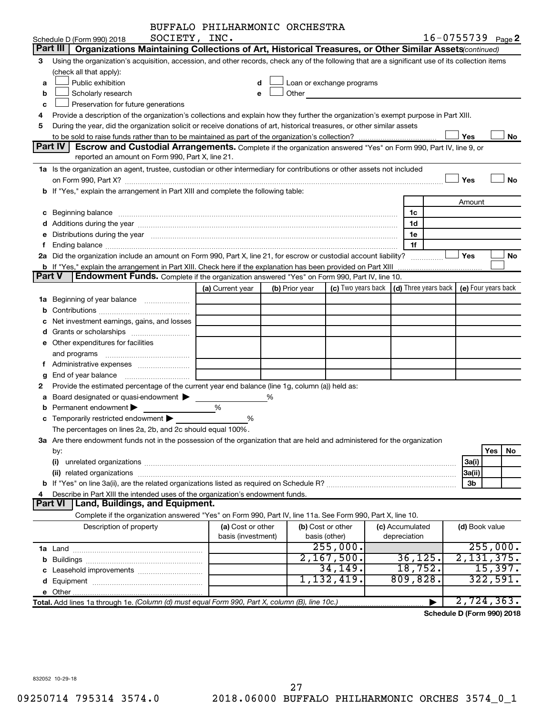|   |                                                                                                                                                                                                                                | BUFFALO PHILHARMONIC ORCHESTRA |   |                |                            |                                                 |                       |            |
|---|--------------------------------------------------------------------------------------------------------------------------------------------------------------------------------------------------------------------------------|--------------------------------|---|----------------|----------------------------|-------------------------------------------------|-----------------------|------------|
|   | SOCIETY, INC.<br>Schedule D (Form 990) 2018                                                                                                                                                                                    |                                |   |                |                            |                                                 | $16 - 0755739$ Page 2 |            |
|   | Part III   Organizations Maintaining Collections of Art, Historical Treasures, or Other Similar Assets (continued)                                                                                                             |                                |   |                |                            |                                                 |                       |            |
| 3 | Using the organization's acquisition, accession, and other records, check any of the following that are a significant use of its collection items                                                                              |                                |   |                |                            |                                                 |                       |            |
|   | (check all that apply):                                                                                                                                                                                                        |                                |   |                |                            |                                                 |                       |            |
| a | Public exhibition                                                                                                                                                                                                              |                                |   |                | Loan or exchange programs  |                                                 |                       |            |
| b | Scholarly research                                                                                                                                                                                                             |                                |   |                | Other <b>Communication</b> |                                                 |                       |            |
| c | Preservation for future generations                                                                                                                                                                                            |                                |   |                |                            |                                                 |                       |            |
|   | Provide a description of the organization's collections and explain how they further the organization's exempt purpose in Part XIII.                                                                                           |                                |   |                |                            |                                                 |                       |            |
| 5 | During the year, did the organization solicit or receive donations of art, historical treasures, or other similar assets                                                                                                       |                                |   |                |                            |                                                 |                       |            |
|   |                                                                                                                                                                                                                                |                                |   |                |                            |                                                 | Yes                   | No         |
|   | <b>Part IV</b><br><b>Escrow and Custodial Arrangements.</b> Complete if the organization answered "Yes" on Form 990, Part IV, line 9, or                                                                                       |                                |   |                |                            |                                                 |                       |            |
|   | reported an amount on Form 990, Part X, line 21.                                                                                                                                                                               |                                |   |                |                            |                                                 |                       |            |
|   | 1a Is the organization an agent, trustee, custodian or other intermediary for contributions or other assets not included                                                                                                       |                                |   |                |                            |                                                 |                       |            |
|   |                                                                                                                                                                                                                                |                                |   |                |                            |                                                 | Yes                   | No         |
|   |                                                                                                                                                                                                                                |                                |   |                |                            |                                                 |                       |            |
|   | b If "Yes," explain the arrangement in Part XIII and complete the following table:                                                                                                                                             |                                |   |                |                            |                                                 |                       |            |
|   |                                                                                                                                                                                                                                |                                |   |                |                            |                                                 | Amount                |            |
|   |                                                                                                                                                                                                                                |                                |   |                |                            | 1c                                              |                       |            |
|   |                                                                                                                                                                                                                                |                                |   |                |                            | 1d                                              |                       |            |
|   | e Distributions during the year manufactured and contain an account of the year manufactured and the year manufactured and the year manufactured and the year manufactured and the year manufactured and the year manufactured |                                |   |                |                            | 1e                                              |                       |            |
|   |                                                                                                                                                                                                                                |                                |   |                |                            | 1f                                              |                       |            |
|   | 2a Did the organization include an amount on Form 990, Part X, line 21, for escrow or custodial account liability?                                                                                                             |                                |   |                |                            |                                                 | Yes                   | No         |
|   |                                                                                                                                                                                                                                |                                |   |                |                            |                                                 |                       |            |
|   | <b>Endowment Funds.</b> Complete if the organization answered "Yes" on Form 990, Part IV, line 10.<br>Part V                                                                                                                   |                                |   |                |                            |                                                 |                       |            |
|   |                                                                                                                                                                                                                                | (a) Current year               |   | (b) Prior year |                            | (c) Two years back $ $ (d) Three years back $ $ | (e) Four years back   |            |
|   |                                                                                                                                                                                                                                |                                |   |                |                            |                                                 |                       |            |
|   |                                                                                                                                                                                                                                |                                |   |                |                            |                                                 |                       |            |
|   | Net investment earnings, gains, and losses                                                                                                                                                                                     |                                |   |                |                            |                                                 |                       |            |
|   |                                                                                                                                                                                                                                |                                |   |                |                            |                                                 |                       |            |
|   | e Other expenditures for facilities                                                                                                                                                                                            |                                |   |                |                            |                                                 |                       |            |
|   | and programs                                                                                                                                                                                                                   |                                |   |                |                            |                                                 |                       |            |
|   |                                                                                                                                                                                                                                |                                |   |                |                            |                                                 |                       |            |
| g |                                                                                                                                                                                                                                |                                |   |                |                            |                                                 |                       |            |
|   | Provide the estimated percentage of the current year end balance (line 1g, column (a)) held as:                                                                                                                                |                                |   |                |                            |                                                 |                       |            |
|   | a Board designated or quasi-endowment >                                                                                                                                                                                        |                                | % |                |                            |                                                 |                       |            |
|   | Permanent endowment                                                                                                                                                                                                            | %                              |   |                |                            |                                                 |                       |            |
|   | c Temporarily restricted endowment $\blacktriangleright$                                                                                                                                                                       | %                              |   |                |                            |                                                 |                       |            |
|   | The percentages on lines 2a, 2b, and 2c should equal 100%.                                                                                                                                                                     |                                |   |                |                            |                                                 |                       |            |
|   | 3a Are there endowment funds not in the possession of the organization that are held and administered for the organization                                                                                                     |                                |   |                |                            |                                                 |                       |            |
|   | by:                                                                                                                                                                                                                            |                                |   |                |                            |                                                 |                       | Yes<br>No. |
|   | (i)                                                                                                                                                                                                                            |                                |   |                |                            |                                                 | 3a(i)                 |            |
|   |                                                                                                                                                                                                                                |                                |   |                |                            |                                                 | 3a(ii)                |            |
|   |                                                                                                                                                                                                                                |                                |   |                |                            |                                                 | 3b                    |            |
|   | Describe in Part XIII the intended uses of the organization's endowment funds.                                                                                                                                                 |                                |   |                |                            |                                                 |                       |            |
|   | Land, Buildings, and Equipment.<br><b>Part VI</b>                                                                                                                                                                              |                                |   |                |                            |                                                 |                       |            |
|   | Complete if the organization answered "Yes" on Form 990, Part IV, line 11a. See Form 990, Part X, line 10.                                                                                                                     |                                |   |                |                            |                                                 |                       |            |
|   | Description of property                                                                                                                                                                                                        | (a) Cost or other              |   |                | (b) Cost or other          | (c) Accumulated                                 | (d) Book value        |            |
|   |                                                                                                                                                                                                                                | basis (investment)             |   |                | basis (other)              | depreciation                                    |                       |            |
|   |                                                                                                                                                                                                                                |                                |   |                | 255,000.                   |                                                 |                       | 255,000.   |
|   |                                                                                                                                                                                                                                |                                |   |                | 2,167,500.                 | 36, 125.                                        | 2,131,375.            |            |
|   |                                                                                                                                                                                                                                |                                |   |                | 34, 149.                   | 18,752.                                         |                       | 15,397.    |
|   |                                                                                                                                                                                                                                |                                |   |                | 1,132,419.                 | 809, 828.                                       |                       | 322,591.   |
|   |                                                                                                                                                                                                                                |                                |   |                |                            |                                                 |                       |            |
|   | Total. Add lines 1a through 1e. (Column (d) must equal Form 990, Part X, column (B), line 10c.)                                                                                                                                |                                |   |                |                            |                                                 | 2,724,363.            |            |
|   |                                                                                                                                                                                                                                |                                |   |                |                            |                                                 |                       |            |

**Schedule D (Form 990) 2018**

832052 10-29-18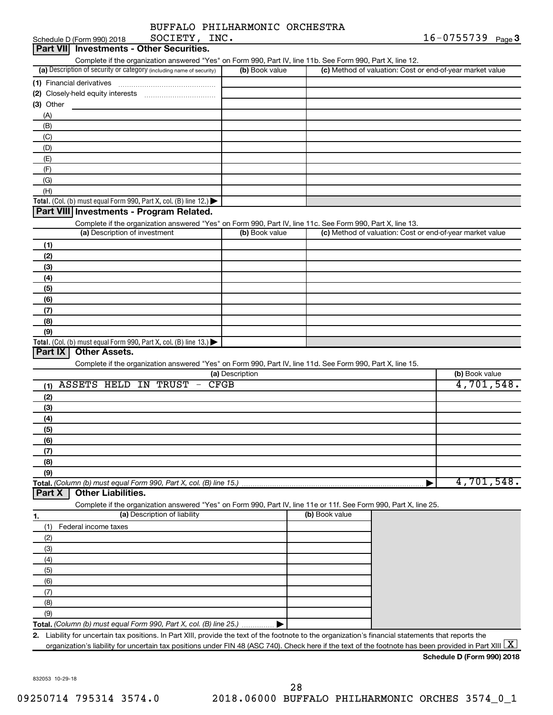| BUFFALO PHILHARMONIC ORCHESTRA |  |
|--------------------------------|--|
|                                |  |

| SOCIETY, INC.<br>Schedule D (Form 990) 2018                                                                                                             | 16-0755739 Page 3 |                |                                                           |                            |  |
|---------------------------------------------------------------------------------------------------------------------------------------------------------|-------------------|----------------|-----------------------------------------------------------|----------------------------|--|
| <b>Investments - Other Securities.</b><br><b>Part VII</b>                                                                                               |                   |                |                                                           |                            |  |
| Complete if the organization answered "Yes" on Form 990, Part IV, line 11b. See Form 990, Part X, line 12.                                              |                   |                |                                                           |                            |  |
| (a) Description of security or category (including name of security)                                                                                    | (b) Book value    |                | (c) Method of valuation: Cost or end-of-year market value |                            |  |
| (1) Financial derivatives                                                                                                                               |                   |                |                                                           |                            |  |
| (2) Closely-held equity interests                                                                                                                       |                   |                |                                                           |                            |  |
| (3) Other                                                                                                                                               |                   |                |                                                           |                            |  |
| (A)                                                                                                                                                     |                   |                |                                                           |                            |  |
| (B)                                                                                                                                                     |                   |                |                                                           |                            |  |
| (C)                                                                                                                                                     |                   |                |                                                           |                            |  |
| (D)                                                                                                                                                     |                   |                |                                                           |                            |  |
| (E)                                                                                                                                                     |                   |                |                                                           |                            |  |
| (F)                                                                                                                                                     |                   |                |                                                           |                            |  |
| (G)                                                                                                                                                     |                   |                |                                                           |                            |  |
| (H)                                                                                                                                                     |                   |                |                                                           |                            |  |
| Total. (Col. (b) must equal Form 990, Part X, col. (B) line 12.) $\blacktriangleright$                                                                  |                   |                |                                                           |                            |  |
| Part VIII Investments - Program Related.                                                                                                                |                   |                |                                                           |                            |  |
| Complete if the organization answered "Yes" on Form 990, Part IV, line 11c. See Form 990, Part X, line 13.                                              |                   |                |                                                           |                            |  |
| (a) Description of investment                                                                                                                           | (b) Book value    |                | (c) Method of valuation: Cost or end-of-year market value |                            |  |
| (1)                                                                                                                                                     |                   |                |                                                           |                            |  |
| (2)                                                                                                                                                     |                   |                |                                                           |                            |  |
| (3)                                                                                                                                                     |                   |                |                                                           |                            |  |
| (4)                                                                                                                                                     |                   |                |                                                           |                            |  |
| (5)                                                                                                                                                     |                   |                |                                                           |                            |  |
| (6)                                                                                                                                                     |                   |                |                                                           |                            |  |
| (7)                                                                                                                                                     |                   |                |                                                           |                            |  |
| (8)                                                                                                                                                     |                   |                |                                                           |                            |  |
| (9)                                                                                                                                                     |                   |                |                                                           |                            |  |
| Total. (Col. (b) must equal Form 990, Part X, col. (B) line 13.)                                                                                        |                   |                |                                                           |                            |  |
| <b>Other Assets.</b><br>Part IX                                                                                                                         |                   |                |                                                           |                            |  |
| Complete if the organization answered "Yes" on Form 990, Part IV, line 11d. See Form 990, Part X, line 15.                                              |                   |                |                                                           |                            |  |
|                                                                                                                                                         | (a) Description   |                |                                                           | (b) Book value             |  |
| <b>ASSETS HELD IN TRUST</b><br>(1)                                                                                                                      | <b>CFGB</b>       |                |                                                           | 4,701,548.                 |  |
| (2)                                                                                                                                                     |                   |                |                                                           |                            |  |
| (3)                                                                                                                                                     |                   |                |                                                           |                            |  |
| (4)                                                                                                                                                     |                   |                |                                                           |                            |  |
| (5)                                                                                                                                                     |                   |                |                                                           |                            |  |
| (6)                                                                                                                                                     |                   |                |                                                           |                            |  |
| (7)                                                                                                                                                     |                   |                |                                                           |                            |  |
| (8)                                                                                                                                                     |                   |                |                                                           |                            |  |
| (9)                                                                                                                                                     |                   |                |                                                           |                            |  |
| Total. (Column (b) must equal Form 990, Part X, col. (B) line 15.)                                                                                      |                   |                |                                                           | 4,701,548.                 |  |
| <b>Other Liabilities.</b><br>Part X                                                                                                                     |                   |                |                                                           |                            |  |
| Complete if the organization answered "Yes" on Form 990, Part IV, line 11e or 11f. See Form 990, Part X, line 25.                                       |                   |                |                                                           |                            |  |
| (a) Description of liability                                                                                                                            |                   | (b) Book value |                                                           |                            |  |
| 1.                                                                                                                                                      |                   |                |                                                           |                            |  |
| Federal income taxes<br>(1)                                                                                                                             |                   |                |                                                           |                            |  |
| (2)                                                                                                                                                     |                   |                |                                                           |                            |  |
| (3)                                                                                                                                                     |                   |                |                                                           |                            |  |
| (4)                                                                                                                                                     |                   |                |                                                           |                            |  |
| (5)                                                                                                                                                     |                   |                |                                                           |                            |  |
| (6)                                                                                                                                                     |                   |                |                                                           |                            |  |
| (7)                                                                                                                                                     |                   |                |                                                           |                            |  |
| (8)                                                                                                                                                     |                   |                |                                                           |                            |  |
| (9)                                                                                                                                                     |                   |                |                                                           |                            |  |
| Total. (Column (b) must equal Form 990, Part X, col. (B) line 25.)                                                                                      |                   |                |                                                           |                            |  |
| Liability for uncertain tax positions. In Part XIII, provide the text of the footnote to the organization's financial statements that reports the<br>2. |                   |                |                                                           |                            |  |
| organization's liability for uncertain tax positions under FIN 48 (ASC 740). Check here if the text of the footnote has been provided in Part XIII L    |                   |                |                                                           | X                          |  |
|                                                                                                                                                         |                   |                |                                                           | Schedule D (Form 990) 2018 |  |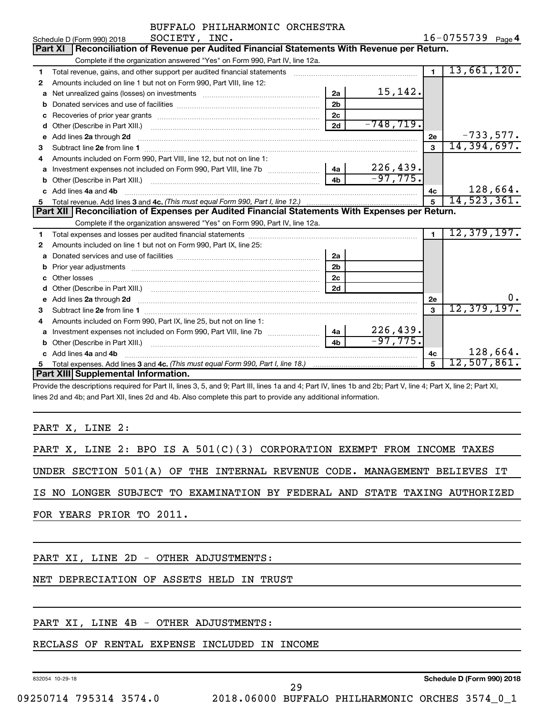|    | SOCIETY, INC.<br>Schedule D (Form 990) 2018                                                                                                                                                                                         |                |              |                | $16 - 0755739$ Page 4 |
|----|-------------------------------------------------------------------------------------------------------------------------------------------------------------------------------------------------------------------------------------|----------------|--------------|----------------|-----------------------|
|    | Part XI   Reconciliation of Revenue per Audited Financial Statements With Revenue per Return.                                                                                                                                       |                |              |                |                       |
|    | Complete if the organization answered "Yes" on Form 990, Part IV, line 12a.                                                                                                                                                         |                |              |                |                       |
| 1  | Total revenue, gains, and other support per audited financial statements                                                                                                                                                            |                |              | $\mathbf{1}$   | 13,661,120.           |
| 2  | Amounts included on line 1 but not on Form 990, Part VIII, line 12:                                                                                                                                                                 |                |              |                |                       |
| a  | Net unrealized gains (losses) on investments [111] [12] matter contracts and the unrealized gains (losses) on investments [11] matter contracts and the unrealized gains (losses) on investments [11] matter contracts and the      | 2a             | 15,142.      |                |                       |
| b  |                                                                                                                                                                                                                                     | 2 <sub>b</sub> |              |                |                       |
| c  |                                                                                                                                                                                                                                     | 2 <sub>c</sub> |              |                |                       |
| d  |                                                                                                                                                                                                                                     | 2d             | $-748, 719.$ |                |                       |
| e  | Add lines 2a through 2d <b>[10]</b> University of the state of the state of the state of the state of the state of the state of the state of the state of the state of the state of the state of the state of the state of the stat |                |              | 2e             | $-733,577.$           |
| 3  |                                                                                                                                                                                                                                     |                |              | $\mathbf{3}$   | 14,394,697.           |
| 4  | Amounts included on Form 990, Part VIII, line 12, but not on line 1:                                                                                                                                                                |                |              |                |                       |
| a  |                                                                                                                                                                                                                                     | 4a             | 226, 439.    |                |                       |
| b  |                                                                                                                                                                                                                                     | 4 <sub>h</sub> | $-97,775.$   |                |                       |
| C. | Add lines 4a and 4b                                                                                                                                                                                                                 |                |              | 4c             | 128,664.              |
| 5  |                                                                                                                                                                                                                                     |                |              | 5              | 14,523,361.           |
|    |                                                                                                                                                                                                                                     |                |              |                |                       |
|    | <b>Part XII Reconciliation of Expenses per Audited Financial Statements With Expenses per Return.</b>                                                                                                                               |                |              |                |                       |
|    | Complete if the organization answered "Yes" on Form 990, Part IV, line 12a.                                                                                                                                                         |                |              |                |                       |
| 1  |                                                                                                                                                                                                                                     |                |              | $\blacksquare$ | 12, 379, 197.         |
| 2  | Amounts included on line 1 but not on Form 990, Part IX, line 25:                                                                                                                                                                   |                |              |                |                       |
| a  |                                                                                                                                                                                                                                     | 2a             |              |                |                       |
| b  | Prior year adjustments [ www.communications of the contract of the contract of the contract of the contract of                                                                                                                      | 2 <sub>b</sub> |              |                |                       |
| c  |                                                                                                                                                                                                                                     | 2 <sub>c</sub> |              |                |                       |
|    |                                                                                                                                                                                                                                     | 2d             |              |                |                       |
| е  | Add lines 2a through 2d <b>[10]</b> Committee the contract of the contract of the contract of the contract of the contract of the contract of the contract of the contract of the contract of the contract of the contract of the c |                |              | 2е             | 0.                    |
| 3  |                                                                                                                                                                                                                                     |                |              | $\mathbf{a}$   | 12,379,197.           |
| 4  | Amounts included on Form 990, Part IX, line 25, but not on line 1:                                                                                                                                                                  |                |              |                |                       |
| a  |                                                                                                                                                                                                                                     | 4a l           | 226, 439.    |                |                       |
|    |                                                                                                                                                                                                                                     | 4 <sub>b</sub> | $-97,775.$   |                |                       |
|    | Add lines 4a and 4b                                                                                                                                                                                                                 |                |              | 4с             | 128,664.              |
| 5  | <b>Part XIII Supplemental Information.</b>                                                                                                                                                                                          |                |              | 5              | $12$ ,507,861.        |

Provide the descriptions required for Part II, lines 3, 5, and 9; Part III, lines 1a and 4; Part IV, lines 1b and 2b; Part V, line 4; Part X, line 2; Part XI, lines 2d and 4b; and Part XII, lines 2d and 4b. Also complete this part to provide any additional information.

PART X, LINE 2:

|  |  |  | PART X, LINE 2: BPO IS A $501(C)(3)$ CORPORATION EXEMPT FROM INCOME TAXES  |  |  |  |  |  |
|--|--|--|----------------------------------------------------------------------------|--|--|--|--|--|
|  |  |  | UNDER SECTION 501(A) OF THE INTERNAL REVENUE CODE. MANAGEMENT BELIEVES IT  |  |  |  |  |  |
|  |  |  | IS NO LONGER SUBJECT TO EXAMINATION BY FEDERAL AND STATE TAXING AUTHORIZED |  |  |  |  |  |

FOR YEARS PRIOR TO 2011.

PART XI, LINE 2D - OTHER ADJUSTMENTS:

NET DEPRECIATION OF ASSETS HELD IN TRUST

#### PART XI, LINE 4B - OTHER ADJUSTMENTS:

#### RECLASS OF RENTAL EXPENSE INCLUDED IN INCOME

832054 10-29-18

**Schedule D (Form 990) 2018**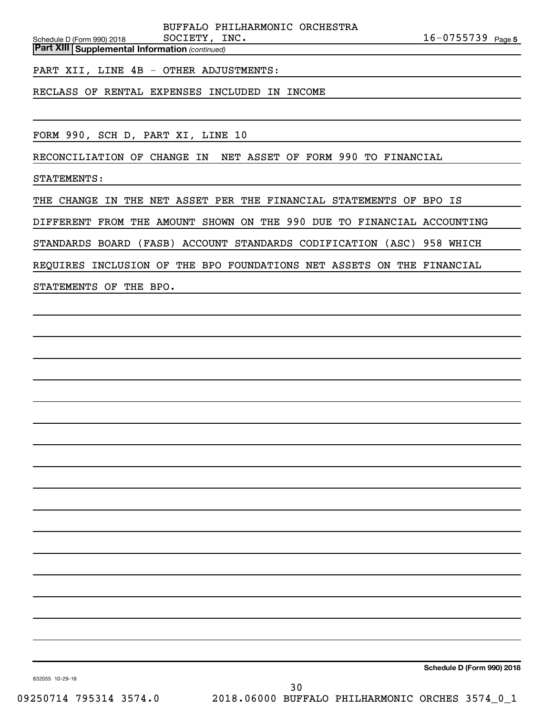BUFFALO PHILHARMONIC ORCHESTRA SOCIETY, INC.

*(continued)* **Part XIII Supplemental Information** 

PART XII, LINE 4B - OTHER ADJUSTMENTS:

RECLASS OF RENTAL EXPENSES INCLUDED IN INCOME

FORM 990, SCH D, PART XI, LINE 10

RECONCILIATION OF CHANGE IN NET ASSET OF FORM 990 TO FINANCIAL

STATEMENTS:

Schedule D (Form 990) 2018

THE CHANGE IN THE NET ASSET PER THE FINANCIAL STATEMENTS OF BPO IS

DIFFERENT FROM THE AMOUNT SHOWN ON THE 990 DUE TO FINANCIAL ACCOUNTING

STANDARDS BOARD (FASB) ACCOUNT STANDARDS CODIFICATION (ASC) 958 WHICH

REQUIRES INCLUSION OF THE BPO FOUNDATIONS NET ASSETS ON THE FINANCIAL

STATEMENTS OF THE BPO.

**Schedule D (Form 990) 2018**

832055 10-29-18

09250714 795314 3574.0 2018.06000 BUFFALO PHILHARMONIC ORCHES 3574\_0\_1 30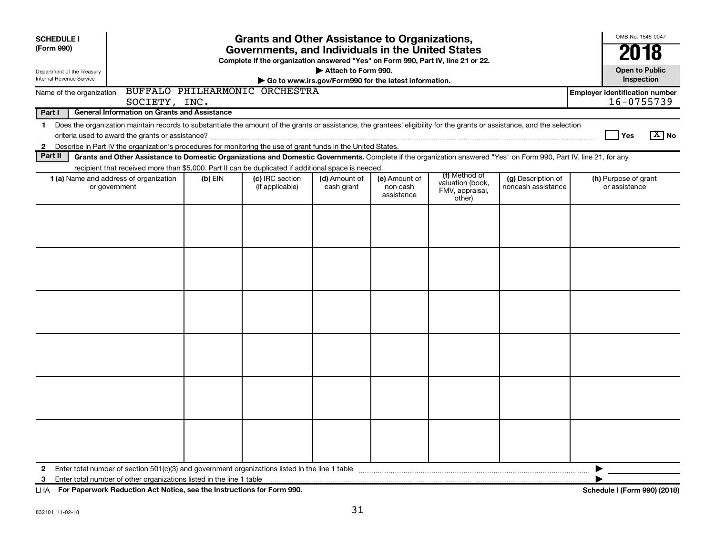| <b>SCHEDULE I</b><br>(Form 990)                                                                                                                                                                                                                                                                                | <b>Grants and Other Assistance to Organizations,</b><br>Governments, and Individuals in the United States<br>Complete if the organization answered "Yes" on Form 990, Part IV, line 21 or 22. |                                    |                                                                              |                                         |                                                                |                                          |                                                     |  |  |  |  |
|----------------------------------------------------------------------------------------------------------------------------------------------------------------------------------------------------------------------------------------------------------------------------------------------------------------|-----------------------------------------------------------------------------------------------------------------------------------------------------------------------------------------------|------------------------------------|------------------------------------------------------------------------------|-----------------------------------------|----------------------------------------------------------------|------------------------------------------|-----------------------------------------------------|--|--|--|--|
| Department of the Treasury<br>Internal Revenue Service                                                                                                                                                                                                                                                         |                                                                                                                                                                                               |                                    | Attach to Form 990.<br>Go to www.irs.gov/Form990 for the latest information. |                                         |                                                                |                                          | 2018<br><b>Open to Public</b><br>Inspection         |  |  |  |  |
| Name of the organization<br>SOCIETY, INC.                                                                                                                                                                                                                                                                      |                                                                                                                                                                                               | BUFFALO PHILHARMONIC ORCHESTRA     |                                                                              |                                         |                                                                |                                          | <b>Employer identification number</b><br>16-0755739 |  |  |  |  |
| Part I<br><b>General Information on Grants and Assistance</b>                                                                                                                                                                                                                                                  |                                                                                                                                                                                               |                                    |                                                                              |                                         |                                                                |                                          |                                                     |  |  |  |  |
| Does the organization maintain records to substantiate the amount of the grants or assistance, the grantees' eligibility for the grants or assistance, and the selection<br>1<br>Describe in Part IV the organization's procedures for monitoring the use of grant funds in the United States.<br>$\mathbf{2}$ |                                                                                                                                                                                               |                                    |                                                                              |                                         |                                                                |                                          | $\boxed{\text{X}}$ No<br>Yes                        |  |  |  |  |
| Part II<br>Grants and Other Assistance to Domestic Organizations and Domestic Governments. Complete if the organization answered "Yes" on Form 990, Part IV, line 21, for any                                                                                                                                  |                                                                                                                                                                                               |                                    |                                                                              |                                         |                                                                |                                          |                                                     |  |  |  |  |
| recipient that received more than \$5,000. Part II can be duplicated if additional space is needed.<br>1 (a) Name and address of organization<br>or government                                                                                                                                                 | $(b)$ EIN                                                                                                                                                                                     | (c) IRC section<br>(if applicable) | (d) Amount of<br>cash grant                                                  | (e) Amount of<br>non-cash<br>assistance | (f) Method of<br>valuation (book,<br>FMV, appraisal,<br>other) | (g) Description of<br>noncash assistance | (h) Purpose of grant<br>or assistance               |  |  |  |  |
|                                                                                                                                                                                                                                                                                                                |                                                                                                                                                                                               |                                    |                                                                              |                                         |                                                                |                                          |                                                     |  |  |  |  |
|                                                                                                                                                                                                                                                                                                                |                                                                                                                                                                                               |                                    |                                                                              |                                         |                                                                |                                          | ▶                                                   |  |  |  |  |

**For Paperwork Reduction Act Notice, see the Instructions for Form 990. Schedule I (Form 990) (2018)** LHA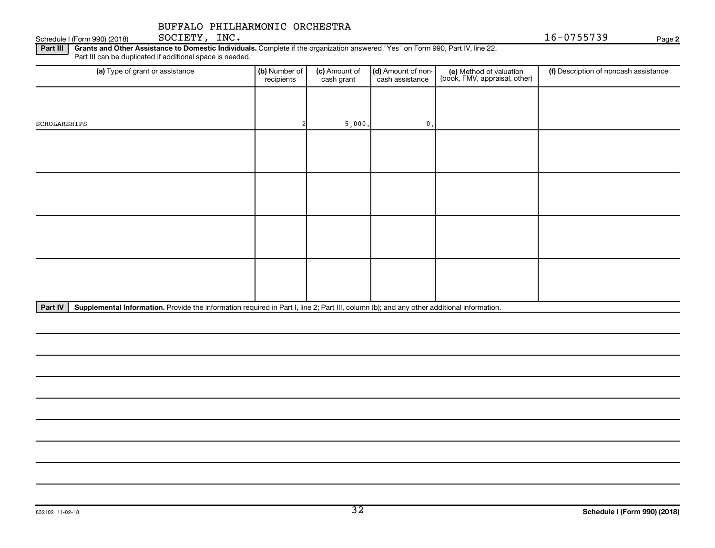Schedule I (Form 990) (2018) SOCIETY, INC. SOCIETY, INC.

**2**

Part III | Grants and Other Assistance to Domestic Individuals. Complete if the organization answered "Yes" on Form 990, Part IV, line 22. Part III can be duplicated if additional space is needed.

| (a) Type of grant or assistance | (b) Number of<br>recipients | (c) Amount of<br>cash grant | (d) Amount of non-<br>cash assistance | (e) Method of valuation<br>(book, FMV, appraisal, other) | (f) Description of noncash assistance |
|---------------------------------|-----------------------------|-----------------------------|---------------------------------------|----------------------------------------------------------|---------------------------------------|
|                                 |                             |                             |                                       |                                                          |                                       |
| SCHOLARSHIPS                    |                             | 5,000.                      | $\mathbf{0}$ .                        |                                                          |                                       |
|                                 |                             |                             |                                       |                                                          |                                       |
|                                 |                             |                             |                                       |                                                          |                                       |
|                                 |                             |                             |                                       |                                                          |                                       |
|                                 |                             |                             |                                       |                                                          |                                       |
|                                 |                             |                             |                                       |                                                          |                                       |
|                                 |                             |                             |                                       |                                                          |                                       |
|                                 |                             |                             |                                       |                                                          |                                       |
|                                 |                             |                             |                                       |                                                          |                                       |

Part IV | Supplemental Information. Provide the information required in Part I, line 2; Part III, column (b); and any other additional information.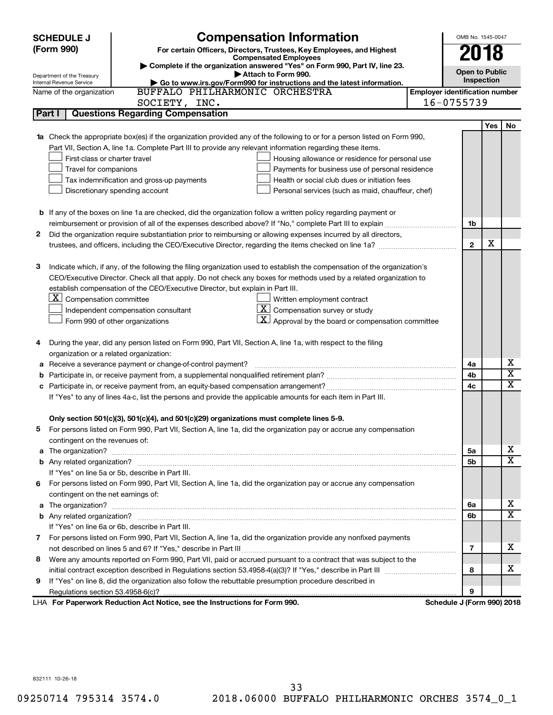|    | <b>Compensation Information</b><br><b>SCHEDULE J</b>                                                                             |                                       | OMB No. 1545-0047     |                             |
|----|----------------------------------------------------------------------------------------------------------------------------------|---------------------------------------|-----------------------|-----------------------------|
|    | (Form 990)<br>For certain Officers, Directors, Trustees, Key Employees, and Highest                                              |                                       |                       |                             |
|    | <b>Compensated Employees</b>                                                                                                     |                                       | 2018                  |                             |
|    | Complete if the organization answered "Yes" on Form 990, Part IV, line 23.<br>Attach to Form 990.                                |                                       | <b>Open to Public</b> |                             |
|    | Department of the Treasury<br>Go to www.irs.gov/Form990 for instructions and the latest information.<br>Internal Revenue Service |                                       | Inspection            |                             |
|    | BUFFALO PHILHARMONIC ORCHESTRA<br>Name of the organization                                                                       | <b>Employer identification number</b> |                       |                             |
|    | SOCIETY, INC.                                                                                                                    | 16-0755739                            |                       |                             |
|    | <b>Questions Regarding Compensation</b><br>Part I                                                                                |                                       |                       |                             |
|    |                                                                                                                                  |                                       | <b>Yes</b>            | No                          |
|    | Check the appropriate box(es) if the organization provided any of the following to or for a person listed on Form 990,           |                                       |                       |                             |
|    | Part VII, Section A, line 1a. Complete Part III to provide any relevant information regarding these items.                       |                                       |                       |                             |
|    | First-class or charter travel<br>Housing allowance or residence for personal use                                                 |                                       |                       |                             |
|    | Travel for companions<br>Payments for business use of personal residence                                                         |                                       |                       |                             |
|    | Tax indemnification and gross-up payments<br>Health or social club dues or initiation fees                                       |                                       |                       |                             |
|    | Discretionary spending account<br>Personal services (such as maid, chauffeur, chef)                                              |                                       |                       |                             |
|    |                                                                                                                                  |                                       |                       |                             |
|    | <b>b</b> If any of the boxes on line 1a are checked, did the organization follow a written policy regarding payment or           |                                       |                       |                             |
|    |                                                                                                                                  | 1b                                    |                       |                             |
| 2  | Did the organization require substantiation prior to reimbursing or allowing expenses incurred by all directors,                 |                                       |                       |                             |
|    |                                                                                                                                  | $\mathbf{2}$                          | х                     |                             |
|    |                                                                                                                                  |                                       |                       |                             |
| З  | Indicate which, if any, of the following the filing organization used to establish the compensation of the organization's        |                                       |                       |                             |
|    | CEO/Executive Director. Check all that apply. Do not check any boxes for methods used by a related organization to               |                                       |                       |                             |
|    | establish compensation of the CEO/Executive Director, but explain in Part III.                                                   |                                       |                       |                             |
|    | $ \mathbf{X} $ Compensation committee<br>Written employment contract                                                             |                                       |                       |                             |
|    | $\boxed{\textbf{X}}$ Compensation survey or study<br>Independent compensation consultant                                         |                                       |                       |                             |
|    | Approval by the board or compensation committee<br>Form 990 of other organizations                                               |                                       |                       |                             |
|    |                                                                                                                                  |                                       |                       |                             |
| 4  | During the year, did any person listed on Form 990, Part VII, Section A, line 1a, with respect to the filing                     |                                       |                       |                             |
|    | organization or a related organization:                                                                                          |                                       |                       |                             |
| а  | Receive a severance payment or change-of-control payment?                                                                        | 4a                                    |                       | х                           |
| b  |                                                                                                                                  | 4b                                    |                       | $\overline{\text{x}}$       |
| с  |                                                                                                                                  | 4c                                    |                       | $\overline{\textnormal{x}}$ |
|    | If "Yes" to any of lines 4a-c, list the persons and provide the applicable amounts for each item in Part III.                    |                                       |                       |                             |
|    |                                                                                                                                  |                                       |                       |                             |
|    | Only section 501(c)(3), 501(c)(4), and 501(c)(29) organizations must complete lines 5-9.                                         |                                       |                       |                             |
|    | For persons listed on Form 990, Part VII, Section A, line 1a, did the organization pay or accrue any compensation                |                                       |                       |                             |
|    | contingent on the revenues of:                                                                                                   |                                       |                       | х                           |
| a  |                                                                                                                                  | 5a                                    |                       | $\overline{\mathbf{X}}$     |
|    | If "Yes" on line 5a or 5b, describe in Part III.                                                                                 | 5b                                    |                       |                             |
| 6. | For persons listed on Form 990, Part VII, Section A, line 1a, did the organization pay or accrue any compensation                |                                       |                       |                             |
|    |                                                                                                                                  |                                       |                       |                             |
| a  | contingent on the net earnings of:                                                                                               | 6а                                    |                       | х                           |
|    |                                                                                                                                  | 6b                                    |                       | $\overline{\mathbf{X}}$     |
|    | If "Yes" on line 6a or 6b, describe in Part III.                                                                                 |                                       |                       |                             |
|    | 7 For persons listed on Form 990, Part VII, Section A, line 1a, did the organization provide any nonfixed payments               |                                       |                       |                             |
|    |                                                                                                                                  | 7                                     |                       | x                           |
| 8  | Were any amounts reported on Form 990, Part VII, paid or accrued pursuant to a contract that was subject to the                  |                                       |                       |                             |
|    |                                                                                                                                  | 8                                     |                       | х                           |
| 9  | If "Yes" on line 8, did the organization also follow the rebuttable presumption procedure described in                           |                                       |                       |                             |
|    |                                                                                                                                  | 9                                     |                       |                             |
|    | LHA For Paperwork Reduction Act Notice, see the Instructions for Form 990.                                                       | Schedule J (Form 990) 2018            |                       |                             |

832111 10-26-18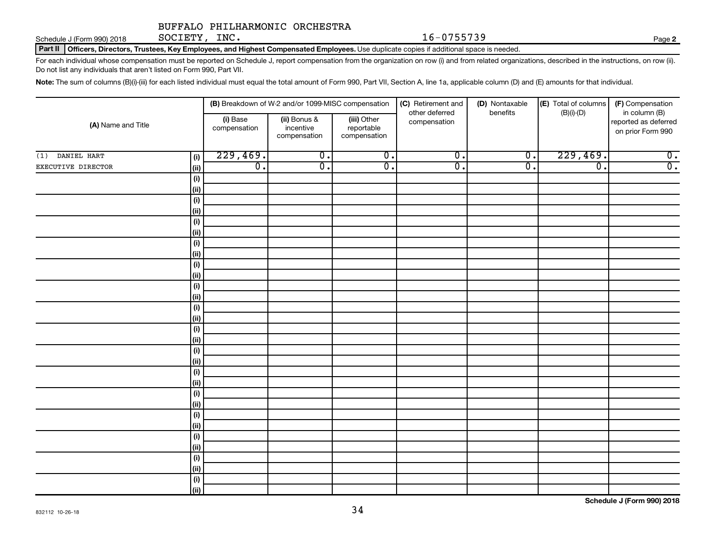SOCIETY, INC.

Part II | Officers, Directors, Trustees, Key Employees, and Highest Compensated Employees. Use duplicate copies if additional space is needed. Schedule J (Form 990) 2018  $SOCIETY$ ,  $INC.$ 

For each individual whose compensation must be reported on Schedule J, report compensation from the organization on row (i) and from related organizations, described in the instructions, on row (ii). Do not list any individuals that aren't listed on Form 990, Part VII.

Note: The sum of columns (B)(i)-(iii) for each listed individual must equal the total amount of Form 990, Part VII, Section A, line 1a, applicable column (D) and (E) amounts for that individual.

| (B) Breakdown of W-2 and/or 1099-MISC compensation |                     |                          | (C) Retirement and                        | (D) Nontaxable                            | (E) Total of columns           | (F) Compensation            |                  |                                                            |
|----------------------------------------------------|---------------------|--------------------------|-------------------------------------------|-------------------------------------------|--------------------------------|-----------------------------|------------------|------------------------------------------------------------|
| (A) Name and Title                                 |                     | (i) Base<br>compensation | (ii) Bonus &<br>incentive<br>compensation | (iii) Other<br>reportable<br>compensation | other deferred<br>compensation | benefits                    | $(B)(i)-(D)$     | in column (B)<br>reported as deferred<br>on prior Form 990 |
| DANIEL HART<br>(1)                                 | (i)                 | 229,469.                 | $\overline{0}$ .                          | $\overline{0}$ .                          | $\overline{0}$ .               | $\overline{\mathfrak{o}}$ . | 229,469.         | $\overline{0}$ .                                           |
| EXECUTIVE DIRECTOR                                 | (ii)                | $\overline{0}$ .         | $\overline{\mathfrak{o}}$ .               | $\overline{0}$ .                          | $\overline{0}$ .               | $\overline{0}$ .            | $\overline{0}$ . | $\overline{0}$ .                                           |
|                                                    | (i)                 |                          |                                           |                                           |                                |                             |                  |                                                            |
|                                                    | $\vert$ (ii)        |                          |                                           |                                           |                                |                             |                  |                                                            |
|                                                    | (i)                 |                          |                                           |                                           |                                |                             |                  |                                                            |
|                                                    | $\vert$ (ii)        |                          |                                           |                                           |                                |                             |                  |                                                            |
|                                                    | (i)                 |                          |                                           |                                           |                                |                             |                  |                                                            |
|                                                    | $\vert$ (ii)        |                          |                                           |                                           |                                |                             |                  |                                                            |
|                                                    | (i)                 |                          |                                           |                                           |                                |                             |                  |                                                            |
|                                                    | $\vert$ (ii)        |                          |                                           |                                           |                                |                             |                  |                                                            |
|                                                    | (i)                 |                          |                                           |                                           |                                |                             |                  |                                                            |
|                                                    | $\vert$ (ii)        |                          |                                           |                                           |                                |                             |                  |                                                            |
|                                                    | (i)<br>$\vert$ (ii) |                          |                                           |                                           |                                |                             |                  |                                                            |
|                                                    | (i)                 |                          |                                           |                                           |                                |                             |                  |                                                            |
|                                                    | $\vert$ (ii)        |                          |                                           |                                           |                                |                             |                  |                                                            |
|                                                    | (i)                 |                          |                                           |                                           |                                |                             |                  |                                                            |
|                                                    | $\vert$ (ii)        |                          |                                           |                                           |                                |                             |                  |                                                            |
|                                                    | (i)                 |                          |                                           |                                           |                                |                             |                  |                                                            |
|                                                    | $\vert$ (ii)        |                          |                                           |                                           |                                |                             |                  |                                                            |
|                                                    | (i)                 |                          |                                           |                                           |                                |                             |                  |                                                            |
|                                                    | $\vert$ (ii)        |                          |                                           |                                           |                                |                             |                  |                                                            |
|                                                    | (i)                 |                          |                                           |                                           |                                |                             |                  |                                                            |
|                                                    | $\vert$ (ii)        |                          |                                           |                                           |                                |                             |                  |                                                            |
|                                                    | (i)                 |                          |                                           |                                           |                                |                             |                  |                                                            |
|                                                    | $\vert$ (ii)        |                          |                                           |                                           |                                |                             |                  |                                                            |
|                                                    | (i)                 |                          |                                           |                                           |                                |                             |                  |                                                            |
|                                                    | $\vert$ (ii)        |                          |                                           |                                           |                                |                             |                  |                                                            |
|                                                    | (i)                 |                          |                                           |                                           |                                |                             |                  |                                                            |
|                                                    | $\vert$ (ii)        |                          |                                           |                                           |                                |                             |                  |                                                            |
|                                                    | (i)                 |                          |                                           |                                           |                                |                             |                  |                                                            |
|                                                    | (iii)               |                          |                                           |                                           |                                |                             |                  |                                                            |

**2**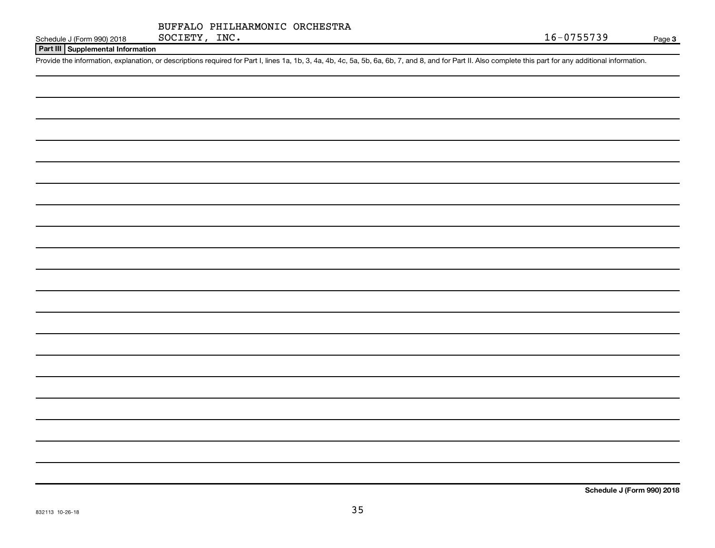|               | BUFFALO PHILHARMONIC ORCHESTRA |  |
|---------------|--------------------------------|--|
| SOCIETY, INC. |                                |  |

Schedule J (Form 990) 2018 SOCIETY, INC.  $16-0755739$ 

**Part III Supplemental Information**

Provide the information, explanation, or descriptions required for Part I, lines 1a, 1b, 3, 4a, 4b, 4c, 5a, 5b, 6a, 6b, 7, and 8, and for Part II. Also complete this part for any additional information.

**Schedule J (Form 990) 2018**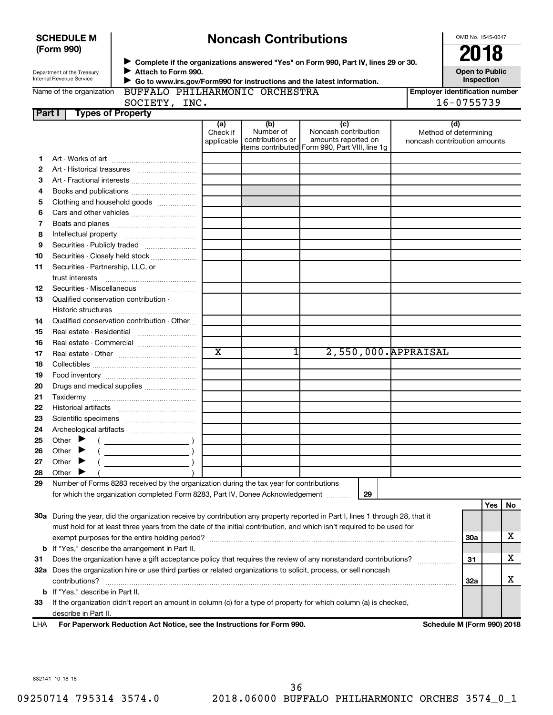|        | (Form 990)                                                                                                                                                                    |                                                                                         |                         |                                      |                                                                                                                                |  | 2018                                |     |    |
|--------|-------------------------------------------------------------------------------------------------------------------------------------------------------------------------------|-----------------------------------------------------------------------------------------|-------------------------|--------------------------------------|--------------------------------------------------------------------------------------------------------------------------------|--|-------------------------------------|-----|----|
|        |                                                                                                                                                                               |                                                                                         |                         |                                      | Complete if the organizations answered "Yes" on Form 990, Part IV, lines 29 or 30.                                             |  |                                     |     |    |
|        | Department of the Treasury<br>Internal Revenue Service                                                                                                                        | Attach to Form 990.                                                                     |                         |                                      |                                                                                                                                |  | <b>Open to Public</b><br>Inspection |     |    |
|        | Go to www.irs.gov/Form990 for instructions and the latest information.<br>BUFFALO PHILHARMONIC ORCHESTRA<br><b>Employer identification number</b><br>Name of the organization |                                                                                         |                         |                                      |                                                                                                                                |  |                                     |     |    |
|        | 16-0755739<br>SOCIETY, INC.                                                                                                                                                   |                                                                                         |                         |                                      |                                                                                                                                |  |                                     |     |    |
| Part I |                                                                                                                                                                               | <b>Types of Property</b>                                                                |                         |                                      |                                                                                                                                |  |                                     |     |    |
|        |                                                                                                                                                                               |                                                                                         | (a)<br>Check if         | (b)<br>Number of<br>contributions or | (c)<br>Noncash contribution<br>amounts reported on                                                                             |  | (d)<br>Method of determining        |     |    |
|        |                                                                                                                                                                               |                                                                                         | applicable              |                                      | items contributed Form 990, Part VIII, line 1g                                                                                 |  | noncash contribution amounts        |     |    |
| 1      |                                                                                                                                                                               |                                                                                         |                         |                                      |                                                                                                                                |  |                                     |     |    |
| 2      |                                                                                                                                                                               |                                                                                         |                         |                                      |                                                                                                                                |  |                                     |     |    |
| з      |                                                                                                                                                                               |                                                                                         |                         |                                      |                                                                                                                                |  |                                     |     |    |
| 4      |                                                                                                                                                                               |                                                                                         |                         |                                      |                                                                                                                                |  |                                     |     |    |
| 5      |                                                                                                                                                                               | Clothing and household goods                                                            |                         |                                      |                                                                                                                                |  |                                     |     |    |
| 6      |                                                                                                                                                                               |                                                                                         |                         |                                      |                                                                                                                                |  |                                     |     |    |
| 7      |                                                                                                                                                                               |                                                                                         |                         |                                      |                                                                                                                                |  |                                     |     |    |
| 8      |                                                                                                                                                                               |                                                                                         |                         |                                      |                                                                                                                                |  |                                     |     |    |
| 9      |                                                                                                                                                                               | Securities - Publicly traded                                                            |                         |                                      |                                                                                                                                |  |                                     |     |    |
| 10     |                                                                                                                                                                               | Securities - Closely held stock                                                         |                         |                                      |                                                                                                                                |  |                                     |     |    |
| 11     | Securities - Partnership, LLC, or                                                                                                                                             |                                                                                         |                         |                                      |                                                                                                                                |  |                                     |     |    |
|        |                                                                                                                                                                               |                                                                                         |                         |                                      |                                                                                                                                |  |                                     |     |    |
| 12     |                                                                                                                                                                               | Securities - Miscellaneous                                                              |                         |                                      |                                                                                                                                |  |                                     |     |    |
| 13     | Qualified conservation contribution -                                                                                                                                         |                                                                                         |                         |                                      |                                                                                                                                |  |                                     |     |    |
|        |                                                                                                                                                                               |                                                                                         |                         |                                      |                                                                                                                                |  |                                     |     |    |
| 14     |                                                                                                                                                                               | Qualified conservation contribution - Other                                             |                         |                                      |                                                                                                                                |  |                                     |     |    |
| 15     |                                                                                                                                                                               |                                                                                         |                         |                                      |                                                                                                                                |  |                                     |     |    |
| 16     |                                                                                                                                                                               |                                                                                         |                         |                                      |                                                                                                                                |  |                                     |     |    |
| 17     |                                                                                                                                                                               |                                                                                         | $\overline{\textbf{x}}$ | 1                                    | 2,550,000. APPRAISAL                                                                                                           |  |                                     |     |    |
| 18     |                                                                                                                                                                               |                                                                                         |                         |                                      |                                                                                                                                |  |                                     |     |    |
| 19     |                                                                                                                                                                               |                                                                                         |                         |                                      |                                                                                                                                |  |                                     |     |    |
| 20     |                                                                                                                                                                               | Drugs and medical supplies                                                              |                         |                                      |                                                                                                                                |  |                                     |     |    |
| 21     |                                                                                                                                                                               |                                                                                         |                         |                                      |                                                                                                                                |  |                                     |     |    |
| 22     |                                                                                                                                                                               |                                                                                         |                         |                                      |                                                                                                                                |  |                                     |     |    |
| 23     |                                                                                                                                                                               |                                                                                         |                         |                                      |                                                                                                                                |  |                                     |     |    |
| 24     |                                                                                                                                                                               |                                                                                         |                         |                                      |                                                                                                                                |  |                                     |     |    |
| 25     | Other $\blacktriangleright$<br>$\left($                                                                                                                                       |                                                                                         |                         |                                      |                                                                                                                                |  |                                     |     |    |
| 26     | Other                                                                                                                                                                         |                                                                                         |                         |                                      |                                                                                                                                |  |                                     |     |    |
| 27     | Other                                                                                                                                                                         |                                                                                         |                         |                                      |                                                                                                                                |  |                                     |     |    |
| 28     | Other                                                                                                                                                                         |                                                                                         |                         |                                      |                                                                                                                                |  |                                     |     |    |
| 29     |                                                                                                                                                                               | Number of Forms 8283 received by the organization during the tax year for contributions |                         |                                      |                                                                                                                                |  |                                     |     |    |
|        |                                                                                                                                                                               | for which the organization completed Form 8283, Part IV, Donee Acknowledgement          |                         |                                      | 29                                                                                                                             |  |                                     |     |    |
|        |                                                                                                                                                                               |                                                                                         |                         |                                      |                                                                                                                                |  |                                     | Yes | No |
|        |                                                                                                                                                                               |                                                                                         |                         |                                      | 30a During the year, did the organization receive by contribution any property reported in Part I, lines 1 through 28, that it |  |                                     |     |    |
|        |                                                                                                                                                                               |                                                                                         |                         |                                      | must hold for at least three years from the date of the initial contribution, and which isn't required to be used for          |  |                                     |     |    |
|        |                                                                                                                                                                               |                                                                                         |                         |                                      |                                                                                                                                |  | 30a                                 |     | x  |
|        |                                                                                                                                                                               | <b>b</b> If "Yes," describe the arrangement in Part II.                                 |                         |                                      |                                                                                                                                |  |                                     |     |    |
| 31     |                                                                                                                                                                               |                                                                                         |                         |                                      | Does the organization have a gift acceptance policy that requires the review of any nonstandard contributions?                 |  | 31                                  |     | х  |
|        |                                                                                                                                                                               |                                                                                         |                         |                                      | 32a Does the organization hire or use third parties or related organizations to solicit, process, or sell noncash              |  |                                     |     |    |
|        | contributions?                                                                                                                                                                |                                                                                         |                         |                                      |                                                                                                                                |  | 32a                                 |     | х  |
|        | <b>b</b> If "Yes," describe in Part II.                                                                                                                                       |                                                                                         |                         |                                      |                                                                                                                                |  |                                     |     |    |

**Noncash Contributions**

**33** If the organization didn't report an amount in column (c) for a type of property for which column (a) is checked, describe in Part II.

**For Paperwork Reduction Act Notice, see the Instructions for Form 990. Schedule M (Form 990) 2018** LHA

OMB No. 1545-0047

832141 10-18-18

**SCHEDULE M (Form 990)**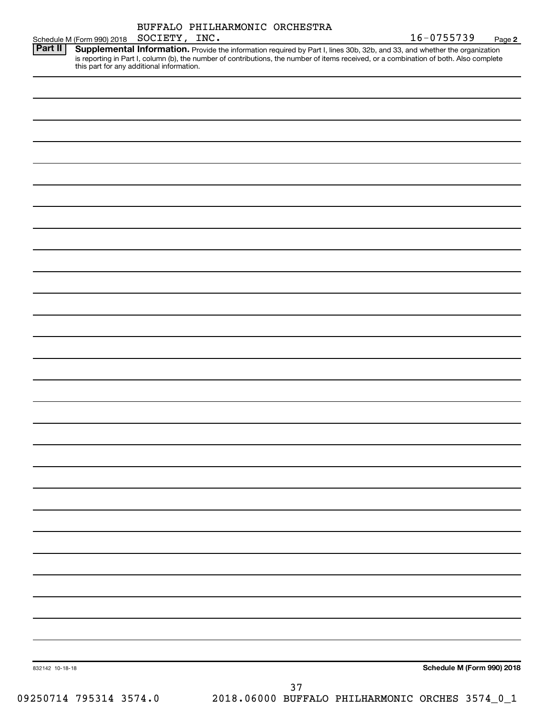| BUFFALO PHILHARMONIC ORCHESTRA |  |
|--------------------------------|--|
|                                |  |

16-0755739 Page 2

|                |                                           |  | $16 - 0755739$                                                                                                                                                                                                                                                       | Page |
|----------------|-------------------------------------------|--|----------------------------------------------------------------------------------------------------------------------------------------------------------------------------------------------------------------------------------------------------------------------|------|
| <b>Part II</b> | this part for any additional information. |  | Supplemental Information. Provide the information required by Part I, lines 30b, 32b, and 33, and whether the organization<br>is reporting in Part I, column (b), the number of contributions, the number of items received, or a combination of both. Also complete |      |
|                |                                           |  |                                                                                                                                                                                                                                                                      |      |

| 832142 10-18-18 |  | $37\,$ |  | Schedule M (Form 990) 2018 |
|-----------------|--|--------|--|----------------------------|
|                 |  |        |  |                            |
|                 |  |        |  |                            |
|                 |  |        |  |                            |
|                 |  |        |  |                            |
|                 |  |        |  |                            |
|                 |  |        |  |                            |
|                 |  |        |  |                            |
|                 |  |        |  |                            |
|                 |  |        |  |                            |
|                 |  |        |  |                            |
|                 |  |        |  |                            |
|                 |  |        |  |                            |
|                 |  |        |  |                            |
|                 |  |        |  |                            |
|                 |  |        |  |                            |
|                 |  |        |  |                            |
|                 |  |        |  |                            |
|                 |  |        |  |                            |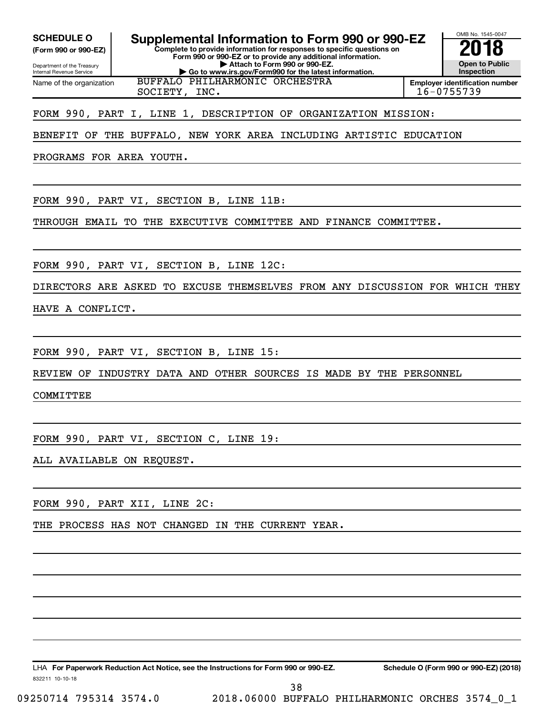**(Form 990 or 990-EZ)**

**Complete to provide information for responses to specific questions on Form 990 or 990-EZ or to provide any additional information. | Attach to Form 990 or 990-EZ. | Go to www.irs.gov/Form990 for the latest information.** SCHEDULE O **Supplemental Information to Form 990 or 990-EZ 2018**<br>(Form 990 or 990-EZ) **2018** 

Department of the Treasury Internal Revenue Service Name of the organization

**Employer identification number** SOCIETY, INC. 16-0755739

OMB No. 1545-0047

**Open to Public Inspection**

FORM 990, PART I, LINE 1, DESCRIPTION OF ORGANIZATION MISSION:

BUFFALO PHILHARMONIC ORCHESTRA

BENEFIT OF THE BUFFALO, NEW YORK AREA INCLUDING ARTISTIC EDUCATION

PROGRAMS FOR AREA YOUTH.

FORM 990, PART VI, SECTION B, LINE 11B:

THROUGH EMAIL TO THE EXECUTIVE COMMITTEE AND FINANCE COMMITTEE.

FORM 990, PART VI, SECTION B, LINE 12C:

DIRECTORS ARE ASKED TO EXCUSE THEMSELVES FROM ANY DISCUSSION FOR WHICH THEY

HAVE A CONFLICT.

FORM 990, PART VI, SECTION B, LINE 15:

REVIEW OF INDUSTRY DATA AND OTHER SOURCES IS MADE BY THE PERSONNEL

COMMITTEE

FORM 990, PART VI, SECTION C, LINE 19:

ALL AVAILABLE ON REQUEST.

FORM 990, PART XII, LINE 2C:

THE PROCESS HAS NOT CHANGED IN THE CURRENT YEAR.

LHA For Paperwork Reduction Act Notice, see the Instructions for Form 990 or 990-EZ. Schedule O (Form 990 or 990-EZ) (2018)

832211 10-10-18

09250714 795314 3574.0 2018.06000 BUFFALO PHILHARMONIC ORCHES 3574\_0\_1

38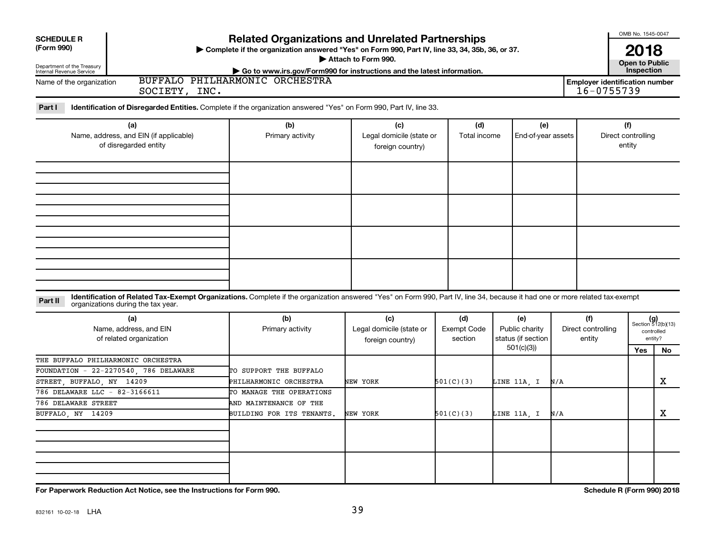| <b>SCHEDULE R</b>                                                        |                                                                                                                                                                                                                                                            |                                                                                                                                                                              |                                                     |                                      |                                                          |                                     |                                                     | OMB No. 1545-0047                   |                                   |
|--------------------------------------------------------------------------|------------------------------------------------------------------------------------------------------------------------------------------------------------------------------------------------------------------------------------------------------------|------------------------------------------------------------------------------------------------------------------------------------------------------------------------------|-----------------------------------------------------|--------------------------------------|----------------------------------------------------------|-------------------------------------|-----------------------------------------------------|-------------------------------------|-----------------------------------|
| (Form 990)<br>Department of the Treasury<br>Internal Revenue Service     | <b>Related Organizations and Unrelated Partnerships</b><br>Complete if the organization answered "Yes" on Form 990, Part IV, line 33, 34, 35b, 36, or 37.<br>Attach to Form 990.<br>Go to www.irs.gov/Form990 for instructions and the latest information. |                                                                                                                                                                              |                                                     |                                      |                                                          |                                     |                                                     |                                     | 2018<br><b>Open to Public</b>     |
| Name of the organization                                                 | SOCIETY, INC.                                                                                                                                                                                                                                              | BUFFALO PHILHARMONIC ORCHESTRA                                                                                                                                               |                                                     |                                      |                                                          |                                     | <b>Employer identification number</b><br>16-0755739 | Inspection                          |                                   |
| Part I                                                                   |                                                                                                                                                                                                                                                            | Identification of Disregarded Entities. Complete if the organization answered "Yes" on Form 990, Part IV, line 33.                                                           |                                                     |                                      |                                                          |                                     |                                                     |                                     |                                   |
|                                                                          | (a)<br>Name, address, and EIN (if applicable)<br>of disregarded entity                                                                                                                                                                                     | (b)<br>Primary activity                                                                                                                                                      | (c)<br>Legal domicile (state or<br>foreign country) | (d)<br>Total income                  | (e)<br>End-of-year assets                                |                                     |                                                     | (f)<br>Direct controlling<br>entity |                                   |
|                                                                          |                                                                                                                                                                                                                                                            |                                                                                                                                                                              |                                                     |                                      |                                                          |                                     |                                                     |                                     |                                   |
|                                                                          |                                                                                                                                                                                                                                                            |                                                                                                                                                                              |                                                     |                                      |                                                          |                                     |                                                     |                                     |                                   |
| Part II                                                                  | organizations during the tax year.                                                                                                                                                                                                                         | Identification of Related Tax-Exempt Organizations. Complete if the organization answered "Yes" on Form 990, Part IV, line 34, because it had one or more related tax-exempt |                                                     |                                      |                                                          |                                     |                                                     |                                     |                                   |
|                                                                          | (a)<br>Name, address, and EIN<br>of related organization                                                                                                                                                                                                   | (b)<br>Primary activity                                                                                                                                                      | (c)<br>Legal domicile (state or<br>foreign country) | (d)<br><b>Exempt Code</b><br>section | (e)<br>Public charity<br>status (if section<br>501(c)(3) | (f)<br>Direct controlling<br>entity |                                                     | controlled<br>entity?<br>Yes        | $(g)$<br>Section 512(b)(13)<br>No |
| STREET BUFFALO NY 14209                                                  | THE BUFFALO PHILHARMONIC ORCHESTRA<br>FOUNDATION - 22-2270540, 786 DELAWARE                                                                                                                                                                                | TO SUPPORT THE BUFFALO<br>PHILHARMONIC ORCHESTRA                                                                                                                             | NEW YORK                                            | 501(C)(3)                            | LINE 11A, I                                              | N/A                                 |                                                     |                                     | х                                 |
| 786 DELAWARE LLC - 82-3166611<br>786 DELAWARE STREET<br>BUFFALO NY 14209 |                                                                                                                                                                                                                                                            | TO MANAGE THE OPERATIONS<br>AND MAINTENANCE OF THE<br><b>BUILDING FOR ITS TENANTS.</b>                                                                                       | NEW YORK                                            | 501(C)(3)                            | LINE 11A, I                                              | N/A                                 |                                                     |                                     | x                                 |
|                                                                          |                                                                                                                                                                                                                                                            |                                                                                                                                                                              |                                                     |                                      |                                                          |                                     |                                                     |                                     |                                   |
|                                                                          | For Paperwork Reduction Act Notice, see the Instructions for Form 990.                                                                                                                                                                                     |                                                                                                                                                                              |                                                     |                                      |                                                          |                                     | Schedule R (Form 990) 2018                          |                                     |                                   |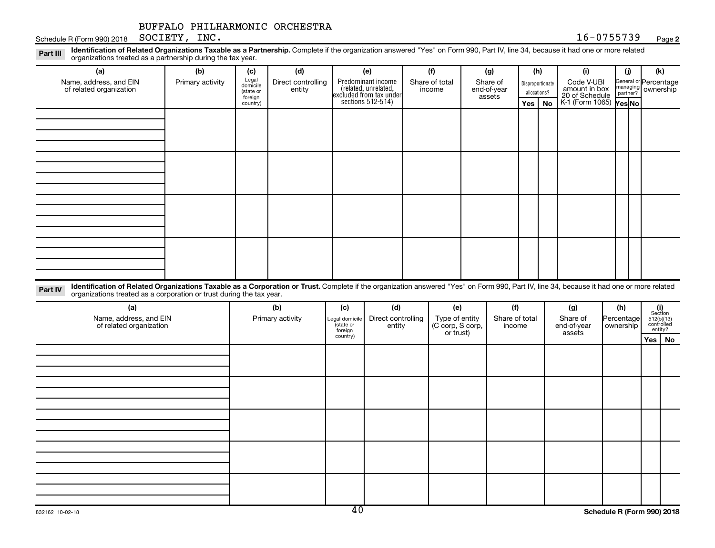Schedule R (Form 990) 2018 Page SOCIETY, INC. 16-0755739

#### **2**

Disproportionate allocations? Legal domicile (state or foreign country) General or Percentage managing partner? Part III Identification of Related Organizations Taxable as a Partnership. Complete if the organization answered "Yes" on Form 990, Part IV, line 34, because it had one or more related<br>Read to the organizations tracted as **(a) (b) (c) (d) (e) (f) (g) (h) (i) (j) (k) Yes No Yes No** K-1 (Form 1065) Predominant income (related, unrelated, excluded from tax under sections 512-514) organizations treated as a partnership during the tax year. Name, address, and EIN of related organization Primary activity  $\left| \begin{array}{c} \text{Legal} \\ \text{demi} \end{array} \right|$  Direct controlling entity Share of total income Share of end-of-year assets Code V-UBI<br>amount in box 20 of Schedule ownership

| ___ |  |  |  |
|-----|--|--|--|
|     |  |  |  |
|     |  |  |  |

Part IV Identification of Related Organizations Taxable as a Corporation or Trust. Complete if the organization answered "Yes" on Form 990, Part IV, line 34, because it had one or more related organizations treated as a corporation or trust during the tax year.

| (a)<br>Name, address, and EIN<br>of related organization | (b)<br>Primary activity | (c)<br>Legal domicile<br>(state or<br>foreign | (d)<br>Direct controlling<br>entity | (e)<br>Type of entity<br>(C corp, S corp,<br>or trust) | (f)<br>Share of total<br>income | (g)<br>Share of<br>end-of-year<br>assets | (h)<br>Percentage<br>ownership | $\begin{array}{c} \textbf{(i)}\\ \text{Section}\\ 512 \text{(b)} \text{(13)}\\ \text{controlled} \\ \text{entity?} \end{array}$ |
|----------------------------------------------------------|-------------------------|-----------------------------------------------|-------------------------------------|--------------------------------------------------------|---------------------------------|------------------------------------------|--------------------------------|---------------------------------------------------------------------------------------------------------------------------------|
|                                                          |                         | country)                                      |                                     |                                                        |                                 |                                          |                                | Yes   No                                                                                                                        |
|                                                          |                         |                                               |                                     |                                                        |                                 |                                          |                                |                                                                                                                                 |
|                                                          |                         |                                               |                                     |                                                        |                                 |                                          |                                |                                                                                                                                 |
|                                                          |                         |                                               |                                     |                                                        |                                 |                                          |                                |                                                                                                                                 |
|                                                          |                         |                                               |                                     |                                                        |                                 |                                          |                                |                                                                                                                                 |
|                                                          |                         |                                               |                                     |                                                        |                                 |                                          |                                |                                                                                                                                 |
|                                                          |                         |                                               |                                     |                                                        |                                 |                                          |                                |                                                                                                                                 |
|                                                          |                         |                                               |                                     |                                                        |                                 |                                          |                                |                                                                                                                                 |
|                                                          |                         |                                               |                                     |                                                        |                                 |                                          |                                |                                                                                                                                 |
|                                                          |                         |                                               |                                     |                                                        |                                 |                                          |                                |                                                                                                                                 |
|                                                          |                         |                                               |                                     |                                                        |                                 |                                          |                                |                                                                                                                                 |
|                                                          |                         |                                               |                                     |                                                        |                                 |                                          |                                |                                                                                                                                 |
|                                                          |                         |                                               |                                     |                                                        |                                 |                                          |                                |                                                                                                                                 |
|                                                          |                         |                                               |                                     |                                                        |                                 |                                          |                                |                                                                                                                                 |
|                                                          |                         |                                               |                                     |                                                        |                                 |                                          |                                |                                                                                                                                 |
|                                                          |                         |                                               |                                     |                                                        |                                 |                                          |                                |                                                                                                                                 |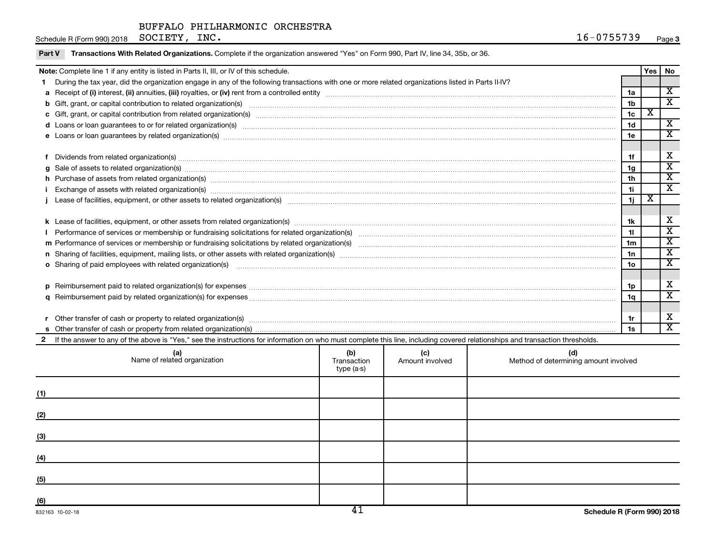Schedule R (Form 990) 2018 Page SOCIETY, INC. 16-0755739

| Note: Complete line 1 if any entity is listed in Parts II, III, or IV of this schedule.                                                                                                                                        |                |                         |                             |  |  |
|--------------------------------------------------------------------------------------------------------------------------------------------------------------------------------------------------------------------------------|----------------|-------------------------|-----------------------------|--|--|
| During the tax year, did the organization engage in any of the following transactions with one or more related organizations listed in Parts II-IV?                                                                            |                | Yes   No                |                             |  |  |
|                                                                                                                                                                                                                                | 1a             |                         | X                           |  |  |
| b Gift, grant, or capital contribution to related organization(s) manufaction contribution to related organization(s)                                                                                                          | 1 <sub>b</sub> |                         | $\overline{\mathbf{x}}$     |  |  |
|                                                                                                                                                                                                                                | 1 <sub>c</sub> | $\overline{\textbf{x}}$ |                             |  |  |
|                                                                                                                                                                                                                                | 1 <sub>d</sub> |                         | $\overline{\mathbf{x}}$     |  |  |
| e Loans or loan guarantees by related organization(s) material content and content to content the content of the content of the content of the content of the content of the content of the content of the content of the cont | 1e             |                         | X                           |  |  |
|                                                                                                                                                                                                                                |                |                         |                             |  |  |
|                                                                                                                                                                                                                                | 1f             |                         | X                           |  |  |
| Dividends from related organization(s) manufacture contraction and contract and contract or manufacture contract or manufacture contract or manufacture contract or manufacture contract or manufacture contract or manufactur | 1g             |                         | $\overline{\mathbf{x}}$     |  |  |
| $g$ Sale of assets to related organization(s) with the contraction contraction contract of the contract of the contract organization(s) with the contract of the contract of the contract of the contract of the contract of   | 1 <sub>h</sub> |                         | $\overline{\textnormal{x}}$ |  |  |
| h Purchase of assets from related organization(s) manufactured and content to content and content of assets from related organization(s)                                                                                       | 1i.            |                         | $\overline{\textnormal{x}}$ |  |  |
|                                                                                                                                                                                                                                |                | х                       |                             |  |  |
|                                                                                                                                                                                                                                | 1j.            |                         |                             |  |  |
|                                                                                                                                                                                                                                | 1k             |                         | X                           |  |  |
|                                                                                                                                                                                                                                | 11             |                         | $\overline{\text{x}}$       |  |  |
|                                                                                                                                                                                                                                |                |                         | $\mathbf{x}$                |  |  |
|                                                                                                                                                                                                                                | 1 <sub>m</sub> |                         | $\overline{\textnormal{x}}$ |  |  |
|                                                                                                                                                                                                                                | 1n             |                         | $\overline{\textnormal{x}}$ |  |  |
| <b>o</b> Sharing of paid employees with related organization(s)                                                                                                                                                                | 1 <sub>0</sub> |                         |                             |  |  |
|                                                                                                                                                                                                                                |                |                         |                             |  |  |
|                                                                                                                                                                                                                                | 1p             |                         | х                           |  |  |
|                                                                                                                                                                                                                                | 1q             |                         | $\overline{\textnormal{x}}$ |  |  |
|                                                                                                                                                                                                                                |                |                         |                             |  |  |
|                                                                                                                                                                                                                                | 1r             |                         | х                           |  |  |
|                                                                                                                                                                                                                                | 1s             |                         | X                           |  |  |
| If the answer to any of the above is "Yes," see the instructions for information on who must complete this line, including covered relationships and transaction thresholds.                                                   |                |                         |                             |  |  |

| (a)<br>Name of related organization | (b)<br>Transaction<br>type (a-s) | (c)<br>Amount involved | (d)<br>Method of determining amount involved |
|-------------------------------------|----------------------------------|------------------------|----------------------------------------------|
| (1)                                 |                                  |                        |                                              |
| (2)                                 |                                  |                        |                                              |
| (3)                                 |                                  |                        |                                              |
| (4)                                 |                                  |                        |                                              |
| (5)                                 |                                  |                        |                                              |
| (6)                                 | $\overline{11}$                  |                        |                                              |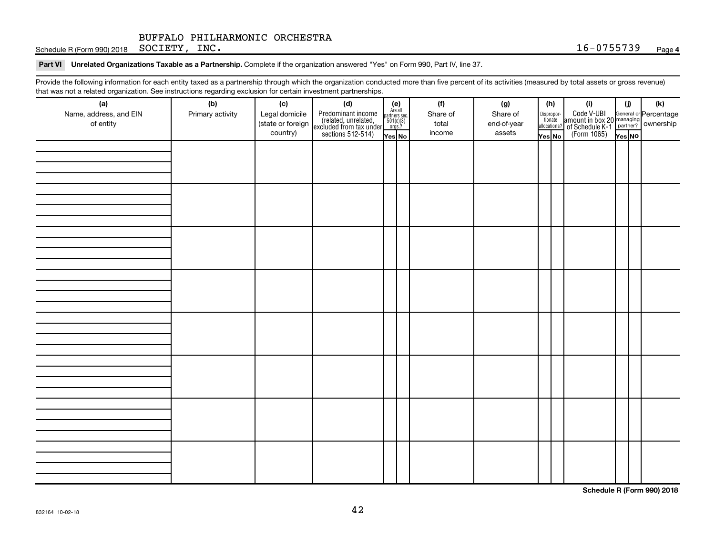Schedule R (Form 990) 2018 Page SOCIETY, INC. 16-0755739

Part VI Unrelated Organizations Taxable as a Partnership. Complete if the organization answered "Yes" on Form 990, Part IV, line 37.

Provide the following information for each entity taxed as a partnership through which the organization conducted more than five percent of its activities (measured by total assets or gross revenue) that was not a related organization. See instructions regarding exclusion for certain investment partnerships.

| (a)                    | (b)              | (c)               | mat was not a related organization. Occ instructions regarding excitation for certain investment partnerships.<br>(d) |                                                          | (f)      | (g)         |        | (h)                              | (i)                                                                                          | (i)    |  | (k) |
|------------------------|------------------|-------------------|-----------------------------------------------------------------------------------------------------------------------|----------------------------------------------------------|----------|-------------|--------|----------------------------------|----------------------------------------------------------------------------------------------|--------|--|-----|
| Name, address, and EIN | Primary activity | Legal domicile    | Predominant income<br>(related, unrelated,<br>excluded from tax under<br>sections 512-514)                            | (e)<br>Are all<br>partners sec.<br>$501(c)(3)$<br>orgs.? | Share of | Share of    |        |                                  | Code V-UBI<br>amount in box 20 managing<br>of Schedule K-1 partner?<br>(Form 1065)<br>ves No |        |  |     |
| of entity              |                  | (state or foreign |                                                                                                                       |                                                          | total    | end-of-year |        | Disproportionate<br>allocations? |                                                                                              |        |  |     |
|                        |                  | country)          |                                                                                                                       | Yes No                                                   | income   | assets      | Yes No |                                  |                                                                                              | Yes NO |  |     |
|                        |                  |                   |                                                                                                                       |                                                          |          |             |        |                                  |                                                                                              |        |  |     |
|                        |                  |                   |                                                                                                                       |                                                          |          |             |        |                                  |                                                                                              |        |  |     |
|                        |                  |                   |                                                                                                                       |                                                          |          |             |        |                                  |                                                                                              |        |  |     |
|                        |                  |                   |                                                                                                                       |                                                          |          |             |        |                                  |                                                                                              |        |  |     |
|                        |                  |                   |                                                                                                                       |                                                          |          |             |        |                                  |                                                                                              |        |  |     |
|                        |                  |                   |                                                                                                                       |                                                          |          |             |        |                                  |                                                                                              |        |  |     |
|                        |                  |                   |                                                                                                                       |                                                          |          |             |        |                                  |                                                                                              |        |  |     |
|                        |                  |                   |                                                                                                                       |                                                          |          |             |        |                                  |                                                                                              |        |  |     |
|                        |                  |                   |                                                                                                                       |                                                          |          |             |        |                                  |                                                                                              |        |  |     |
|                        |                  |                   |                                                                                                                       |                                                          |          |             |        |                                  |                                                                                              |        |  |     |
|                        |                  |                   |                                                                                                                       |                                                          |          |             |        |                                  |                                                                                              |        |  |     |
|                        |                  |                   |                                                                                                                       |                                                          |          |             |        |                                  |                                                                                              |        |  |     |
|                        |                  |                   |                                                                                                                       |                                                          |          |             |        |                                  |                                                                                              |        |  |     |
|                        |                  |                   |                                                                                                                       |                                                          |          |             |        |                                  |                                                                                              |        |  |     |
|                        |                  |                   |                                                                                                                       |                                                          |          |             |        |                                  |                                                                                              |        |  |     |
|                        |                  |                   |                                                                                                                       |                                                          |          |             |        |                                  |                                                                                              |        |  |     |
|                        |                  |                   |                                                                                                                       |                                                          |          |             |        |                                  |                                                                                              |        |  |     |
|                        |                  |                   |                                                                                                                       |                                                          |          |             |        |                                  |                                                                                              |        |  |     |
|                        |                  |                   |                                                                                                                       |                                                          |          |             |        |                                  |                                                                                              |        |  |     |
|                        |                  |                   |                                                                                                                       |                                                          |          |             |        |                                  |                                                                                              |        |  |     |
|                        |                  |                   |                                                                                                                       |                                                          |          |             |        |                                  |                                                                                              |        |  |     |
|                        |                  |                   |                                                                                                                       |                                                          |          |             |        |                                  |                                                                                              |        |  |     |
|                        |                  |                   |                                                                                                                       |                                                          |          |             |        |                                  |                                                                                              |        |  |     |
|                        |                  |                   |                                                                                                                       |                                                          |          |             |        |                                  |                                                                                              |        |  |     |
|                        |                  |                   |                                                                                                                       |                                                          |          |             |        |                                  |                                                                                              |        |  |     |
|                        |                  |                   |                                                                                                                       |                                                          |          |             |        |                                  |                                                                                              |        |  |     |
|                        |                  |                   |                                                                                                                       |                                                          |          |             |        |                                  |                                                                                              |        |  |     |
|                        |                  |                   |                                                                                                                       |                                                          |          |             |        |                                  |                                                                                              |        |  |     |
|                        |                  |                   |                                                                                                                       |                                                          |          |             |        |                                  |                                                                                              |        |  |     |
|                        |                  |                   |                                                                                                                       |                                                          |          |             |        |                                  |                                                                                              |        |  |     |

**Schedule R (Form 990) 2018**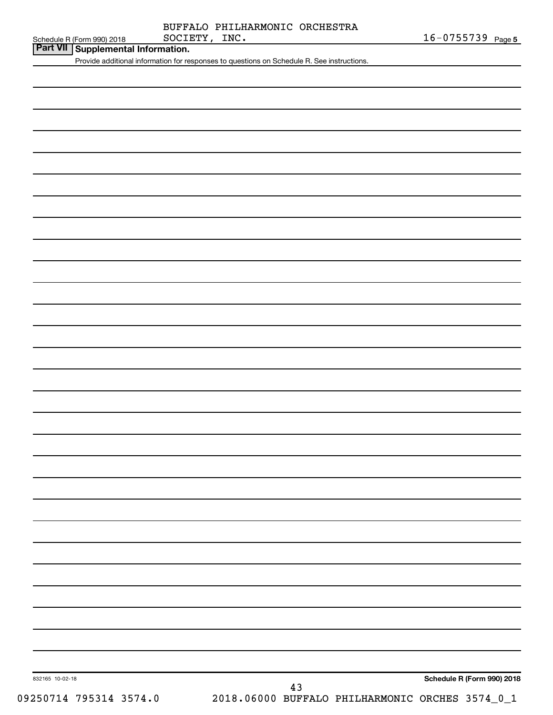|               | BUFFALO PHILHARMONIC ORCHESTRA |  |
|---------------|--------------------------------|--|
| SOCIETY, INC. |                                |  |

| Schedule R (Form 990) 2018 |  |
|----------------------------|--|
|                            |  |

**Part VII Supplemental Information.**

Provide additional information for responses to questions on Schedule R. See instructions.